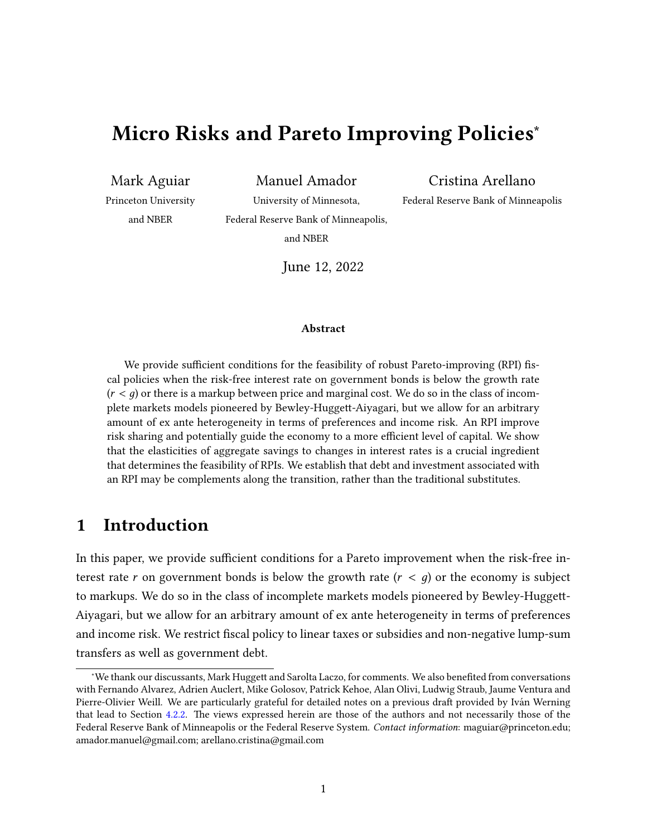# Micro Risks and Pareto Improving Policies<sup>\*</sup>

Mark Aguiar Manuel Amador Cristina Arellano

Princeton University University of Minnesota, Federal Reserve Bank of Minneapolis

and NBER Federal Reserve Bank of Minneapolis,

and NBER

June 12, 2022

#### Abstract

We provide sufficient conditions for the feasibility of robust Pareto-improving (RPI) fiscal policies when the risk-free interest rate on government bonds is below the growth rate  $(r < q)$  or there is a markup between price and marginal cost. We do so in the class of incomplete markets models pioneered by Bewley-Huggett-Aiyagari, but we allow for an arbitrary amount of ex ante heterogeneity in terms of preferences and income risk. An RPI improve risk sharing and potentially guide the economy to a more efficient level of capital. We show that the elasticities of aggregate savings to changes in interest rates is a crucial ingredient that determines the feasibility of RPIs. We establish that debt and investment associated with an RPI may be complements along the transition, rather than the traditional substitutes.

# 1 Introduction

In this paper, we provide sufficient conditions for a Pareto improvement when the risk-free interest rate r on government bonds is below the growth rate  $(r < q)$  or the economy is subject to markups. We do so in the class of incomplete markets models pioneered by Bewley-Huggett-Aiyagari, but we allow for an arbitrary amount of ex ante heterogeneity in terms of preferences and income risk. We restrict fiscal policy to linear taxes or subsidies and non-negative lump-sum transfers as well as government debt.

<sup>\*</sup>We thank our discussants, Mark Huggett and Sarolta Laczo, for comments. We also benefited from conversations with Fernando Alvarez, Adrien Auclert, Mike Golosov, Patrick Kehoe, Alan Olivi, Ludwig Straub, Jaume Ventura and Pierre-Olivier Weill. We are particularly grateful for detailed notes on a previous draft provided by Iván Werning that lead to Section [4.2.2.](#page-23-0) The views expressed herein are those of the authors and not necessarily those of the Federal Reserve Bank of Minneapolis or the Federal Reserve System. Contact information: maguiar@princeton.edu; amador.manuel@gmail.com; arellano.cristina@gmail.com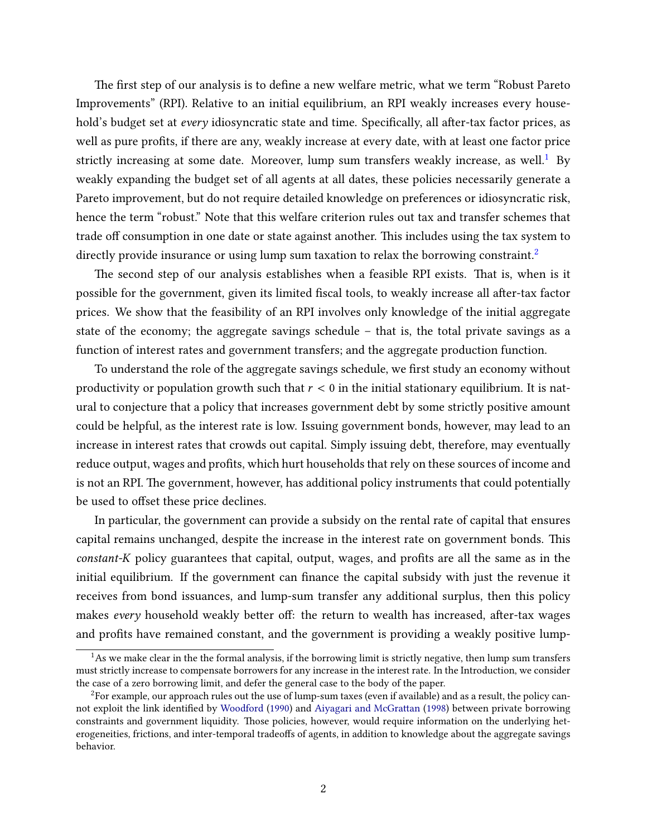The first step of our analysis is to define a new welfare metric, what we term "Robust Pareto Improvements" (RPI). Relative to an initial equilibrium, an RPI weakly increases every household's budget set at every idiosyncratic state and time. Specifically, all after-tax factor prices, as well as pure profits, if there are any, weakly increase at every date, with at least one factor price strictly increasing at some date. Moreover, lump sum transfers weakly increase, as well.<sup>[1](#page-1-0)</sup> By weakly expanding the budget set of all agents at all dates, these policies necessarily generate a Pareto improvement, but do not require detailed knowledge on preferences or idiosyncratic risk, hence the term "robust." Note that this welfare criterion rules out tax and transfer schemes that trade off consumption in one date or state against another. This includes using the tax system to directly provide insurance or using lump sum taxation to relax the borrowing constraint.<sup>[2](#page-1-1)</sup>

The second step of our analysis establishes when a feasible RPI exists. That is, when is it possible for the government, given its limited fiscal tools, to weakly increase all after-tax factor prices. We show that the feasibility of an RPI involves only knowledge of the initial aggregate state of the economy; the aggregate savings schedule – that is, the total private savings as a function of interest rates and government transfers; and the aggregate production function.

To understand the role of the aggregate savings schedule, we first study an economy without productivity or population growth such that  $r < 0$  in the initial stationary equilibrium. It is natural to conjecture that a policy that increases government debt by some strictly positive amount could be helpful, as the interest rate is low. Issuing government bonds, however, may lead to an increase in interest rates that crowds out capital. Simply issuing debt, therefore, may eventually reduce output, wages and profits, which hurt households that rely on these sources of income and is not an RPI. The government, however, has additional policy instruments that could potentially be used to offset these price declines.

In particular, the government can provide a subsidy on the rental rate of capital that ensures capital remains unchanged, despite the increase in the interest rate on government bonds. This constant-K policy guarantees that capital, output, wages, and profits are all the same as in the initial equilibrium. If the government can finance the capital subsidy with just the revenue it receives from bond issuances, and lump-sum transfer any additional surplus, then this policy makes *every* household weakly better off: the return to wealth has increased, after-tax wages and profits have remained constant, and the government is providing a weakly positive lump-

<span id="page-1-0"></span> $<sup>1</sup>$ As we make clear in the the formal analysis, if the borrowing limit is strictly negative, then lump sum transfers</sup> must strictly increase to compensate borrowers for any increase in the interest rate. In the Introduction, we consider the case of a zero borrowing limit, and defer the general case to the body of the paper.

<span id="page-1-1"></span><sup>&</sup>lt;sup>2</sup>For example, our approach rules out the use of lump-sum taxes (even if available) and as a result, the policy can-not exploit the link identified by [Woodford](#page-47-0) [\(1990\)](#page-47-0) and Aiyagari and McGrattan [\(1998\)](#page-44-0) between private borrowing constraints and government liquidity. Those policies, however, would require information on the underlying heterogeneities, frictions, and inter-temporal tradeoffs of agents, in addition to knowledge about the aggregate savings behavior.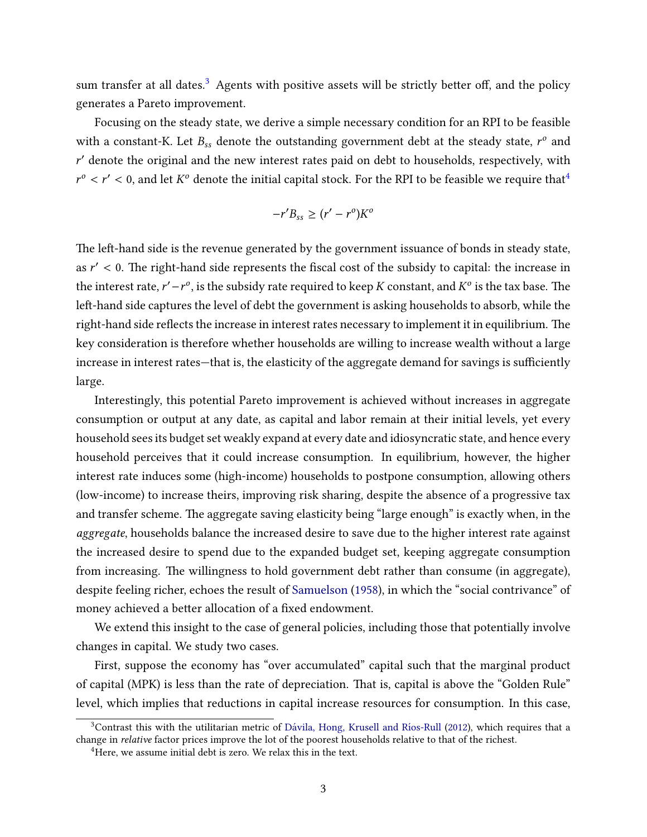sum transfer at all dates.<sup>[3](#page-2-0)</sup> Agents with positive assets will be strictly better off, and the policy generates a Pareto improvement.

Focusing on the steady state, we derive a simple necessary condition for an RPI to be feasible with a constant-K. Let  $B_{ss}$  denote the outstanding government debt at the steady state,  $r^o$  and r' denote the original and the new interest rates paid on debt to households, respectively, with  $r^{\circ} < r' < 0$ , and let  $K^{\circ}$  denote the initial capital stock. For the RPI to be feasible we require that<sup>[4](#page-2-1)</sup>

$$
-r'B_{ss} \ge (r'-r^o)K^o
$$

The left-hand side is the revenue generated by the government issuance of bonds in steady state, as  $r' < 0$ . The right-hand side represents the fiscal cost of the subsidy to capital: the increase in the interest rate,  $r'-r^o$ , is the subsidy rate required to keep  $K$  constant, and  $K^o$  is the tax base. The left-hand side captures the level of debt the government is asking households to absorb, while the right-hand side reflects the increase in interest rates necessary to implement it in equilibrium. The key consideration is therefore whether households are willing to increase wealth without a large increase in interest rates—that is, the elasticity of the aggregate demand for savings is sufficiently large.

Interestingly, this potential Pareto improvement is achieved without increases in aggregate consumption or output at any date, as capital and labor remain at their initial levels, yet every household sees its budget set weakly expand at every date and idiosyncratic state, and hence every household perceives that it could increase consumption. In equilibrium, however, the higher interest rate induces some (high-income) households to postpone consumption, allowing others (low-income) to increase theirs, improving risk sharing, despite the absence of a progressive tax and transfer scheme. The aggregate saving elasticity being "large enough" is exactly when, in the aggregate, households balance the increased desire to save due to the higher interest rate against the increased desire to spend due to the expanded budget set, keeping aggregate consumption from increasing. The willingness to hold government debt rather than consume (in aggregate), despite feeling richer, echoes the result of [Samuelson](#page-47-1) [\(1958\)](#page-47-1), in which the "social contrivance" of money achieved a better allocation of a fixed endowment.

We extend this insight to the case of general policies, including those that potentially involve changes in capital. We study two cases.

First, suppose the economy has "over accumulated" capital such that the marginal product of capital (MPK) is less than the rate of depreciation. That is, capital is above the "Golden Rule" level, which implies that reductions in capital increase resources for consumption. In this case,

<span id="page-2-0"></span><sup>&</sup>lt;sup>3</sup>Contrast this with the utilitarian metric of Dávila, Hong, Krusell and Ríos-Rull [\(2012\)](#page-45-0), which requires that a change in relative factor prices improve the lot of the poorest households relative to that of the richest.

<span id="page-2-1"></span><sup>&</sup>lt;sup>4</sup>Here, we assume initial debt is zero. We relax this in the text.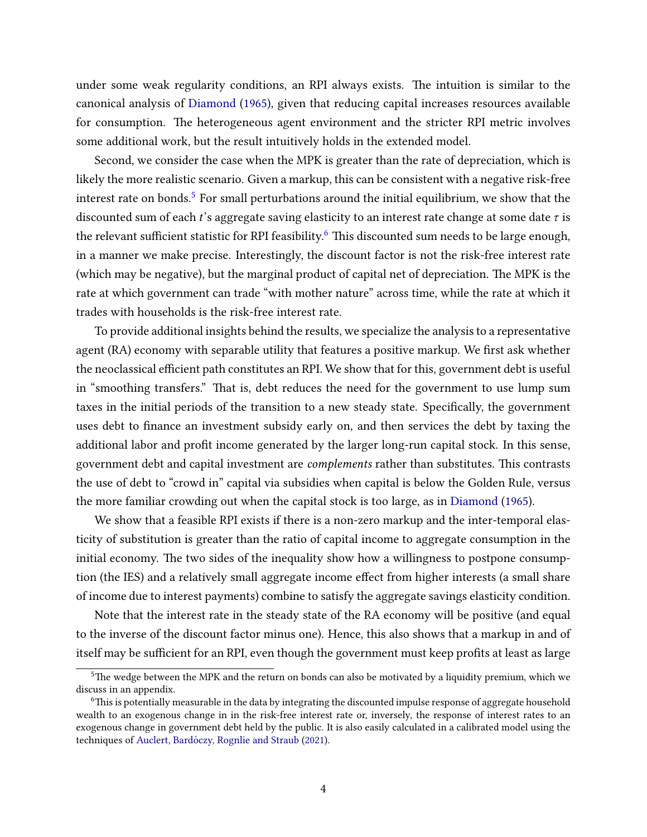under some weak regularity conditions, an RPI always exists. The intuition is similar to the canonical analysis of [Diamond](#page-45-1) [\(1965\)](#page-45-1), given that reducing capital increases resources available for consumption. The heterogeneous agent environment and the stricter RPI metric involves some additional work, but the result intuitively holds in the extended model.

Second, we consider the case when the MPK is greater than the rate of depreciation, which is likely the more realistic scenario. Given a markup, this can be consistent with a negative risk-free interest rate on bonds.<sup>[5](#page-3-0)</sup> For small perturbations around the initial equilibrium, we show that the discounted sum of each t's aggregate saving elasticity to an interest rate change at some date  $\tau$  is the relevant sufficient statistic for RPI feasibility.<sup>[6](#page-3-1)</sup> This discounted sum needs to be large enough, in a manner we make precise. Interestingly, the discount factor is not the risk-free interest rate (which may be negative), but the marginal product of capital net of depreciation. The MPK is the rate at which government can trade "with mother nature" across time, while the rate at which it trades with households is the risk-free interest rate.

To provide additional insights behind the results, we specialize the analysis to a representative agent (RA) economy with separable utility that features a positive markup. We first ask whether the neoclassical efficient path constitutes an RPI. We show that for this, government debt is useful in "smoothing transfers." That is, debt reduces the need for the government to use lump sum taxes in the initial periods of the transition to a new steady state. Specifically, the government uses debt to finance an investment subsidy early on, and then services the debt by taxing the additional labor and profit income generated by the larger long-run capital stock. In this sense, government debt and capital investment are *complements* rather than substitutes. This contrasts the use of debt to "crowd in" capital via subsidies when capital is below the Golden Rule, versus the more familiar crowding out when the capital stock is too large, as in [Diamond](#page-45-1) [\(1965\)](#page-45-1).

We show that a feasible RPI exists if there is a non-zero markup and the inter-temporal elasticity of substitution is greater than the ratio of capital income to aggregate consumption in the initial economy. The two sides of the inequality show how a willingness to postpone consumption (the IES) and a relatively small aggregate income effect from higher interests (a small share of income due to interest payments) combine to satisfy the aggregate savings elasticity condition.

Note that the interest rate in the steady state of the RA economy will be positive (and equal to the inverse of the discount factor minus one). Hence, this also shows that a markup in and of itself may be sufficient for an RPI, even though the government must keep profits at least as large

<span id="page-3-0"></span> $5$ The wedge between the MPK and the return on bonds can also be motivated by a liquidity premium, which we discuss in an appendix.

<span id="page-3-1"></span><sup>&</sup>lt;sup>6</sup>This is potentially measurable in the data by integrating the discounted impulse response of aggregate household wealth to an exogenous change in in the risk-free interest rate or, inversely, the response of interest rates to an exogenous change in government debt held by the public. It is also easily calculated in a calibrated model using the techniques of Auclert, Bardóczy, Rognlie and Straub [\(2021\)](#page-44-1).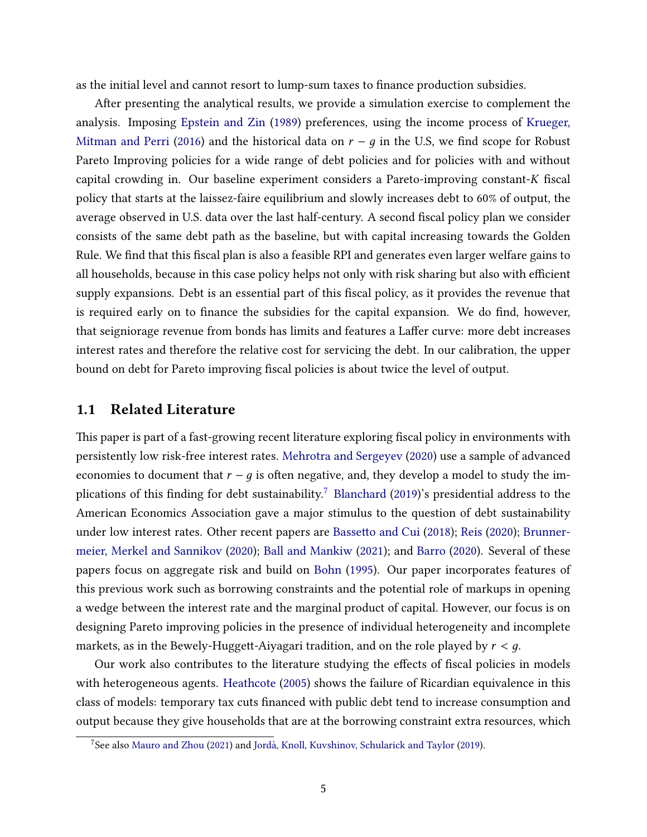as the initial level and cannot resort to lump-sum taxes to finance production subsidies.

After presenting the analytical results, we provide a simulation exercise to complement the analysis. Imposing [Epstein and Zin](#page-45-2) [\(1989\)](#page-45-2) preferences, using the income process of [Krueger,](#page-46-0) [Mitman and Perri](#page-46-0) [\(2016\)](#page-46-0) and the historical data on  $r - q$  in the U.S, we find scope for Robust Pareto Improving policies for a wide range of debt policies and for policies with and without capital crowding in. Our baseline experiment considers a Pareto-improving constant- $K$  fiscal policy that starts at the laissez-faire equilibrium and slowly increases debt to 60% of output, the average observed in U.S. data over the last half-century. A second fiscal policy plan we consider consists of the same debt path as the baseline, but with capital increasing towards the Golden Rule. We find that this fiscal plan is also a feasible RPI and generates even larger welfare gains to all households, because in this case policy helps not only with risk sharing but also with efficient supply expansions. Debt is an essential part of this fiscal policy, as it provides the revenue that is required early on to finance the subsidies for the capital expansion. We do find, however, that seigniorage revenue from bonds has limits and features a Laffer curve: more debt increases interest rates and therefore the relative cost for servicing the debt. In our calibration, the upper bound on debt for Pareto improving fiscal policies is about twice the level of output.

#### 1.1 Related Literature

This paper is part of a fast-growing recent literature exploring fiscal policy in environments with persistently low risk-free interest rates. [Mehrotra and Sergeyev](#page-47-2) [\(2020\)](#page-47-2) use a sample of advanced economies to document that  $r - q$  is often negative, and, they develop a model to study the im-plications of this finding for debt sustainability.<sup>[7](#page-4-0)</sup> [Blanchard](#page-45-3) [\(2019\)](#page-45-3)'s presidential address to the American Economics Association gave a major stimulus to the question of debt sustainability under low interest rates. Other recent papers are Bassetto and Cui [\(2018\)](#page-44-2); [Reis](#page-47-3) [\(2020\)](#page-47-3); [Brunner](#page-45-4)[meier, Merkel and Sannikov](#page-45-4) [\(2020\)](#page-45-4); [Ball and Mankiw](#page-44-3) [\(2021\)](#page-44-3); and [Barro](#page-44-4) [\(2020\)](#page-44-4). Several of these papers focus on aggregate risk and build on [Bohn](#page-45-5) [\(1995\)](#page-45-5). Our paper incorporates features of this previous work such as borrowing constraints and the potential role of markups in opening a wedge between the interest rate and the marginal product of capital. However, our focus is on designing Pareto improving policies in the presence of individual heterogeneity and incomplete markets, as in the Bewely-Huggett-Aiyagari tradition, and on the role played by  $r < q$ .

Our work also contributes to the literature studying the effects of fiscal policies in models with heterogeneous agents. [Heathcote](#page-46-1) [\(2005\)](#page-46-1) shows the failure of Ricardian equivalence in this class of models: temporary tax cuts financed with public debt tend to increase consumption and output because they give households that are at the borrowing constraint extra resources, which

<span id="page-4-0"></span> $7$ See also [Mauro and Zhou](#page-47-4) [\(2021\)](#page-47-4) and Jordà, Knoll, Kuvshinov, Schularick and Taylor [\(2019\)](#page-46-2).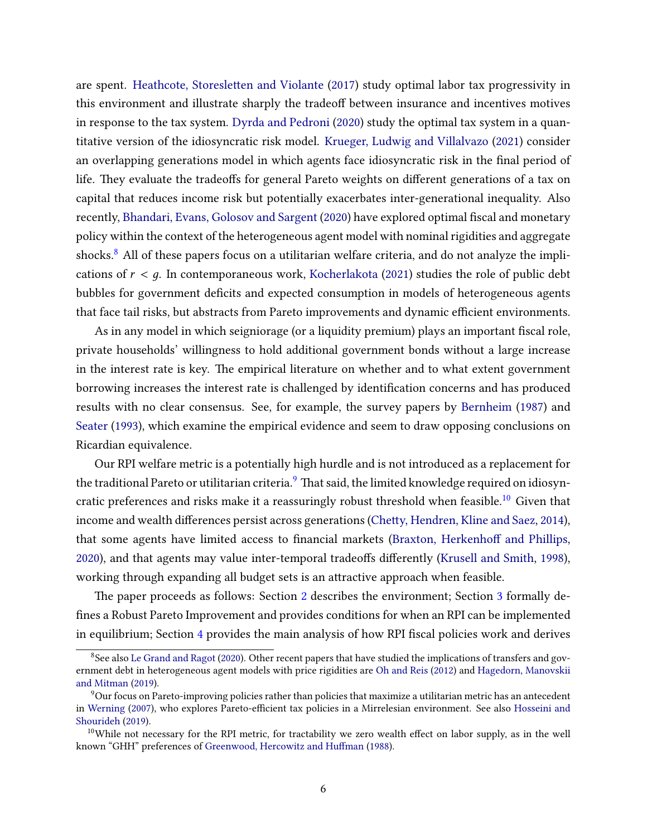are spent. Heathcote, Storesletten and Violante [\(2017\)](#page-46-3) study optimal labor tax progressivity in this environment and illustrate sharply the tradeoff between insurance and incentives motives in response to the tax system. [Dyrda and Pedroni](#page-45-6) [\(2020\)](#page-45-6) study the optimal tax system in a quantitative version of the idiosyncratic risk model. [Krueger, Ludwig and Villalvazo](#page-46-4) [\(2021\)](#page-46-4) consider an overlapping generations model in which agents face idiosyncratic risk in the final period of life. They evaluate the tradeoffs for general Pareto weights on different generations of a tax on capital that reduces income risk but potentially exacerbates inter-generational inequality. Also recently, [Bhandari, Evans, Golosov and Sargent](#page-45-7) [\(2020\)](#page-45-7) have explored optimal fiscal and monetary policy within the context of the heterogeneous agent model with nominal rigidities and aggregate shocks.<sup>[8](#page-5-0)</sup> All of these papers focus on a utilitarian welfare criteria, and do not analyze the implications of  $r < q$ . In contemporaneous work, [Kocherlakota](#page-46-5) [\(2021\)](#page-46-5) studies the role of public debt bubbles for government deficits and expected consumption in models of heterogeneous agents that face tail risks, but abstracts from Pareto improvements and dynamic efficient environments.

As in any model in which seigniorage (or a liquidity premium) plays an important fiscal role, private households' willingness to hold additional government bonds without a large increase in the interest rate is key. The empirical literature on whether and to what extent government borrowing increases the interest rate is challenged by identification concerns and has produced results with no clear consensus. See, for example, the survey papers by [Bernheim](#page-44-5) [\(1987\)](#page-44-5) and [Seater](#page-47-5) [\(1993\)](#page-47-5), which examine the empirical evidence and seem to draw opposing conclusions on Ricardian equivalence.

Our RPI welfare metric is a potentially high hurdle and is not introduced as a replacement for the traditional Pareto or utilitarian criteria.<sup>[9](#page-5-1)</sup> That said, the limited knowledge required on idiosyn-cratic preferences and risks make it a reassuringly robust threshold when feasible.<sup>[10](#page-5-2)</sup> Given that income and wealth differences persist across generations (Chetty, Hendren, Kline and Saez, [2014\)](#page-45-8), that some agents have limited access to financial markets (Braxton, Herkenhoff and Phillips, [2020\)](#page-45-9), and that agents may value inter-temporal tradeoffs differently [\(Krusell and Smith,](#page-46-6) [1998\)](#page-46-6), working through expanding all budget sets is an attractive approach when feasible.

The paper proceeds as follows: Section [2](#page-6-0) describes the environment; Section [3](#page-11-0) formally defines a Robust Pareto Improvement and provides conditions for when an RPI can be implemented in equilibrium; Section [4](#page-16-0) provides the main analysis of how RPI fiscal policies work and derives

<span id="page-5-0"></span><sup>&</sup>lt;sup>8</sup>See also [Le Grand and Ragot](#page-46-7) [\(2020\)](#page-46-7). Other recent papers that have studied the implications of transfers and government debt in heterogeneous agent models with price rigidities are [Oh and Reis](#page-47-6) [\(2012\)](#page-47-6) and [Hagedorn, Manovskii](#page-46-8) [and Mitman](#page-46-8) [\(2019\)](#page-46-8).

<span id="page-5-1"></span><sup>9</sup>Our focus on Pareto-improving policies rather than policies that maximize a utilitarian metric has an antecedent in [Werning](#page-47-7) [\(2007\)](#page-47-7), who explores Pareto-efficient tax policies in a Mirrelesian environment. See also [Hosseini and](#page-46-9) [Shourideh](#page-46-9) [\(2019\)](#page-46-9).

<span id="page-5-2"></span> $10$ While not necessary for the RPI metric, for tractability we zero wealth effect on labor supply, as in the well known "GHH" preferences of Greenwood, Hercowitz and Huffman [\(1988\)](#page-46-10).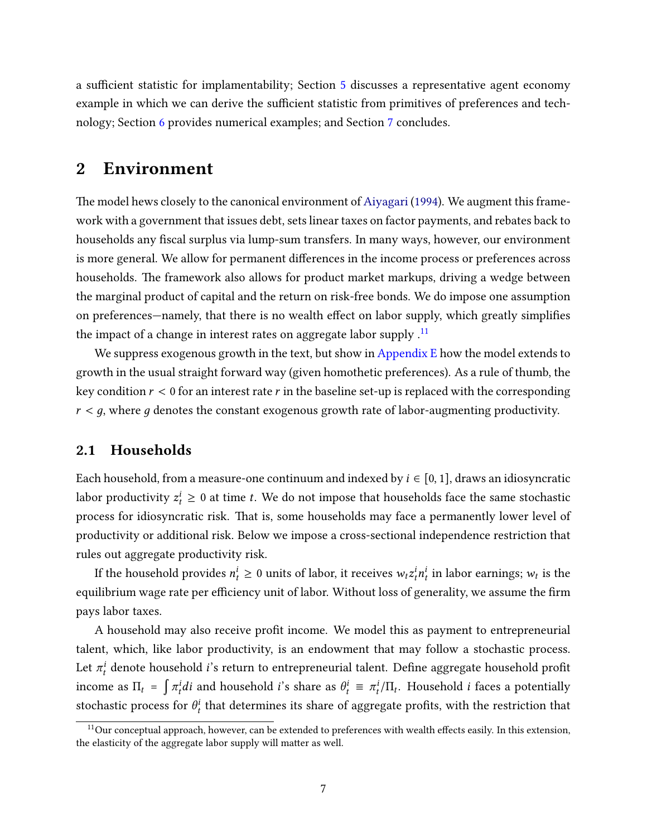a sufficient statistic for implamentability; Section [5](#page-29-0) discusses a representative agent economy example in which we can derive the sufficient statistic from primitives of preferences and technology; Section [6](#page-32-0) provides numerical examples; and Section [7](#page-42-0) concludes.

### <span id="page-6-0"></span>2 Environment

The model hews closely to the canonical environment of [Aiyagari](#page-44-6) [\(1994\)](#page-44-6). We augment this framework with a government that issues debt, sets linear taxes on factor payments, and rebates back to households any fiscal surplus via lump-sum transfers. In many ways, however, our environment is more general. We allow for permanent differences in the income process or preferences across households. The framework also allows for product market markups, driving a wedge between the marginal product of capital and the return on risk-free bonds. We do impose one assumption on preferences—namely, that there is no wealth effect on labor supply, which greatly simplifies the impact of a change in interest rates on aggregate labor supply  $\cdot$ <sup>[11](#page-6-1)</sup>

We suppress exogenous growth in the text, but show in [Appendix E](#page-55-0) how the model extends to growth in the usual straight forward way (given homothetic preferences). As a rule of thumb, the key condition  $r < 0$  for an interest rate r in the baseline set-up is replaced with the corresponding  $r < g$ , where g denotes the constant exogenous growth rate of labor-augmenting productivity.

#### 2.1 Households

Each household, from a measure-one continuum and indexed by  $i \in [0, 1]$ , draws an idiosyncratic labor productivity  $z_t^i \geq 0$  at time  $t.$  We do not impose that households face the same stochastic process for idiosyncratic risk. That is, some households may face a permanently lower level of productivity or additional risk. Below we impose a cross-sectional independence restriction that rules out aggregate productivity risk.

If the household provides  $n_t^i \geq 0$  units of labor, it receives  $w_t z_t^i n_t^i$  in labor earnings;  $w_t$  is the equilibrium wage rate per efficiency unit of labor. Without loss of generality, we assume the firm pays labor taxes.

A household may also receive profit income. We model this as payment to entrepreneurial talent, which, like labor productivity, is an endowment that may follow a stochastic process. Let  $\pi_t^i$  denote household  $i$ 's return to entrepreneurial talent. Define aggregate household profit income as  $\Pi_t = \int \pi_t^i di$  and household  $i$ 's share as  $\theta_t^i \equiv \pi_t^i / \Pi_t$ . Household  $i$  faces a potentially stochastic process for  $\theta_t^i$  that determines its share of aggregate profits, with the restriction that

<span id="page-6-1"></span> $11$ Our conceptual approach, however, can be extended to preferences with wealth effects easily. In this extension, the elasticity of the aggregate labor supply will matter as well.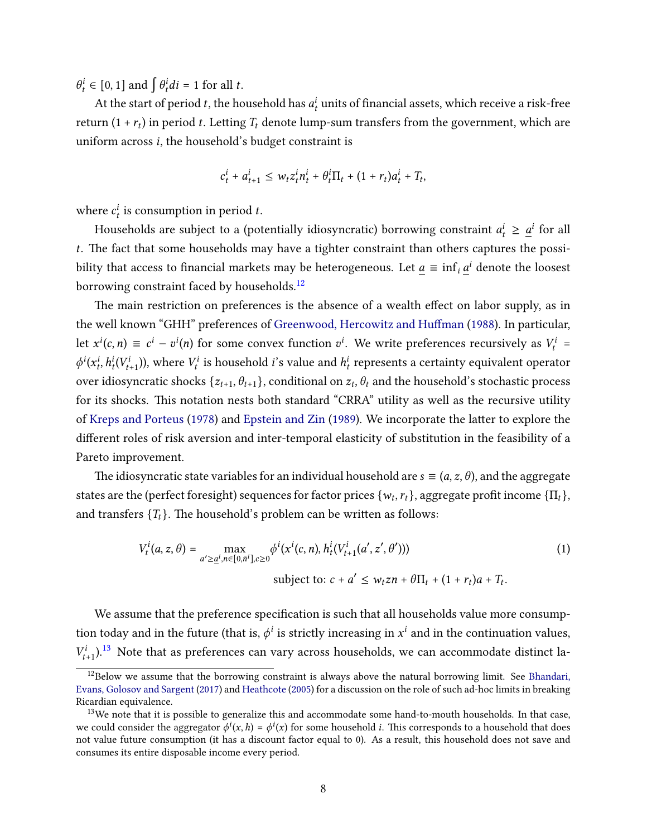$\theta_t^i \in [0, 1]$  and  $\int \theta_t^i dt = 1$  for all t.

At the start of period  $t$ , the household has  $a_t^i$  units of financial assets, which receive a risk-free return  $(1 + r_t)$  in period t. Letting  $T_t$  denote lump-sum transfers from the government, which are uniform across  $i$ , the household's budget constraint is

$$
c_t^i + a_{t+1}^i \leq w_t z_t^i n_t^i + \theta_t^i \Pi_t + (1 + r_t) a_t^i + T_t,
$$

where  $c_t^i$  is consumption in period t.

Households are subject to a (potentially idiosyncratic) borrowing constraint  $a_t^i \geq \underline{a}^i$  for all  $t$ . The fact that some households may have a tighter constraint than others captures the possibility that access to financial markets may be heterogeneous. Let  $\underline{a} \equiv \inf_i \underline{a}^i$  denote the loosest borrowing constraint faced by households.<sup>[12](#page-7-0)</sup>

The main restriction on preferences is the absence of a wealth effect on labor supply, as in the well known "GHH" preferences of Greenwood, Hercowitz and Huffman [\(1988\)](#page-46-10). In particular, let  $x^{i}(c, n) \equiv c^{i} - v^{i}(n)$  for some convex function  $v^{i}$ . We write preferences recursively as  $V_{t}^{i}$  =  $\phi^i(x_t^i, h_t^i(V_{t+1}^i))$ , where  $V_t^i$  is household *i*'s value and  $h_t^i$  represents a certainty equivalent operator over idiosyncratic shocks  $\{z_{t+1}, \theta_{t+1}\}$ , conditional on  $z_t, \theta_t$  and the household's stochastic process for its shocks. This notation nests both standard "CRRA" utility as well as the recursive utility of [Kreps and Porteus](#page-46-11) [\(1978\)](#page-46-11) and [Epstein and Zin](#page-45-2) [\(1989\)](#page-45-2). We incorporate the latter to explore the different roles of risk aversion and inter-temporal elasticity of substitution in the feasibility of a Pareto improvement.

The idiosyncratic state variables for an individual household are  $s \equiv (a, z, \theta)$ , and the aggregate states are the (perfect foresight) sequences for factor prices  $\{w_t, r_t\}$ , aggregate profit income  $\{\Pi_t\}$ , and transfers  $\{T_t\}$ . The household's problem can be written as follows:

<span id="page-7-2"></span>
$$
V_t^i(a, z, \theta) = \max_{a' \ge \underline{a}^i, n \in [0, \bar{n}^i], c \ge 0} \phi^i(x^i(c, n), h_t^i(V_{t+1}^i(a', z', \theta'))) \tag{1}
$$
  
subject to:  $c + a' \le w_t z n + \theta \Pi_t + (1 + r_t)a + T_t$ .

We assume that the preference specification is such that all households value more consumption today and in the future (that is,  $\phi^i$  is strictly increasing in  $x^i$  and in the continuation values,  $V_{t+1}^i$ ).<sup>[13](#page-7-1)</sup> Note that as preferences can vary across households, we can accommodate distinct la-

<span id="page-7-0"></span> $12$ Below we assume that the borrowing constraint is always above the natural borrowing limit. See [Bhandari,](#page-44-7) [Evans, Golosov and Sargent](#page-44-7) [\(2017\)](#page-44-7) and [Heathcote](#page-46-1) [\(2005\)](#page-46-1) for a discussion on the role of such ad-hoc limits in breaking Ricardian equivalence.

<span id="page-7-1"></span><sup>&</sup>lt;sup>13</sup>We note that it is possible to generalize this and accommodate some hand-to-mouth households. In that case, we could consider the aggregator  $\phi^i(x, h) = \phi^i(x)$  for some household *i*. This corresponds to a household that does not value future consumption (it has a discount factor equal to 0). As a result, this household does not save and consumes its entire disposable income every period.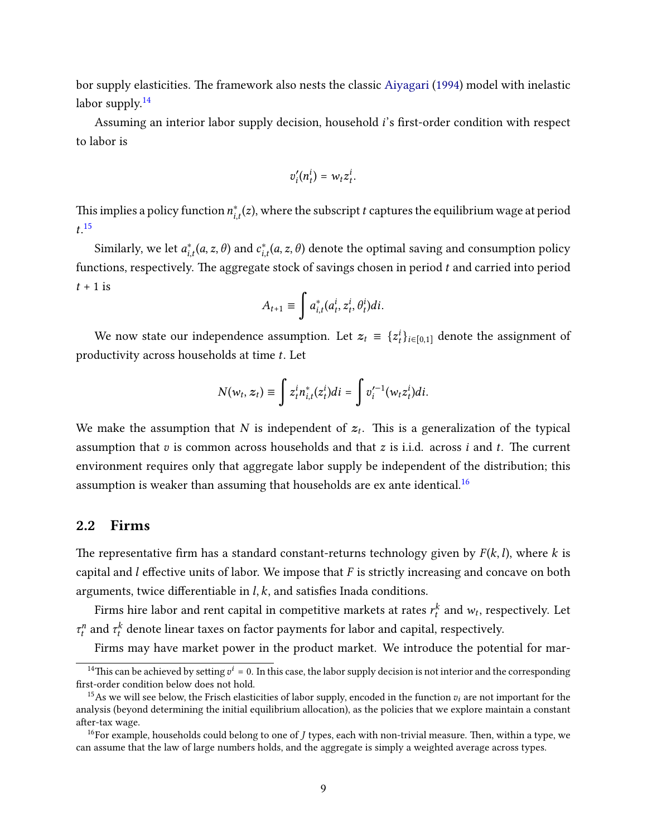bor supply elasticities. The framework also nests the classic [Aiyagari](#page-44-6) [\(1994\)](#page-44-6) model with inelastic labor supply.<sup>[14](#page-8-0)</sup>

Assuming an interior labor supply decision, household  $i$ 's first-order condition with respect to labor is

$$
v_i'(n_t^i) = w_t z_t^i.
$$

This implies a policy function  $n_{i,t}^*(z)$ , where the subscript  $t$  captures the equilibrium wage at period  $t.^{15}$  $t.^{15}$  $t.^{15}$ 

Similarly, we let  $a_{i,t}^*(a, z, \theta)$  and  $c_{i,t}^*(a, z, \theta)$  denote the optimal saving and consumption policy functions, respectively. The aggregate stock of savings chosen in period  $t$  and carried into period  $t + 1$  is

$$
A_{t+1} \equiv \int a_{i,t}^*(a_t^i, z_t^i, \theta_t^i)di.
$$

We now state our independence assumption. Let  $z_t = \{z_t^i\}_{i \in [0,1]}$  denote the assignment of productivity across households at time  $t$ . Let

$$
N(w_t, z_t) \equiv \int z_t^i n_{i,t}^*(z_t^i)di = \int v_i'^{-1}(w_t z_t^i)di.
$$

We make the assumption that N is independent of  $z_t$ . This is a generalization of the typical assumption that  $v$  is common across households and that  $z$  is i.i.d. across  $i$  and  $t$ . The current environment requires only that aggregate labor supply be independent of the distribution; this assumption is weaker than assuming that households are ex ante identical.<sup>[16](#page-8-2)</sup>

### 2.2 Firms

The representative firm has a standard constant-returns technology given by  $F(k, l)$ , where k is capital and  $l$  effective units of labor. We impose that  $F$  is strictly increasing and concave on both arguments, twice differentiable in  $l, k$ , and satisfies Inada conditions.

Firms hire labor and rent capital in competitive markets at rates  $r_t^k$  and  $w_t$ , respectively. Let  $\tau_t^n$  and  $\tau_t^k$  denote linear taxes on factor payments for labor and capital, respectively.

Firms may have market power in the product market. We introduce the potential for mar-

<span id="page-8-0"></span><sup>&</sup>lt;sup>14</sup>This can be achieved by setting  $v^i = 0$ . In this case, the labor supply decision is not interior and the corresponding first-order condition below does not hold.

<span id="page-8-1"></span><sup>&</sup>lt;sup>15</sup>As we will see below, the Frisch elasticities of labor supply, encoded in the function  $v_i$  are not important for the analysis (beyond determining the initial equilibrium allocation), as the policies that we explore maintain a constant after-tax wage.

<span id="page-8-2"></span><sup>&</sup>lt;sup>16</sup>For example, households could belong to one of  $J$  types, each with non-trivial measure. Then, within a type, we can assume that the law of large numbers holds, and the aggregate is simply a weighted average across types.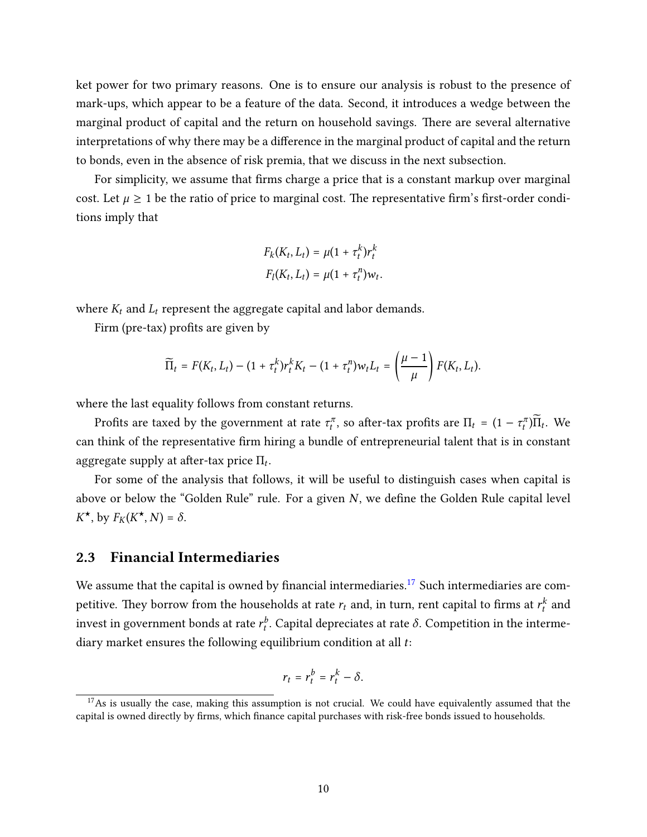ket power for two primary reasons. One is to ensure our analysis is robust to the presence of mark-ups, which appear to be a feature of the data. Second, it introduces a wedge between the marginal product of capital and the return on household savings. There are several alternative interpretations of why there may be a difference in the marginal product of capital and the return to bonds, even in the absence of risk premia, that we discuss in the next subsection.

For simplicity, we assume that firms charge a price that is a constant markup over marginal cost. Let  $\mu \geq 1$  be the ratio of price to marginal cost. The representative firm's first-order conditions imply that

$$
F_k(K_t, L_t) = \mu(1 + \tau_t^k)r_t^k
$$
  

$$
F_l(K_t, L_t) = \mu(1 + \tau_t^n)w_t.
$$

where  $K_t$  and  $L_t$  represent the aggregate capital and labor demands.

Firm (pre-tax) profits are given by

$$
\widetilde{\Pi}_t = F(K_t, L_t) - (1 + \tau_t^k) r_t^k K_t - (1 + \tau_t^n) w_t L_t = \left(\frac{\mu - 1}{\mu}\right) F(K_t, L_t).
$$

where the last equality follows from constant returns.

Profits are taxed by the government at rate  $\tau_t^\pi$ , so after-tax profits are  $\Pi_t = (1 - \tau_t^\pi) \widetilde{\Pi}_t$ . We can think of the representative firm hiring a bundle of entrepreneurial talent that is in constant aggregate supply at after-tax price  $\Pi_t$ .

For some of the analysis that follows, it will be useful to distinguish cases when capital is above or below the "Golden Rule" rule. For a given  $N$ , we define the Golden Rule capital level  $K^{\star}$ , by  $F_K(K^{\star}, N) = \delta$ .

#### 2.3 Financial Intermediaries

We assume that the capital is owned by financial intermediaries.<sup>[17](#page-9-0)</sup> Such intermediaries are competitive. They borrow from the households at rate  $r_t$  and, in turn, rent capital to firms at  $r_t^k$  and invest in government bonds at rate  $r_t^b$ . Capital depreciates at rate  $\delta$ . Competition in the intermediary market ensures the following equilibrium condition at all  $t$ :

$$
r_t = r_t^b = r_t^k - \delta.
$$

<span id="page-9-0"></span> $17$ As is usually the case, making this assumption is not crucial. We could have equivalently assumed that the capital is owned directly by firms, which finance capital purchases with risk-free bonds issued to households.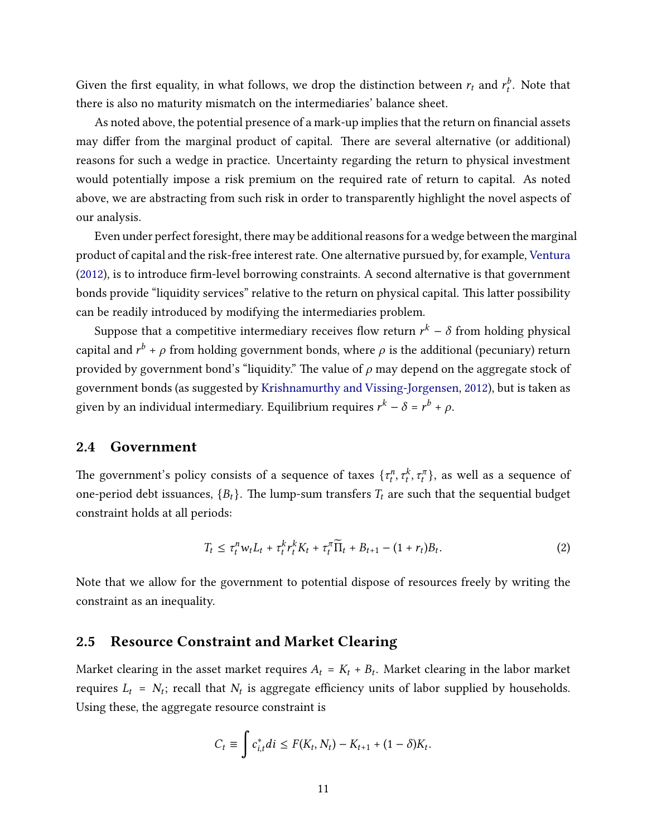Given the first equality, in what follows, we drop the distinction between  $r_t$  and  $r_t^b$ . Note that there is also no maturity mismatch on the intermediaries' balance sheet.

As noted above, the potential presence of a mark-up implies that the return on financial assets may differ from the marginal product of capital. There are several alternative (or additional) reasons for such a wedge in practice. Uncertainty regarding the return to physical investment would potentially impose a risk premium on the required rate of return to capital. As noted above, we are abstracting from such risk in order to transparently highlight the novel aspects of our analysis.

Even under perfect foresight, there may be additional reasons for a wedge between the marginal product of capital and the risk-free interest rate. One alternative pursued by, for example, [Ventura](#page-47-8)  $(2012)$ , is to introduce firm-level borrowing constraints. A second alternative is that government bonds provide "liquidity services" relative to the return on physical capital. This latter possibility can be readily introduced by modifying the intermediaries problem.

Suppose that a competitive intermediary receives flow return  $r^k-\delta$  from holding physical capital and  $r^{b}$  +  $\rho$  from holding government bonds, where  $\rho$  is the additional (pecuniary) return provided by government bond's "liquidity." The value of  $\rho$  may depend on the aggregate stock of government bonds (as suggested by [Krishnamurthy and Vissing-Jorgensen,](#page-46-12) [2012\)](#page-46-12), but is taken as given by an individual intermediary. Equilibrium requires  $r^k - \delta = r^b + \rho$ .

#### 2.4 Government

The government's policy consists of a sequence of taxes  $\{\tau^{\:\!n}_{t},\tau^{\:\!k}_{t},\tau^{\pi}_{t}\}$ , as well as a sequence of one-period debt issuances,  ${B_t}$ . The lump-sum transfers  $T_t$  are such that the sequential budget constraint holds at all periods:

<span id="page-10-0"></span>
$$
T_t \leq \tau_t^n w_t L_t + \tau_t^k r_t^k K_t + \tau_t^{\pi} \widetilde{\Pi}_t + B_{t+1} - (1+r_t) B_t.
$$
 (2)

Note that we allow for the government to potential dispose of resources freely by writing the constraint as an inequality.

### 2.5 Resource Constraint and Market Clearing

Market clearing in the asset market requires  $A_t = K_t + B_t$ . Market clearing in the labor market requires  $L_t = N_t$ ; recall that  $N_t$  is aggregate efficiency units of labor supplied by households. Using these, the aggregate resource constraint is

$$
C_t \equiv \int c_{i,t}^* di \leq F(K_t, N_t) - K_{t+1} + (1 - \delta)K_t.
$$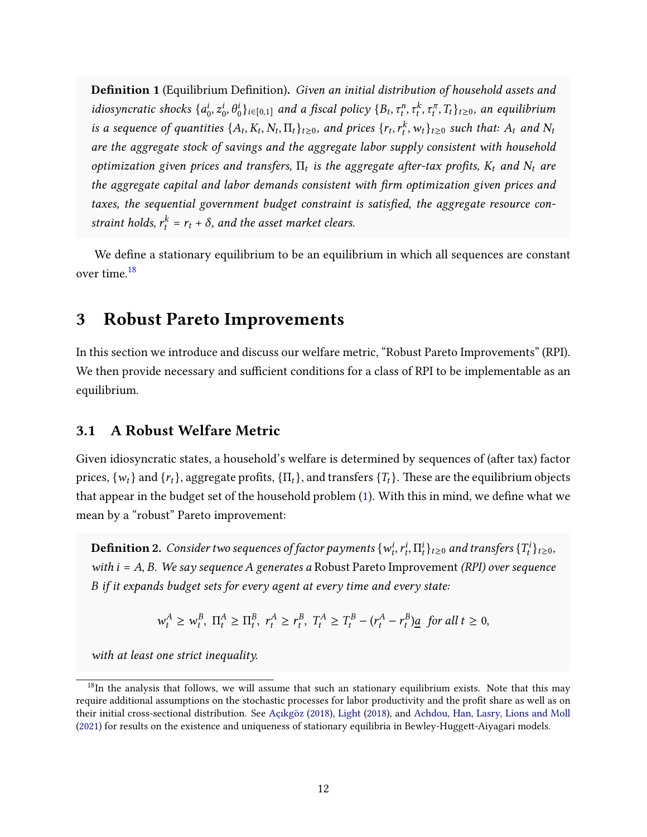Definition 1 (Equilibrium Definition). Given an initial distribution of household assets and idiosyncratic shocks  $\{a_i^i\}$  $\{a_0, a_0^i, b_0^i\}_{i\in[0,1]}$  and a fiscal policy  $\{B_t, \tau_t^n, \tau_t^k, \tau_t^\pi, T_t\}_{t\geq0},$  an equilibrium is a sequence of quantities  $\{A_t, K_t, N_t, \Pi_t\}_{t\geq0}$ , and prices  $\{r_t, r_t^k, w_t\}_{t\geq0}$  such that:  $A_t$  and  $N_t$ are the aggregate stock of savings and the aggregate labor supply consistent with household optimization given prices and transfers,  $\Pi_t$  is the aggregate after-tax profits,  $K_t$  and  $N_t$  are the aggregate capital and labor demands consistent with firm optimization given prices and taxes, the sequential government budget constraint is satisfied, the aggregate resource constraint holds,  $r_t^k = r_t + \delta$ , and the asset market clears.

We define a stationary equilibrium to be an equilibrium in which all sequences are constant over time.[18](#page-11-1)

### <span id="page-11-0"></span>3 Robust Pareto Improvements

In this section we introduce and discuss our welfare metric, "Robust Pareto Improvements" (RPI). We then provide necessary and sufficient conditions for a class of RPI to be implementable as an equilibrium.

### 3.1 A Robust Welfare Metric

Given idiosyncratic states, a household's welfare is determined by sequences of (after tax) factor prices,  $\{w_t\}$  and  $\{r_t\}$ , aggregate profits,  $\{\Pi_t\}$ , and transfers  $\{T_t\}$ . These are the equilibrium objects that appear in the budget set of the household problem  $(1)$ . With this in mind, we define what we mean by a "robust" Pareto improvement:

**Definition 2.** Consider two sequences of factor payments  $\{w^i_t, r^i_t, \Pi^i_t\}_{t\geq0}$  and transfers  $\{T^i_t\}_{t\geq0}$ , with  $i = A$ , B. We say sequence A generates a Robust Pareto Improvement (RPI) over sequence B if it expands budget sets for every agent at every time and every state:

$$
w_t^A \geq w_t^B
$$
,  $\Pi_t^A \geq \Pi_t^B$ ,  $r_t^A \geq r_t^B$ ,  $T_t^A \geq T_t^B - (r_t^A - r_t^B) \underline{a}$  for all  $t \geq 0$ ,

with at least one strict inequality.

<span id="page-11-1"></span> $18$ In the analysis that follows, we will assume that such an stationary equilibrium exists. Note that this may require additional assumptions on the stochastic processes for labor productivity and the profit share as well as on their initial cross-sectional distribution. See Açıkgöz [\(2018\)](#page-46-13), [Light](#page-46-13) (2018), and [Achdou, Han, Lasry, Lions and Moll](#page-44-9) [\(2021\)](#page-44-9) for results on the existence and uniqueness of stationary equilibria in Bewley-Huggett-Aiyagari models.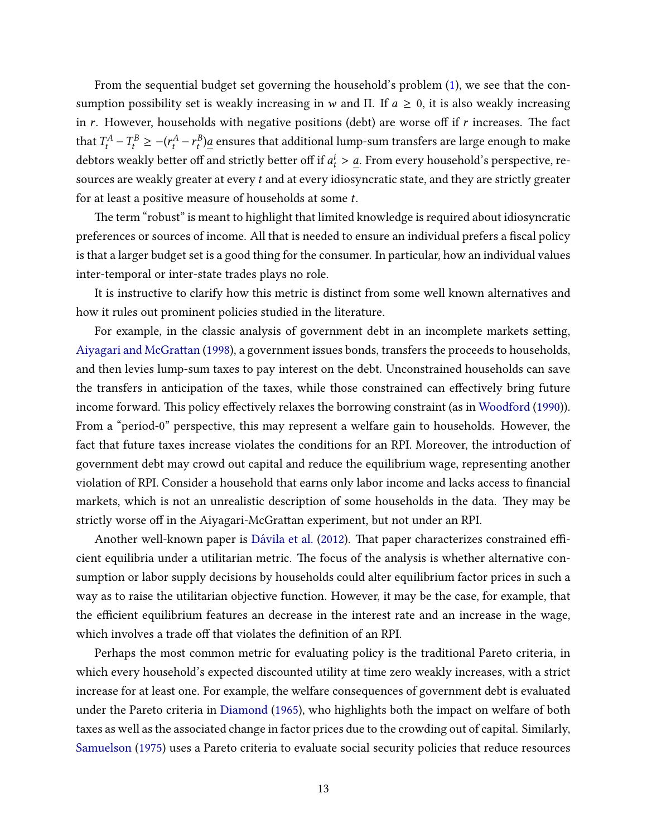From the sequential budget set governing the household's problem [\(1\)](#page-7-2), we see that the consumption possibility set is weakly increasing in w and Π. If  $a \ge 0$ , it is also weakly increasing in  $r$ . However, households with negative positions (debt) are worse off if  $r$  increases. The fact that  $T_t^A - T_t^B \ge -(r_t^A - r_t^B) \underline{a}$  ensures that additional lump-sum transfers are large enough to make debtors weakly better off and strictly better off if  $a_t^i > \underline{a}$ . From every household's perspective, resources are weakly greater at every  $t$  and at every idiosyncratic state, and they are strictly greater for at least a positive measure of households at some t.

The term "robust" is meant to highlight that limited knowledge is required about idiosyncratic preferences or sources of income. All that is needed to ensure an individual prefers a fiscal policy is that a larger budget set is a good thing for the consumer. In particular, how an individual values inter-temporal or inter-state trades plays no role.

It is instructive to clarify how this metric is distinct from some well known alternatives and how it rules out prominent policies studied in the literature.

For example, in the classic analysis of government debt in an incomplete markets setting, Aiyagari and McGrattan [\(1998\)](#page-44-0), a government issues bonds, transfers the proceeds to households, and then levies lump-sum taxes to pay interest on the debt. Unconstrained households can save the transfers in anticipation of the taxes, while those constrained can effectively bring future income forward. This policy effectively relaxes the borrowing constraint (as in [Woodford](#page-47-0) [\(1990\)](#page-47-0)). From a "period-0" perspective, this may represent a welfare gain to households. However, the fact that future taxes increase violates the conditions for an RPI. Moreover, the introduction of government debt may crowd out capital and reduce the equilibrium wage, representing another violation of RPI. Consider a household that earns only labor income and lacks access to financial markets, which is not an unrealistic description of some households in the data. They may be strictly worse off in the Aiyagari-McGrattan experiment, but not under an RPI.

Another well-known paper is Dávila et al. [\(2012\)](#page-45-0). That paper characterizes constrained efficient equilibria under a utilitarian metric. The focus of the analysis is whether alternative consumption or labor supply decisions by households could alter equilibrium factor prices in such a way as to raise the utilitarian objective function. However, it may be the case, for example, that the efficient equilibrium features an decrease in the interest rate and an increase in the wage, which involves a trade off that violates the definition of an RPI.

Perhaps the most common metric for evaluating policy is the traditional Pareto criteria, in which every household's expected discounted utility at time zero weakly increases, with a strict increase for at least one. For example, the welfare consequences of government debt is evaluated under the Pareto criteria in [Diamond](#page-45-1) [\(1965\)](#page-45-1), who highlights both the impact on welfare of both taxes as well as the associated change in factor prices due to the crowding out of capital. Similarly, [Samuelson](#page-47-9) [\(1975\)](#page-47-9) uses a Pareto criteria to evaluate social security policies that reduce resources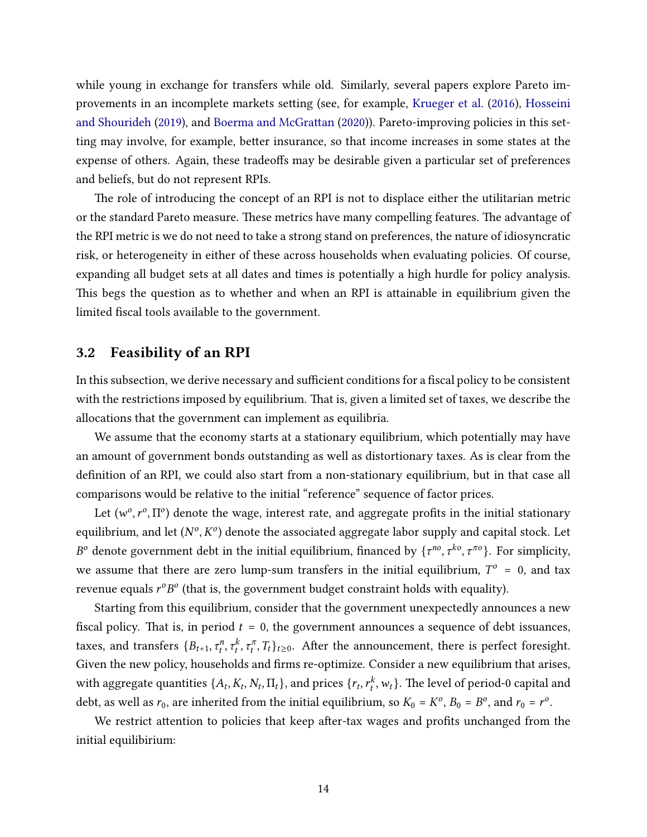while young in exchange for transfers while old. Similarly, several papers explore Pareto im-provements in an incomplete markets setting (see, for example, [Krueger et al.](#page-46-0) [\(2016\)](#page-46-0), [Hosseini](#page-46-9) [and Shourideh](#page-46-9) [\(2019\)](#page-46-9), and Boerma and McGrattan [\(2020\)](#page-45-10)). Pareto-improving policies in this setting may involve, for example, better insurance, so that income increases in some states at the expense of others. Again, these tradeoffs may be desirable given a particular set of preferences and beliefs, but do not represent RPIs.

The role of introducing the concept of an RPI is not to displace either the utilitarian metric or the standard Pareto measure. These metrics have many compelling features. The advantage of the RPI metric is we do not need to take a strong stand on preferences, the nature of idiosyncratic risk, or heterogeneity in either of these across households when evaluating policies. Of course, expanding all budget sets at all dates and times is potentially a high hurdle for policy analysis. This begs the question as to whether and when an RPI is attainable in equilibrium given the limited fiscal tools available to the government.

#### 3.2 Feasibility of an RPI

In this subsection, we derive necessary and sufficient conditions for a fiscal policy to be consistent with the restrictions imposed by equilibrium. That is, given a limited set of taxes, we describe the allocations that the government can implement as equilibria.

We assume that the economy starts at a stationary equilibrium, which potentially may have an amount of government bonds outstanding as well as distortionary taxes. As is clear from the definition of an RPI, we could also start from a non-stationary equilibrium, but in that case all comparisons would be relative to the initial "reference" sequence of factor prices.

Let  $(w^o, r^o, \Pi^o)$  denote the wage, interest rate, and aggregate profits in the initial stationary equilibrium, and let  $(N^o, K^o)$  denote the associated aggregate labor supply and capital stock. Let  $B^o$  denote government debt in the initial equilibrium, financed by  $\{\tau^{no}, \tau^{ko}, \tau^{no}\}$ . For simplicity, we assume that there are zero lump-sum transfers in the initial equilibrium,  $T^{\circ} = 0$ , and tax revenue equals  $r^oB^o$  (that is, the government budget constraint holds with equality).

Starting from this equilibrium, consider that the government unexpectedly announces a new fiscal policy. That is, in period  $t = 0$ , the government announces a sequence of debt issuances, taxes, and transfers  $\{B_{t+1}, \tau_t^n, \tau_t^k, \tau_t^\pi, T_t\}_{t\geq 0}$ . After the announcement, there is perfect foresight. Given the new policy, households and firms re-optimize. Consider a new equilibrium that arises, with aggregate quantities  $\{A_t,K_t,N_t,\Pi_t\},$  and prices  $\{r_t,r_t^k,w_t\}.$  The level of period-0 capital and debt, as well as  $r_0$ , are inherited from the initial equilibrium, so  $K_0 = K^o$ ,  $B_0 = B^o$ , and  $r_0 = r^o$ .

We restrict attention to policies that keep after-tax wages and profits unchanged from the initial equilibirium: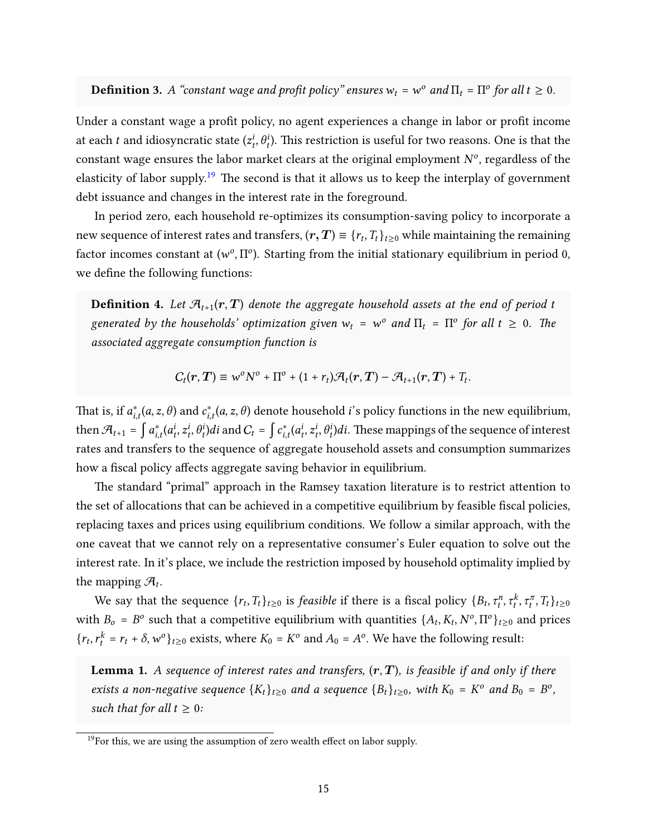**Definition 3.** A "constant wage and profit policy" ensures  $w_t = w^o$  and  $\Pi_t = \Pi^o$  for all  $t \ge 0$ .

Under a constant wage a profit policy, no agent experiences a change in labor or profit income at each  $t$  and idiosyncratic state  $(z^i_t, \theta^i_t)$ . This restriction is useful for two reasons. One is that the constant wage ensures the labor market clears at the original employment  $N^o$ , regardless of the elasticity of labor supply.<sup>[19](#page-14-0)</sup> The second is that it allows us to keep the interplay of government debt issuance and changes in the interest rate in the foreground.

In period zero, each household re-optimizes its consumption-saving policy to incorporate a new sequence of interest rates and transfers,  $(\bm{r},\bm{T})\equiv\{r_t,T_t\}_{t\geq0}$  while maintaining the remaining factor incomes constant at ( $w^o$ ,  $\Pi^o$ ). Starting from the initial stationary equilibrium in period 0, we define the following functions:

<span id="page-14-2"></span>**Definition 4.** Let  $\mathcal{A}_{t+1}(r,T)$  denote the aggregate household assets at the end of period t generated by the households' optimization given  $w_t = w^o$  and  $\Pi_t = \Pi^o$  for all  $t \geq 0$ . The associated aggregate consumption function is

$$
C_t(r,T) \equiv w^{\circ}N^{\circ} + \Pi^{\circ} + (1+r_t)\mathcal{A}_t(r,T) - \mathcal{A}_{t+1}(r,T) + T_t.
$$

That is, if  $a_{i,t}^*(a,z,\theta)$  and  $c_{i,t}^*(a,z,\theta)$  denote household  $i$ 's policy functions in the new equilibrium, then  $\mathcal{A}_{t+1} = \int a_{i,t}^*(a_t^i, z_t^i, \theta_t^i)di$  and  $C_t = \int c_{i,t}^*(a_t^i, z_t^i, \theta_t^i)di$ . These mappings of the sequence of interest rates and transfers to the sequence of aggregate household assets and consumption summarizes how a fiscal policy affects aggregate saving behavior in equilibrium.

The standard "primal" approach in the Ramsey taxation literature is to restrict attention to the set of allocations that can be achieved in a competitive equilibrium by feasible fiscal policies, replacing taxes and prices using equilibrium conditions. We follow a similar approach, with the one caveat that we cannot rely on a representative consumer's Euler equation to solve out the interest rate. In it's place, we include the restriction imposed by household optimality implied by the mapping  $\mathcal{A}_t$ .

We say that the sequence  $\{r_t, T_t\}_{t\geq0}$  is *feasible* if there is a fiscal policy  $\{B_t, \tau_t^n, \tau_t^k, \tau_t^{\pi}, T_t\}_{t\geq0}$ with  $B_o = B^o$  such that a competitive equilibrium with quantities  $\{A_t, K_t, N^o, \Pi^o\}_{t>0}$  and prices  $\{r_t, r_t^k = r_t + \delta, w^o\}_{t \geq 0}$  exists, where  $K_0 = K^o$  and  $A_0 = A^o$ . We have the following result:

<span id="page-14-1"></span>**Lemma 1.** A sequence of interest rates and transfers,  $(r, T)$ , is feasible if and only if there exists a non-negative sequence  ${K_t}_{t\geq0}$  and a sequence  ${B_t}_{t\geq0}$ , with  $K_0 = K^o$  and  $B_0 = B^o$ , such that for all  $t \geq 0$ :

<span id="page-14-0"></span> $19$ For this, we are using the assumption of zero wealth effect on labor supply.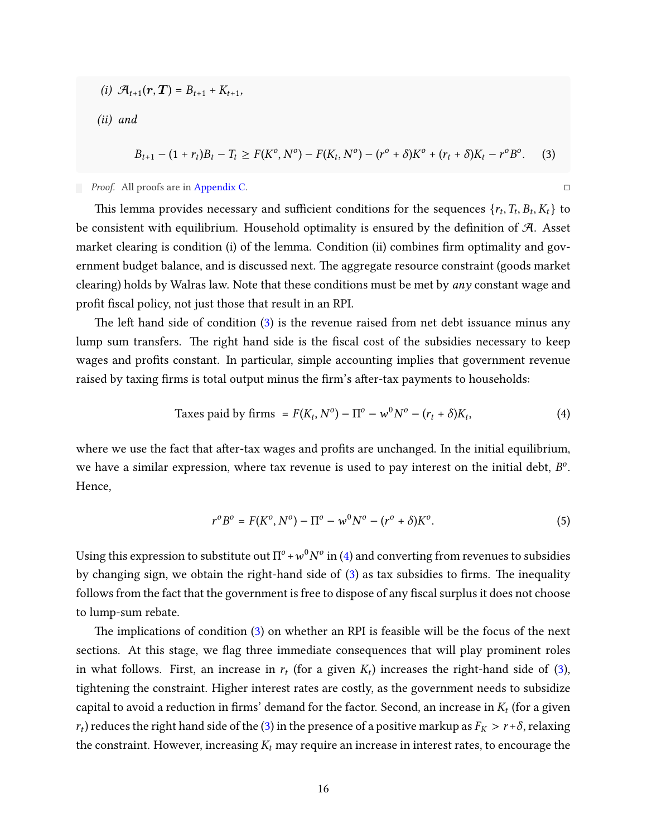(i)  $\mathcal{A}_{t+1}(\bm{r}, \bm{T}) = B_{t+1} + K_{t+1},$ 

(ii) and

<span id="page-15-0"></span>
$$
B_{t+1} - (1 + r_t)B_t - T_t \ge F(K^0, N^0) - F(K_t, N^0) - (r^0 + \delta)K^0 + (r_t + \delta)K_t - r^0B^0. \tag{3}
$$

Proof. All proofs are in [Appendix C.](#page-50-0)

This lemma provides necessary and sufficient conditions for the sequences  $\{r_t, T_t, B_t, K_t\}$  to be consistent with equilibrium. Household optimality is ensured by the definition of  $\mathcal{A}$ . Asset market clearing is condition (i) of the lemma. Condition (ii) combines firm optimality and government budget balance, and is discussed next. The aggregate resource constraint (goods market clearing) holds by Walras law. Note that these conditions must be met by any constant wage and profit fiscal policy, not just those that result in an RPI.

The left hand side of condition [\(3\)](#page-15-0) is the revenue raised from net debt issuance minus any lump sum transfers. The right hand side is the fiscal cost of the subsidies necessary to keep wages and profits constant. In particular, simple accounting implies that government revenue raised by taxing firms is total output minus the firm's after-tax payments to households:

Taxes paid by firms = 
$$
F(K_t, N^0) - \Pi^0 - w^0 N^0 - (r_t + \delta)K_t,
$$
 (4)

where we use the fact that after-tax wages and profits are unchanged. In the initial equilibrium, we have a similar expression, where tax revenue is used to pay interest on the initial debt,  $B^o$ . Hence,

<span id="page-15-2"></span><span id="page-15-1"></span>
$$
r^{o}B^{o} = F(K^{o}, N^{o}) - \Pi^{o} - w^{0}N^{o} - (r^{o} + \delta)K^{o}.
$$
\n(5)

Using this expression to substitute out  $\Pi^o$  +  $w^0N^o$  in [\(4\)](#page-15-1) and converting from revenues to subsidies by changing sign, we obtain the right-hand side of  $(3)$  as tax subsidies to firms. The inequality follows from the fact that the government is free to dispose of any fiscal surplus it does not choose to lump-sum rebate.

e implications of condition [\(3\)](#page-15-0) on whether an RPI is feasible will be the focus of the next sections. At this stage, we flag three immediate consequences that will play prominent roles in what follows. First, an increase in  $r_t$  (for a given  $K_t$ ) increases the right-hand side of [\(3\)](#page-15-0), tightening the constraint. Higher interest rates are costly, as the government needs to subsidize capital to avoid a reduction in firms' demand for the factor. Second, an increase in  $K_t$  (for a given  $r_t$ ) reduces the right hand side of the [\(3\)](#page-15-0) in the presence of a positive markup as  $F_K > r + \delta$ , relaxing the constraint. However, increasing  $K_t$  may require an increase in interest rates, to encourage the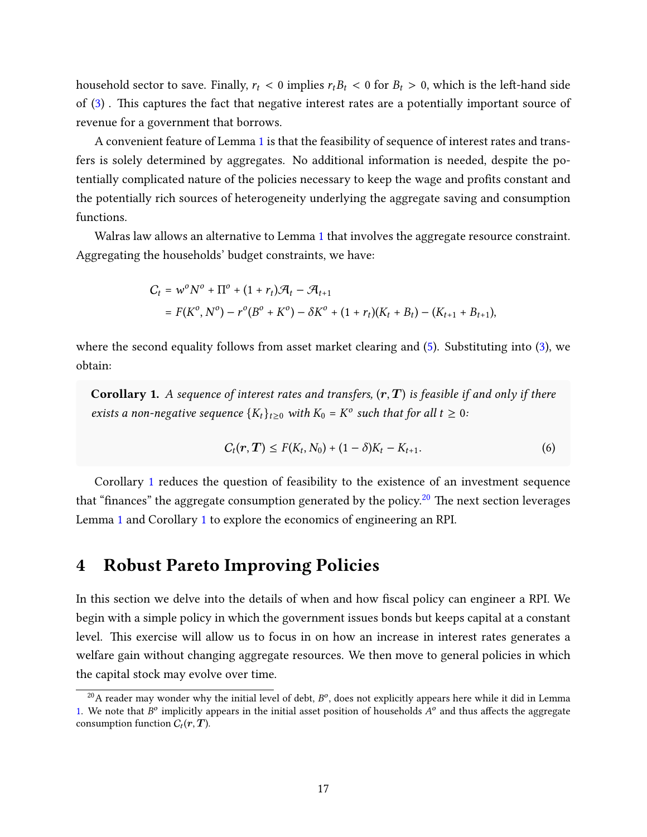household sector to save. Finally,  $r_t < 0$  implies  $r_t B_t < 0$  for  $B_t > 0$ , which is the left-hand side of  $(3)$ . This captures the fact that negative interest rates are a potentially important source of revenue for a government that borrows.

A convenient feature of Lemma [1](#page-14-1) is that the feasibility of sequence of interest rates and transfers is solely determined by aggregates. No additional information is needed, despite the potentially complicated nature of the policies necessary to keep the wage and profits constant and the potentially rich sources of heterogeneity underlying the aggregate saving and consumption functions.

Walras law allows an alternative to Lemma [1](#page-14-1) that involves the aggregate resource constraint. Aggregating the households' budget constraints, we have:

$$
C_t = w^0 N^0 + \Pi^0 + (1 + r_t) \mathcal{R}_t - \mathcal{R}_{t+1}
$$
  
=  $F(K^0, N^0) - r^0 (B^0 + K^0) - \delta K^0 + (1 + r_t) (K_t + B_t) - (K_{t+1} + B_{t+1}),$ 

where the second equality follows from asset market clearing and [\(5\)](#page-15-2). Substituting into [\(3\)](#page-15-0), we obtain:

<span id="page-16-1"></span>**Corollary 1.** A sequence of interest rates and transfers,  $(r, T)$  is feasible if and only if there exists a non-negative sequence  $\{K_t\}_{t\geq 0}$  with  $K_0 = K^o$  such that for all  $t \geq 0$ :

<span id="page-16-3"></span>
$$
C_t(\bm{r},\bm{T}) \leq F(K_t,N_0) + (1-\delta)K_t - K_{t+1}.
$$
\n(6)

Corollary [1](#page-16-1) reduces the question of feasibility to the existence of an investment sequence that "finances" the aggregate consumption generated by the policy.<sup>[20](#page-16-2)</sup> The next section leverages Lemma [1](#page-14-1) and Corollary [1](#page-16-1) to explore the economics of engineering an RPI.

### <span id="page-16-0"></span>4 Robust Pareto Improving Policies

In this section we delve into the details of when and how fiscal policy can engineer a RPI. We begin with a simple policy in which the government issues bonds but keeps capital at a constant level. This exercise will allow us to focus in on how an increase in interest rates generates a welfare gain without changing aggregate resources. We then move to general policies in which the capital stock may evolve over time.

<span id="page-16-2"></span> $^{20}$ A reader may wonder why the initial level of debt,  $B^o$ , does not explicitly appears here while it did in Lemma [1.](#page-14-1) We note that  $B^o$  implicitly appears in the initial asset position of households  $A^o$  and thus affects the aggregate consumption function  $C_t(\bm{r},\bm{T})$ .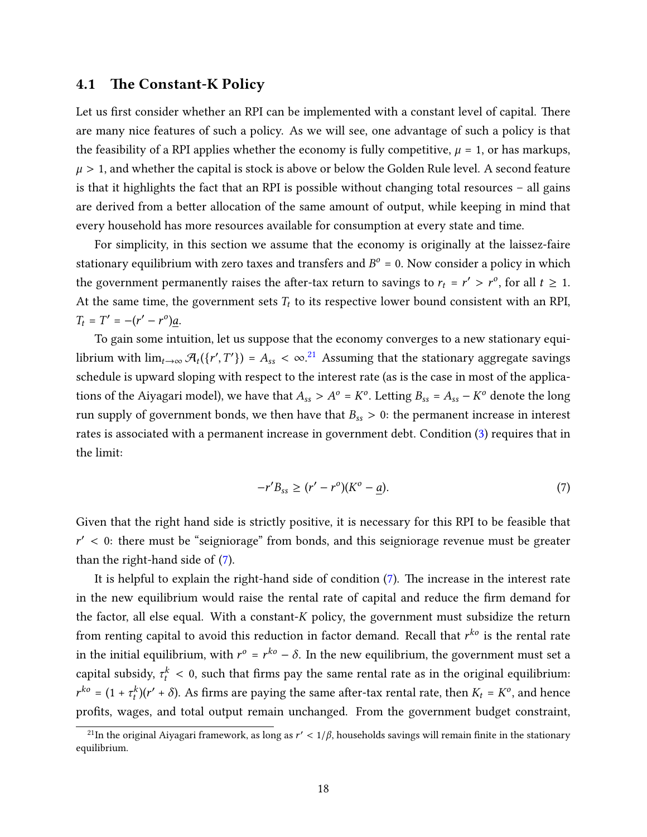#### 4.1 The Constant-K Policy

Let us first consider whether an RPI can be implemented with a constant level of capital. There are many nice features of such a policy. As we will see, one advantage of such a policy is that the feasibility of a RPI applies whether the economy is fully competitive,  $\mu = 1$ , or has markups,  $\mu > 1$ , and whether the capital is stock is above or below the Golden Rule level. A second feature is that it highlights the fact that an RPI is possible without changing total resources – all gains are derived from a better allocation of the same amount of output, while keeping in mind that every household has more resources available for consumption at every state and time.

For simplicity, in this section we assume that the economy is originally at the laissez-faire stationary equilibrium with zero taxes and transfers and  $B^o = 0$ . Now consider a policy in which the government permanently raises the after-tax return to savings to  $r_t = r' > r^o$ , for all  $t \geq 1$ . At the same time, the government sets  $T_t$  to its respective lower bound consistent with an RPI,  $T_t = T' = -(r' - r^0)\underline{a}.$ 

To gain some intuition, let us suppose that the economy converges to a new stationary equilibrium with  $\lim_{t\to\infty}\mathcal{A}_t(\{r',T'\})=A_{ss}<\infty.^{21}$  $\lim_{t\to\infty}\mathcal{A}_t(\{r',T'\})=A_{ss}<\infty.^{21}$  $\lim_{t\to\infty}\mathcal{A}_t(\{r',T'\})=A_{ss}<\infty.^{21}$  Assuming that the stationary aggregate savings schedule is upward sloping with respect to the interest rate (as is the case in most of the applications of the Aiyagari model), we have that  $A_{ss} > A^o = K^o$ . Letting  $B_{ss} = A_{ss} - K^o$  denote the long run supply of government bonds, we then have that  $B_{ss} > 0$ : the permanent increase in interest rates is associated with a permanent increase in government debt. Condition [\(3\)](#page-15-0) requires that in the limit:

<span id="page-17-1"></span>
$$
-r'B_{ss} \ge (r' - r^o)(K^o - \underline{a}).
$$
\n(7)

Given that the right hand side is strictly positive, it is necessary for this RPI to be feasible that  $r'$  < 0: there must be "seigniorage" from bonds, and this seigniorage revenue must be greater than the right-hand side of [\(7\)](#page-17-1).

It is helpful to explain the right-hand side of condition  $(7)$ . The increase in the interest rate in the new equilibrium would raise the rental rate of capital and reduce the firm demand for the factor, all else equal. With a constant- $K$  policy, the government must subsidize the return from renting capital to avoid this reduction in factor demand. Recall that  $r^{k \sigma}$  is the rental rate in the initial equilibrium, with  $r^o$  =  $r^{ko}$  –  $\delta$ . In the new equilibrium, the government must set a capital subsidy,  $\tau_t^k < 0$ , such that firms pay the same rental rate as in the original equilibrium:  $r^{ko} = (1 + \tau_t^k)(r' + \delta)$ . As firms are paying the same after-tax rental rate, then  $K_t = K^o$ , and hence profits, wages, and total output remain unchanged. From the government budget constraint,

<span id="page-17-0"></span><sup>&</sup>lt;sup>21</sup>In the original Aiyagari framework, as long as  $r' < 1/\beta$ , households savings will remain finite in the stationary equilibrium.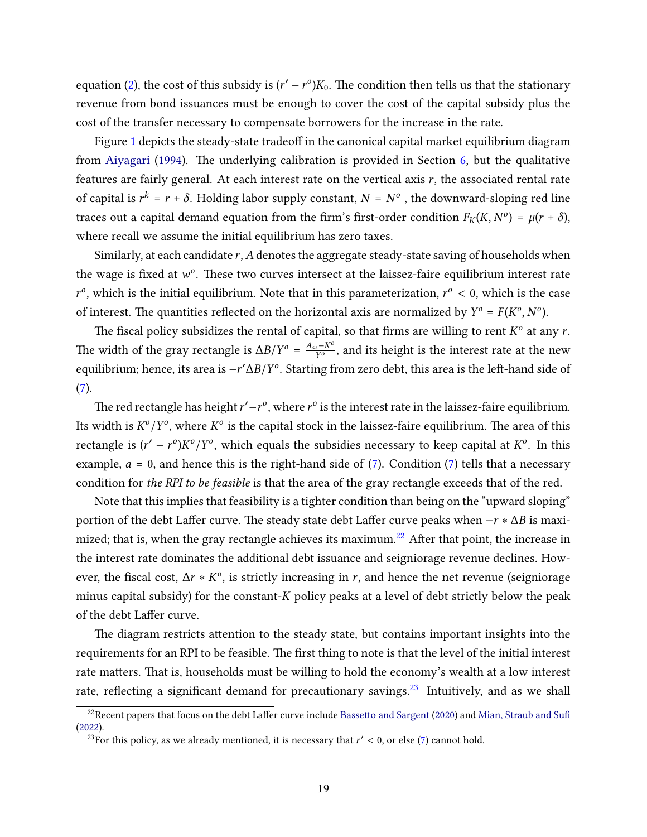equation [\(2\)](#page-10-0), the cost of this subsidy is  $(r' - r^o)K_0$ . The condition then tells us that the stationary revenue from bond issuances must be enough to cover the cost of the capital subsidy plus the cost of the transfer necessary to compensate borrowers for the increase in the rate.

Figure [1](#page-19-0) depicts the steady-state tradeoff in the canonical capital market equilibrium diagram from [Aiyagari](#page-44-6) [\(1994\)](#page-44-6). The underlying calibration is provided in Section  $6$ , but the qualitative features are fairly general. At each interest rate on the vertical axis  $r$ , the associated rental rate of capital is  $r^k = r + \delta$ . Holding labor supply constant,  $N = N^o$  , the downward-sloping red line traces out a capital demand equation from the firm's first-order condition  $F_K(K, N^o) = \mu(r + \delta)$ , where recall we assume the initial equilibrium has zero taxes.

Similarly, at each candidate  $r$ ,  $A$  denotes the aggregate steady-state saving of households when the wage is fixed at  $w^o$ . These two curves intersect at the laissez-faire equilibrium interest rate  $r^{\circ}$ , which is the initial equilibrium. Note that in this parameterization,  $r^{\circ}$  < 0, which is the case of interest. The quantities reflected on the horizontal axis are normalized by  $Y^o = F(K^o, N^o)$ .

The fiscal policy subsidizes the rental of capital, so that firms are willing to rent  $K^o$  at any  $r$ . The width of the gray rectangle is  $\Delta B/Y^o = \frac{A_{ss} - K^o}{Y^o}$  $\frac{s - K^2}{Y^o}$ , and its height is the interest rate at the new equilibrium; hence, its area is −r′∆B/Y $^o$ . Starting from zero debt, this area is the left-hand side of  $(7).$  $(7).$ 

The red rectangle has height  $r' - r^o$ , where  $r^o$  is the interest rate in the laissez-faire equilibrium. Its width is  $K^o/Y^o$ , where  $K^o$  is the capital stock in the laissez-faire equilibrium. The area of this rectangle is  $(r' - r^o)K^o/Y^o$ , which equals the subsidies necessary to keep capital at  $K^o$ . In this example,  $a = 0$ , and hence this is the right-hand side of [\(7\)](#page-17-1). Condition (7) tells that a necessary condition for the RPI to be feasible is that the area of the gray rectangle exceeds that of the red.

Note that this implies that feasibility is a tighter condition than being on the "upward sloping" portion of the debt Laffer curve. The steady state debt Laffer curve peaks when  $-r * \Delta B$  is maxi-mized; that is, when the gray rectangle achieves its maximum.<sup>[22](#page-18-0)</sup> After that point, the increase in the interest rate dominates the additional debt issuance and seigniorage revenue declines. However, the fiscal cost,  $\Delta r * K^{\circ}$ , is strictly increasing in r, and hence the net revenue (seigniorage minus capital subsidy) for the constant- $K$  policy peaks at a level of debt strictly below the peak of the debt Laffer curve.

The diagram restricts attention to the steady state, but contains important insights into the requirements for an RPI to be feasible. The first thing to note is that the level of the initial interest rate matters. That is, households must be willing to hold the economy's wealth at a low interest rate, reflecting a significant demand for precautionary savings.<sup>[23](#page-18-1)</sup> Intuitively, and as we shall

<span id="page-18-0"></span><sup>&</sup>lt;sup>22</sup>Recent papers that focus on the debt Laffer curve include Bassetto and Sargent [\(2020\)](#page-44-10) and [Mian, Straub and Su](#page-47-10)fi [\(2022\)](#page-47-10).

<span id="page-18-1"></span><sup>&</sup>lt;sup>23</sup>For this policy, as we already mentioned, it is necessary that  $r' < 0$ , or else [\(7\)](#page-17-1) cannot hold.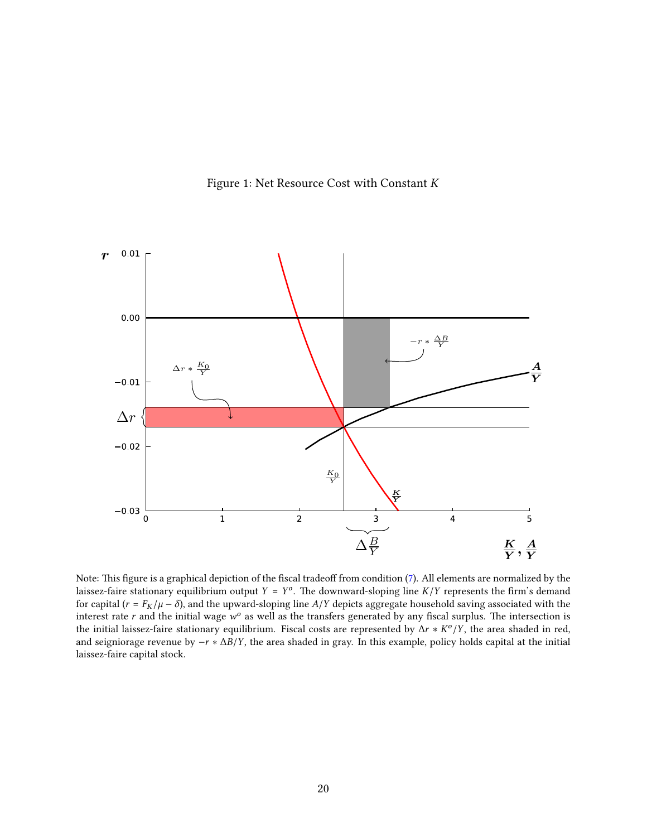<span id="page-19-0"></span>

Figure 1: Net Resource Cost with Constant  $K$ 

Note: This figure is a graphical depiction of the fiscal tradeoff from condition  $(7)$ . All elements are normalized by the laissez-faire stationary equilibrium output  $Y = Y^o$ . The downward-sloping line  $K/Y$  represents the firm's demand for capital ( $r = F_K/\mu - \delta$ ), and the upward-sloping line  $A/Y$  depicts aggregate household saving associated with the interest rate r and the initial wage  $w^o$  as well as the transfers generated by any fiscal surplus. The intersection is the initial laissez-faire stationary equilibrium. Fiscal costs are represented by  $\Delta r * K^o/Y$ , the area shaded in red, and seigniorage revenue by  $-r * \Delta B/Y$ , the area shaded in gray. In this example, policy holds capital at the initial laissez-faire capital stock.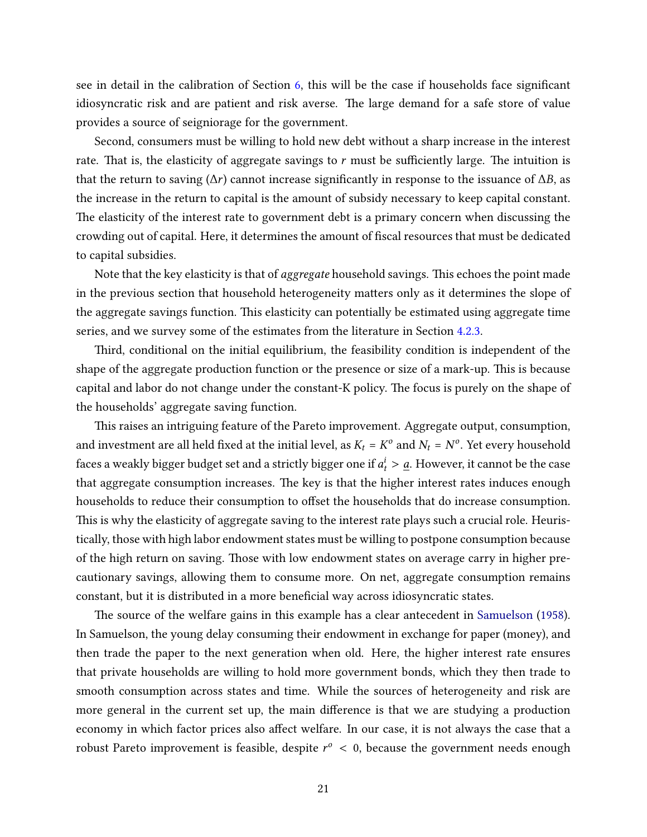see in detail in the calibration of Section [6,](#page-32-0) this will be the case if households face signicant idiosyncratic risk and are patient and risk averse. The large demand for a safe store of value provides a source of seigniorage for the government.

Second, consumers must be willing to hold new debt without a sharp increase in the interest rate. That is, the elasticity of aggregate savings to  $r$  must be sufficiently large. The intuition is that the return to saving ( $\Delta r$ ) cannot increase significantly in response to the issuance of  $\Delta B$ , as the increase in the return to capital is the amount of subsidy necessary to keep capital constant. The elasticity of the interest rate to government debt is a primary concern when discussing the crowding out of capital. Here, it determines the amount of fiscal resources that must be dedicated to capital subsidies.

Note that the key elasticity is that of aggregate household savings. This echoes the point made in the previous section that household heterogeneity matters only as it determines the slope of the aggregate savings function. This elasticity can potentially be estimated using aggregate time series, and we survey some of the estimates from the literature in Section [4.2.3.](#page-28-0)

Third, conditional on the initial equilibrium, the feasibility condition is independent of the shape of the aggregate production function or the presence or size of a mark-up. This is because capital and labor do not change under the constant-K policy. The focus is purely on the shape of the households' aggregate saving function.

This raises an intriguing feature of the Pareto improvement. Aggregate output, consumption, and investment are all held fixed at the initial level, as  $K_t = K^o$  and  $N_t = N^o$ . Yet every household faces a weakly bigger budget set and a strictly bigger one if  $a_t^i > \underline{a}$ . However, it cannot be the case that aggregate consumption increases. The key is that the higher interest rates induces enough households to reduce their consumption to offset the households that do increase consumption. This is why the elasticity of aggregate saving to the interest rate plays such a crucial role. Heuristically, those with high labor endowment states must be willing to postpone consumption because of the high return on saving. Those with low endowment states on average carry in higher precautionary savings, allowing them to consume more. On net, aggregate consumption remains constant, but it is distributed in a more beneficial way across idiosyncratic states.

The source of the welfare gains in this example has a clear antecedent in [Samuelson](#page-47-1) [\(1958\)](#page-47-1). In Samuelson, the young delay consuming their endowment in exchange for paper (money), and then trade the paper to the next generation when old. Here, the higher interest rate ensures that private households are willing to hold more government bonds, which they then trade to smooth consumption across states and time. While the sources of heterogeneity and risk are more general in the current set up, the main difference is that we are studying a production economy in which factor prices also affect welfare. In our case, it is not always the case that a robust Pareto improvement is feasible, despite  $r^o\,<\,0,$  because the government needs enough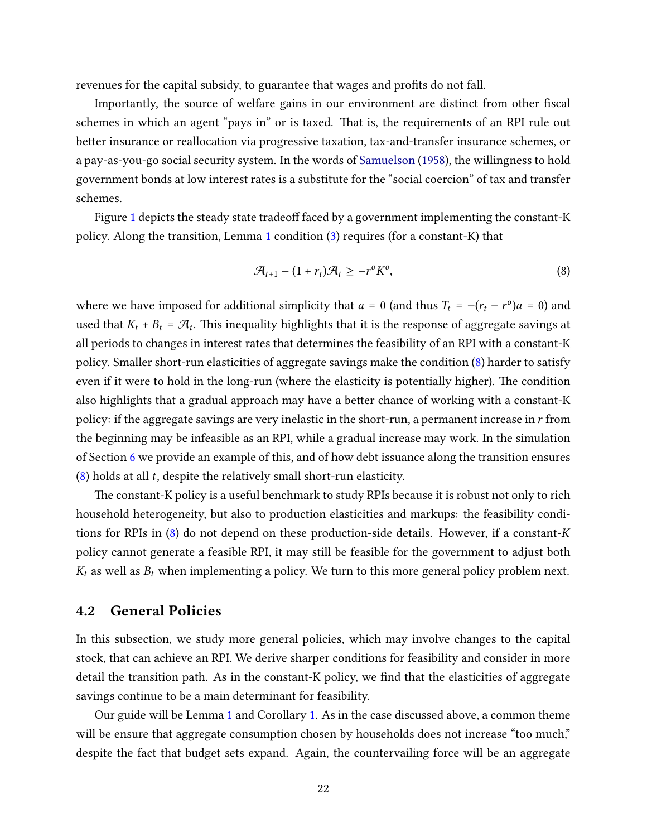revenues for the capital subsidy, to guarantee that wages and profits do not fall.

Importantly, the source of welfare gains in our environment are distinct from other fiscal schemes in which an agent "pays in" or is taxed. That is, the requirements of an RPI rule out better insurance or reallocation via progressive taxation, tax-and-transfer insurance schemes, or a pay-as-you-go social security system. In the words of [Samuelson](#page-47-1) [\(1958\)](#page-47-1), the willingness to hold government bonds at low interest rates is a substitute for the "social coercion" of tax and transfer schemes.

Figure [1](#page-19-0) depicts the steady state tradeoff faced by a government implementing the constant- $K$ policy. Along the transition, Lemma [1](#page-14-1) condition [\(3\)](#page-15-0) requires (for a constant-K) that

<span id="page-21-0"></span>
$$
\mathcal{A}_{t+1} - (1+r_t)\mathcal{A}_t \geq -r^{\circ}K^{\circ},\tag{8}
$$

where we have imposed for additional simplicity that  $\underline{a} = 0$  (and thus  $T_t = -(r_t - r^0)\underline{a} = 0$ ) and used that  $K_t + B_t = \mathcal{A}_t$ . This inequality highlights that it is the response of aggregate savings at all periods to changes in interest rates that determines the feasibility of an RPI with a constant-K policy. Smaller short-run elasticities of aggregate savings make the condition [\(8\)](#page-21-0) harder to satisfy even if it were to hold in the long-run (where the elasticity is potentially higher). The condition also highlights that a gradual approach may have a better chance of working with a constant-K policy: if the aggregate savings are very inelastic in the short-run, a permanent increase in  *from* the beginning may be infeasible as an RPI, while a gradual increase may work. In the simulation of Section [6](#page-32-0) we provide an example of this, and of how debt issuance along the transition ensures  $(8)$  holds at all t, despite the relatively small short-run elasticity.

The constant-K policy is a useful benchmark to study RPIs because it is robust not only to rich household heterogeneity, but also to production elasticities and markups: the feasibility conditions for RPIs in  $(8)$  do not depend on these production-side details. However, if a constant-K policy cannot generate a feasible RPI, it may still be feasible for the government to adjust both  $K_t$  as well as  $B_t$  when implementing a policy. We turn to this more general policy problem next.

### 4.2 General Policies

In this subsection, we study more general policies, which may involve changes to the capital stock, that can achieve an RPI. We derive sharper conditions for feasibility and consider in more detail the transition path. As in the constant-K policy, we find that the elasticities of aggregate savings continue to be a main determinant for feasibility.

Our guide will be Lemma [1](#page-14-1) and Corollary [1.](#page-16-1) As in the case discussed above, a common theme will be ensure that aggregate consumption chosen by households does not increase "too much," despite the fact that budget sets expand. Again, the countervailing force will be an aggregate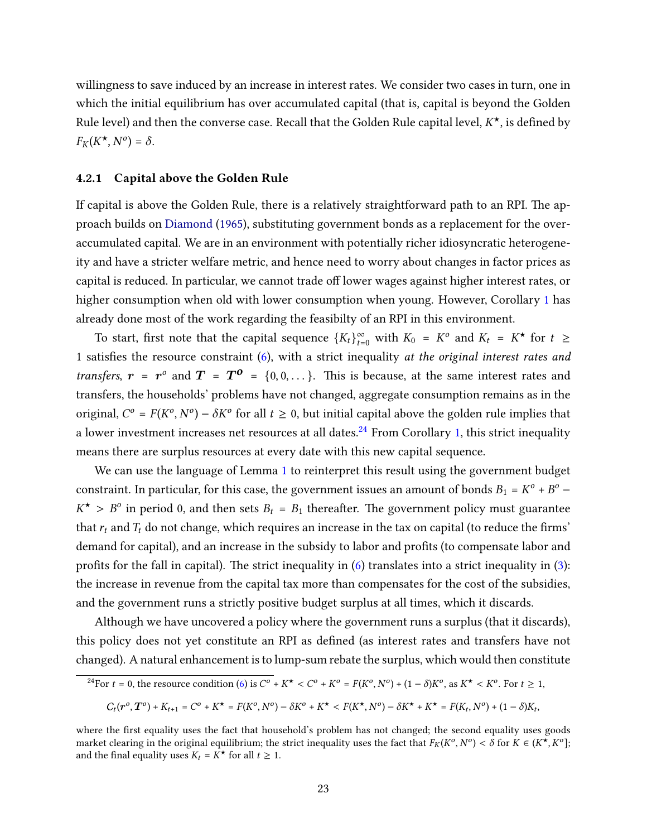willingness to save induced by an increase in interest rates. We consider two cases in turn, one in which the initial equilibrium has over accumulated capital (that is, capital is beyond the Golden Rule level) and then the converse case. Recall that the Golden Rule capital level,  $K^{\star}$ , is defined by  $F_K(K^{\star}, N^{\circ}) = \delta.$ 

#### 4.2.1 Capital above the Golden Rule

If capital is above the Golden Rule, there is a relatively straightforward path to an RPI. The approach builds on [Diamond](#page-45-1) [\(1965\)](#page-45-1), substituting government bonds as a replacement for the overaccumulated capital. We are in an environment with potentially richer idiosyncratic heterogeneity and have a stricter welfare metric, and hence need to worry about changes in factor prices as capital is reduced. In particular, we cannot trade off lower wages against higher interest rates, or higher consumption when old with lower consumption when young. However, Corollary [1](#page-16-1) has already done most of the work regarding the feasibilty of an RPI in this environment.

To start, first note that the capital sequence  ${K_t}_{t=0}^{\infty}$  with  $K_0 = K^{\circ}$  and  $K_t = K^{\star}$  for  $t \geq$ 1 satisfies the resource constraint  $(6)$ , with a strict inequality at the original interest rates and transfers,  $r = r^{\circ}$  and  $T = T^{\circ} = \{0, 0, ...\}$ . This is because, at the same interest rates and transfers, the households' problems have not changed, aggregate consumption remains as in the original,  $C^o = F(K^o, N^o) - \delta K^o$  for all  $t \geq 0$ , but initial capital above the golden rule implies that a lower investment increases net resources at all dates.<sup>[24](#page-22-0)</sup> From Corollary [1,](#page-16-1) this strict inequality means there are surplus resources at every date with this new capital sequence.

We can use the language of Lemma [1](#page-14-1) to reinterpret this result using the government budget constraint. In particular, for this case, the government issues an amount of bonds  $B_1 = K^o + B^o$  –  $K^{\star} > B^{\circ}$  in period 0, and then sets  $B_t = B_1$  thereafter. The government policy must guarantee that  $r_t$  and  $T_t$  do not change, which requires an increase in the tax on capital (to reduce the firms' demand for capital), and an increase in the subsidy to labor and profits (to compensate labor and profits for the fall in capital). The strict inequality in  $(6)$  translates into a strict inequality in  $(3)$ : the increase in revenue from the capital tax more than compensates for the cost of the subsidies, and the government runs a strictly positive budget surplus at all times, which it discards.

Although we have uncovered a policy where the government runs a surplus (that it discards), this policy does not yet constitute an RPI as defined (as interest rates and transfers have not changed). A natural enhancement is to lump-sum rebate the surplus, which would then constitute

<span id="page-22-0"></span>
$$
^{24}\text{For }t=0\text{, the resource condition (6) is }C^o + K^{\star} < C^o + K^o = F(K^o, N^o) + (1-\delta)K^o\text{, as }K^{\star} < K^o\text{. For }t\geq 1,
$$

$$
C_t(r^o, T^o) + K_{t+1} = C^o + K^{\star} = F(K^o, N^o) - \delta K^o + K^{\star} < F(K^{\star}, N^o) - \delta K^{\star} + K^{\star} = F(K_t, N^o) + (1 - \delta)K_t,
$$

where the first equality uses the fact that household's problem has not changed; the second equality uses goods market clearing in the original equilibrium; the strict inequality uses the fact that  $F_K(K^o, N^o) < \delta$  for  $K \in (K^{\star}, K^o]$ ; and the final equality uses  $K_t = K^*$  for all  $t \geq 1$ .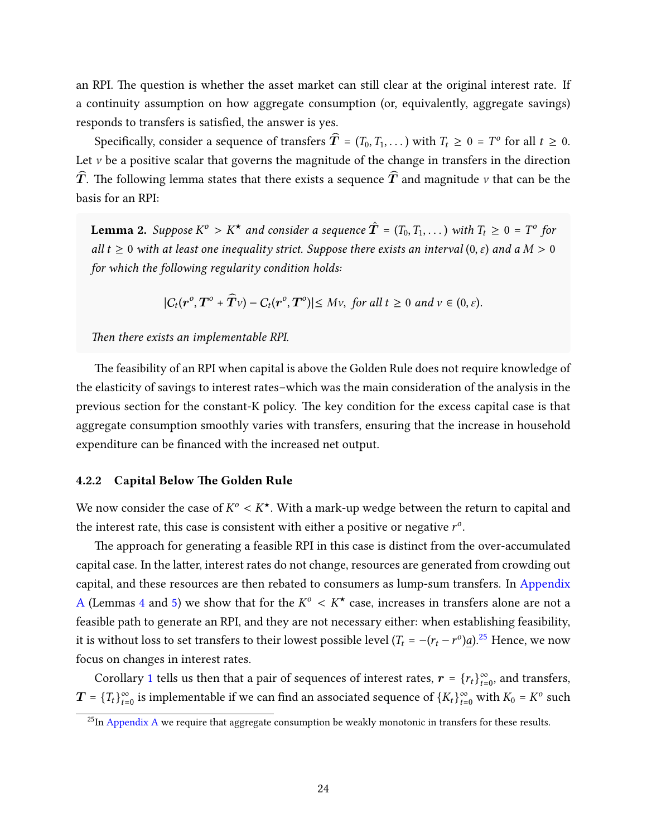an RPI. The question is whether the asset market can still clear at the original interest rate. If a continuity assumption on how aggregate consumption (or, equivalently, aggregate savings) responds to transfers is satisfied, the answer is yes.

Specifically, consider a sequence of transfers  $\widehat{T} = (T_0, T_1, ...)$  with  $T_t \ge 0 = T^o$  for all  $t \ge 0$ . Let  $\nu$  be a positive scalar that governs the magnitude of the change in transfers in the direction  $\hat{T}$ . The following lemma states that there exists a sequence  $\hat{T}$  and magnitude  $\nu$  that can be the basis for an RPI:

<span id="page-23-2"></span>**Lemma 2.** Suppose  $K^o > K^{\star}$  and consider a sequence  $\hat{T} = (T_0, T_1, ...)$  with  $T_t \geq 0 = T^o$  for all  $t \geq 0$  with at least one inequality strict. Suppose there exists an interval  $(0, \varepsilon)$  and a  $M > 0$ for which the following regularity condition holds:

$$
|C_t(\boldsymbol{r}^o,\boldsymbol{T}^o+\widehat{\boldsymbol{T}}v)-C_t(\boldsymbol{r}^o,\boldsymbol{T}^o)|\leq Mv,\ \text{for all}\ t\geq 0\ \text{and}\ v\in(0,\varepsilon).
$$

Then there exists an implementable RPI.

The feasibility of an RPI when capital is above the Golden Rule does not require knowledge of the elasticity of savings to interest rates–which was the main consideration of the analysis in the previous section for the constant-K policy. The key condition for the excess capital case is that aggregate consumption smoothly varies with transfers, ensuring that the increase in household expenditure can be financed with the increased net output.

#### <span id="page-23-0"></span>4.2.2 Capital Below The Golden Rule

We now consider the case of  $K^o< K^\star$ . With a mark-up wedge between the return to capital and the interest rate, this case is consistent with either a positive or negative  $r^o$ .

The approach for generating a feasible RPI in this case is distinct from the over-accumulated capital case. In the latter, interest rates do not change, resources are generated from crowding out capital, and these resources are then rebated to consumers as lump-sum transfers. In [Appendix](#page-48-0) [A](#page-48-0) (Lemmas [4](#page-48-1) and [5\)](#page-48-2) we show that for the  $K^{\circ} < K^{\star}$  case, increases in transfers alone are not a feasible path to generate an RPI, and they are not necessary either: when establishing feasibility, it is without loss to set transfers to their lowest possible level  $(T_t = -(r_t - r^o)\underline{a})^{25}$  $(T_t = -(r_t - r^o)\underline{a})^{25}$  $(T_t = -(r_t - r^o)\underline{a})^{25}$  Hence, we now focus on changes in interest rates.

Corollary [1](#page-16-1) tells us then that a pair of sequences of interest rates,  $\boldsymbol{r} = \{r_t\}_{t=0}^{\infty}$ , and transfers,  $\bm{T}$  =  $\{T_t\}_{t=0}^\infty$  is implementable if we can find an associated sequence of  $\{K_t\}_{t=0}^\infty$  with  $K_0$  =  $K^o$  such

<span id="page-23-1"></span> $^{25}$ In [Appendix A](#page-48-0) we require that aggregate consumption be weakly monotonic in transfers for these results.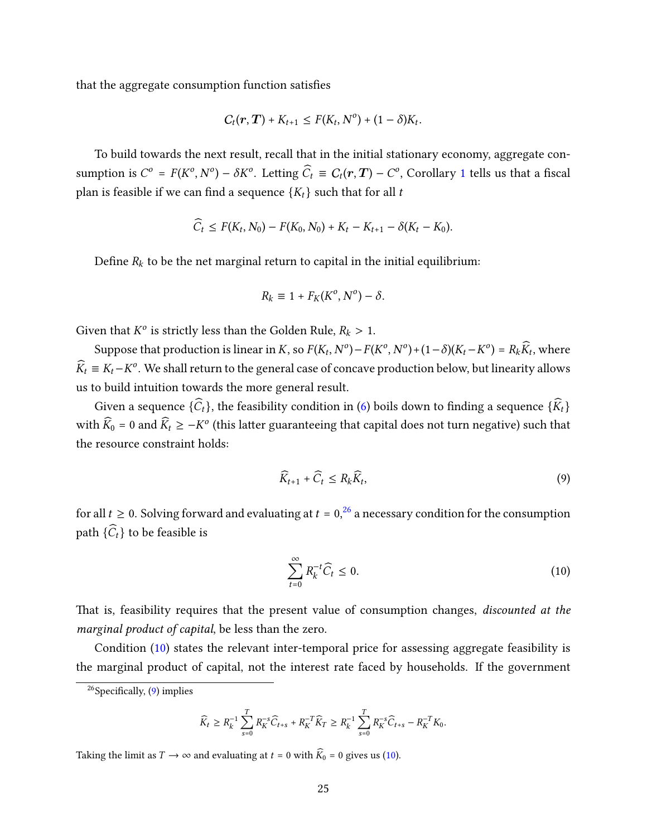that the aggregate consumption function satisfies

$$
C_t(r, T) + K_{t+1} \leq F(K_t, N^0) + (1 - \delta)K_t.
$$

To build towards the next result, recall that in the initial stationary economy, aggregate consumption is  $C^o = F(K^o, N^o) - \delta K^o$ . Letting  $\widehat{C}_t \equiv C_t(\bm{r}, \bm{T}) - C^o$ , Corollary [1](#page-16-1) tells us that a fiscal plan is feasible if we can find a sequence  $\{K_t\}$  such that for all t

$$
\widehat{C}_t \leq F(K_t, N_0) - F(K_0, N_0) + K_t - K_{t+1} - \delta(K_t - K_0).
$$

Define  $R_k$  to be the net marginal return to capital in the initial equilibrium:

$$
R_k \equiv 1 + F_K(K^o, N^o) - \delta.
$$

Given that  $K^o$  is strictly less than the Golden Rule,  $R_k > 1$ .

Suppose that production is linear in K, so  $F(K_t, N^o) - F(K^o, N^o) + (1 - \delta)(K_t - K^o) = R_k \widehat{K}_t$ , where  $\widehat{K}_t \equiv K_t - K^o$ . We shall return to the general case of concave production below, but linearity allows us to build intuition towards the more general result.

Given a sequence  $\{\widehat{C}_t\}$ , the feasibility condition in [\(6\)](#page-16-3) boils down to finding a sequence  $\{\widehat{K}_t\}$ with  $\widehat{K}_0$  = 0 and  $\widehat{K}_t \ge -K^o$  (this latter guaranteeing that capital does not turn negative) such that the resource constraint holds:

<span id="page-24-2"></span>
$$
\widehat{K}_{t+1} + \widehat{C}_t \le R_k \widehat{K}_t, \tag{9}
$$

for all  $t \geq 0$ . Solving forward and evaluating at  $t = 0$ , <sup>[26](#page-24-0)</sup> a necessary condition for the consumption path  $\{\widehat{C}_t\}$  to be feasible is

<span id="page-24-1"></span>
$$
\sum_{t=0}^{\infty} R_k^{-t} \widehat{C}_t \le 0. \tag{10}
$$

That is, feasibility requires that the present value of consumption changes, discounted at the marginal product of capital, be less than the zero.

Condition [\(10\)](#page-24-1) states the relevant inter-temporal price for assessing aggregate feasibility is the marginal product of capital, not the interest rate faced by households. If the government

$$
\widehat{K}_t \geq R_k^{-1} \sum_{s=0}^T R_K^{-s} \widehat{C}_{t+s} + R_K^{-T} \widehat{K}_T \geq R_k^{-1} \sum_{s=0}^T R_K^{-s} \widehat{C}_{t+s} - R_K^{-T} K_0.
$$

Taking the limit as  $T \to \infty$  and evaluating at  $t = 0$  with  $\widehat{K}_0 = 0$  gives us [\(10\)](#page-24-1).

<span id="page-24-0"></span> $^{26}$ Specifically, [\(9\)](#page-24-2) implies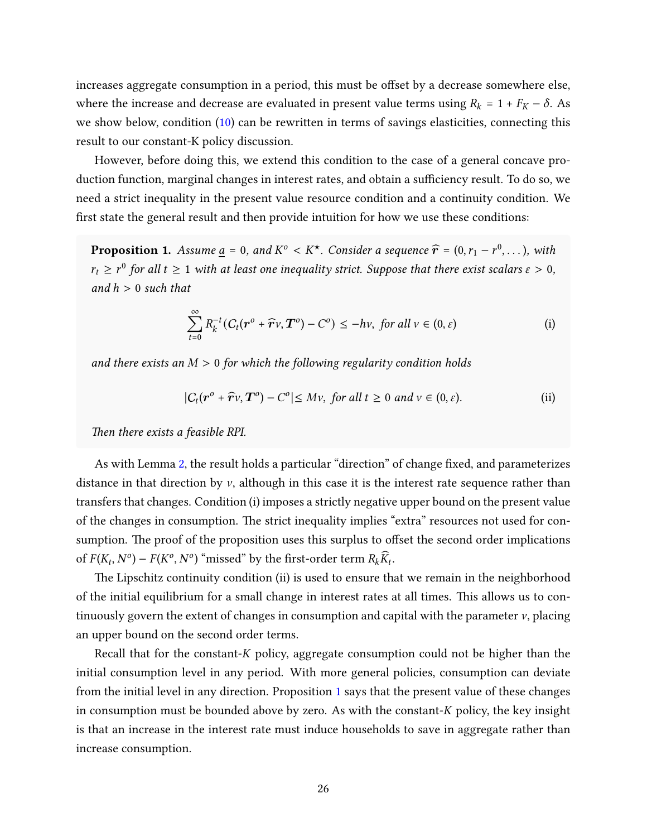increases aggregate consumption in a period, this must be offset by a decrease somewhere else, where the increase and decrease are evaluated in present value terms using  $R_k = 1 + F_K - \delta$ . As we show below, condition  $(10)$  can be rewritten in terms of savings elasticities, connecting this result to our constant-K policy discussion.

However, before doing this, we extend this condition to the case of a general concave production function, marginal changes in interest rates, and obtain a sufficiency result. To do so, we need a strict inequality in the present value resource condition and a continuity condition. We first state the general result and then provide intuition for how we use these conditions:

<span id="page-25-0"></span>**Proposition 1.** Assume  $\underline{a} = 0$ , and  $K^{\circ} < K^{\star}$ . Consider a sequence  $\widehat{r} = (0, r_1 - r^0, \dots)$ , with  $r_t \geq r^0$  for all  $t \geq 1$  with at least one inequality strict. Suppose that there exist scalars  $\varepsilon > 0$ , and  $h > 0$  such that

$$
\sum_{t=0}^{\infty} R_k^{-t} (C_t(\boldsymbol{r}^o + \widehat{\boldsymbol{r}} v, \boldsymbol{T}^o) - C^o) \leq -h v, \text{ for all } v \in (0, \varepsilon)
$$
 (i)

and there exists an  $M > 0$  for which the following regularity condition holds

$$
|C_t(\mathbf{r}^o + \widehat{\mathbf{r}}v, \mathbf{T}^o) - C^o| \leq Mv, \text{ for all } t \geq 0 \text{ and } v \in (0, \varepsilon).
$$
 (ii)

Then there exists a feasible RPI.

As with Lemma [2,](#page-23-2) the result holds a particular "direction" of change fixed, and parameterizes distance in that direction by  $\nu$ , although in this case it is the interest rate sequence rather than transfers that changes. Condition (i) imposes a strictly negative upper bound on the present value of the changes in consumption. The strict inequality implies "extra" resources not used for consumption. The proof of the proposition uses this surplus to offset the second order implications of  $F(K_t, N^o) - F(K^o, N^o)$  "missed" by the first-order term  $R_k \widehat{K}_t$ .

The Lipschitz continuity condition (ii) is used to ensure that we remain in the neighborhood of the initial equilibrium for a small change in interest rates at all times. is allows us to continuously govern the extent of changes in consumption and capital with the parameter  $\nu$ , placing an upper bound on the second order terms.

Recall that for the constant- $K$  policy, aggregate consumption could not be higher than the initial consumption level in any period. With more general policies, consumption can deviate from the initial level in any direction. Proposition [1](#page-25-0) says that the present value of these changes in consumption must be bounded above by zero. As with the constant- $K$  policy, the key insight is that an increase in the interest rate must induce households to save in aggregate rather than increase consumption.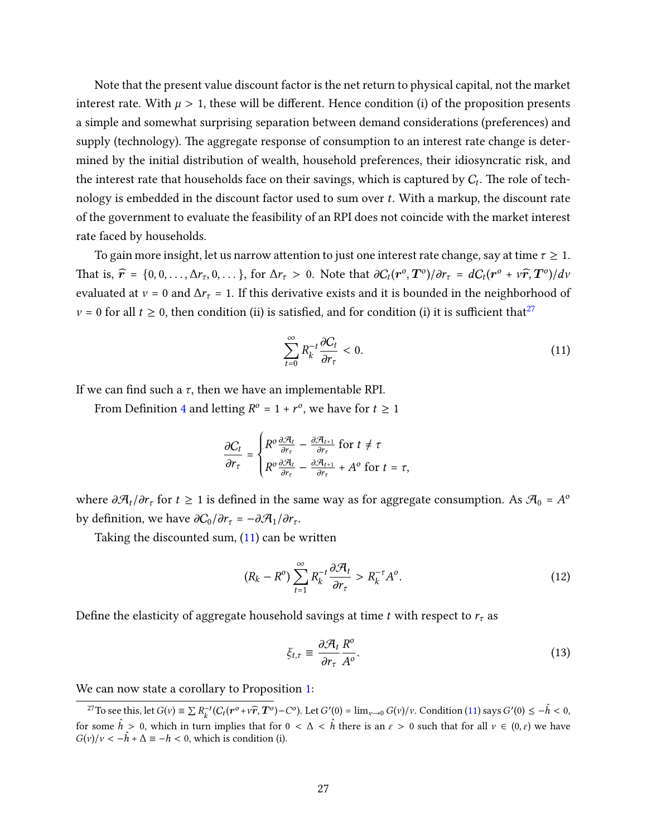Note that the present value discount factor is the net return to physical capital, not the market interest rate. With  $\mu > 1$ , these will be different. Hence condition (i) of the proposition presents a simple and somewhat surprising separation between demand considerations (preferences) and supply (technology). The aggregate response of consumption to an interest rate change is determined by the initial distribution of wealth, household preferences, their idiosyncratic risk, and the interest rate that households face on their savings, which is captured by  $C_t$ . The role of technology is embedded in the discount factor used to sum over  $t$ . With a markup, the discount rate of the government to evaluate the feasibility of an RPI does not coincide with the market interest rate faced by households.

To gain more insight, let us narrow attention to just one interest rate change, say at time  $\tau \geq 1$ . That is,  $\hat{r} = \{0, 0, \ldots, \Delta r_{\tau}, 0, \ldots\}$ , for  $\Delta r_{\tau} > 0$ . Note that  $\frac{\partial C_t(r^o, T^o)}{\partial r_{\tau}} = \frac{dC_t(r^o + \nu \hat{r}, T^o)}{d\nu}$ evaluated at  $v = 0$  and  $\Delta r_\tau = 1$ . If this derivative exists and it is bounded in the neighborhood of  $v = 0$  for all  $t \ge 0$ , then condition (ii) is satisfied, and for condition (i) it is sufficient that<sup>[27](#page-26-0)</sup>

<span id="page-26-1"></span>
$$
\sum_{t=0}^{\infty} R_k^{-t} \frac{\partial C_t}{\partial r_{\tau}} < 0. \tag{11}
$$

If we can find such a  $\tau$ , then we have an implementable RPI.

From Definition [4](#page-14-2) and letting  $R^{\circ} = 1 + r^{\circ}$ , we have for  $t \ge 1$ 

$$
\frac{\partial C_t}{\partial r_\tau} = \begin{cases} R^o \frac{\partial \mathcal{A}_t}{\partial r_\tau} - \frac{\partial \mathcal{A}_{t+1}}{\partial r_\tau} & \text{for } t \neq \tau \\ R^o \frac{\partial \mathcal{A}_t}{\partial r_\tau} - \frac{\partial \mathcal{A}_{t+1}}{\partial r_\tau} + A^o & \text{for } t = \tau, \end{cases}
$$

where  $\partial \mathcal{A}_t/\partial r_\tau$  for  $t\geq 1$  is defined in the same way as for aggregate consumption. As  $\mathcal{A}_0$  =  $A^o$ by definition, we have  $\partial C_0/\partial r_\tau = -\partial \mathcal{A}_1/\partial r_\tau$ .

Taking the discounted sum,  $(11)$  can be written

$$
(R_k - R^o) \sum_{t=1}^{\infty} R_k^{-t} \frac{\partial \mathcal{A}_t}{\partial r_\tau} > R_k^{-\tau} A^o.
$$
 (12)

Define the elasticity of aggregate household savings at time t with respect to  $r_{\tau}$  as

<span id="page-26-3"></span><span id="page-26-2"></span>
$$
\xi_{t,\tau} \equiv \frac{\partial \mathcal{A}_t}{\partial r_{\tau}} \frac{R^o}{A^o}.
$$
\n(13)

We can now state a corollary to Proposition [1:](#page-25-0)

<span id="page-26-0"></span><sup>&</sup>lt;sup>27</sup>To see this, let  $G(v) \equiv \sum R_k^{-t} (C_t(\mathbf{r}^o + v\hat{\mathbf{r}}, \mathbf{T}^o) - C^o)$ . Let  $G'(0) = \lim_{v \to 0} G(v)/v$ . Condition [\(11\)](#page-26-1) says  $G'(0) \le -\hat{h} < 0$ , for some  $\hat{h} > 0$ , which in turn implies that for  $0 < \Delta < \hat{h}$  there is an  $\varepsilon > 0$  such that for all  $v \in (0, \varepsilon)$  we have  $G(v)/v < -\hat{h} + \Delta \equiv -h < 0$ , which is condition (i).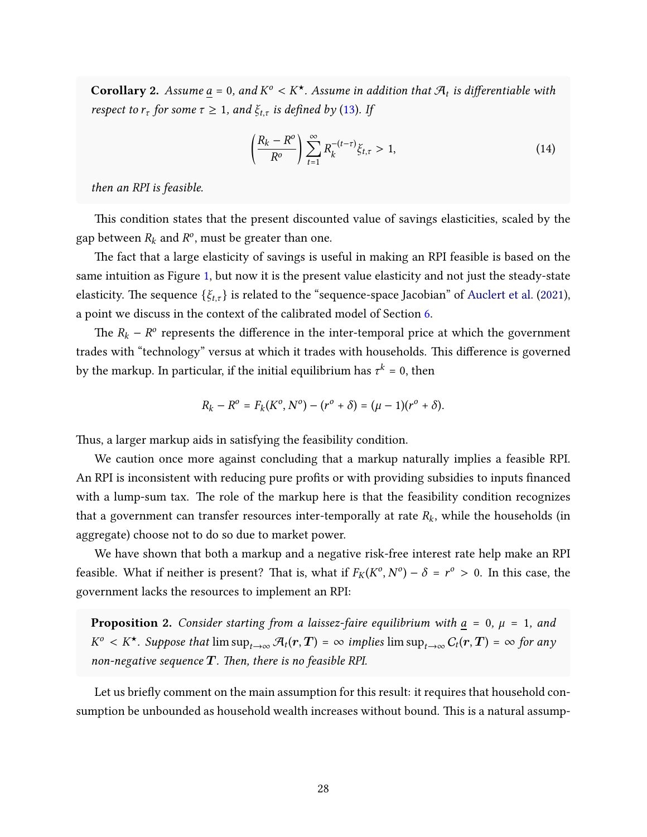<span id="page-27-1"></span>**Corollary 2.** Assume  $\underline{a} = 0$ , and  $K^{\circ} < K^{\star}$ . Assume in addition that  $\mathcal{A}_t$  is differentiable with respect to  $r_{\tau}$  for some  $\tau \geq 1$ , and  $\xi_{t,\tau}$  is defined by [\(13\)](#page-26-2). If

<span id="page-27-0"></span>
$$
\left(\frac{R_k - R^o}{R^o}\right) \sum_{t=1}^{\infty} R_k^{-(t-\tau)} \xi_{t,\tau} > 1, \tag{14}
$$

then an RPI is feasible.

This condition states that the present discounted value of savings elasticities, scaled by the gap between  $R_k$  and  $R^o$ , must be greater than one.

The fact that a large elasticity of savings is useful in making an RPI feasible is based on the same intuition as Figure [1,](#page-19-0) but now it is the present value elasticity and not just the steady-state elasticity. The sequence  $\{\xi_{t,\tau}\}\$ is related to the "sequence-space Jacobian" of [Auclert et al.](#page-44-1) [\(2021\)](#page-44-1), a point we discuss in the context of the calibrated model of Section [6.](#page-32-0)

The  $R_k - R^{\circ}$  represents the difference in the inter-temporal price at which the government trades with "technology" versus at which it trades with households. This difference is governed by the markup. In particular, if the initial equilibrium has  $\tau^k$  = 0, then

$$
R_k - R^o = F_k(K^o, N^o) - (r^o + \delta) = (\mu - 1)(r^o + \delta).
$$

Thus, a larger markup aids in satisfying the feasibility condition.

We caution once more against concluding that a markup naturally implies a feasible RPI. An RPI is inconsistent with reducing pure profits or with providing subsidies to inputs financed with a lump-sum tax. The role of the markup here is that the feasibility condition recognizes that a government can transfer resources inter-temporally at rate  $R_k$ , while the households (in aggregate) choose not to do so due to market power.

We have shown that both a markup and a negative risk-free interest rate help make an RPI feasible. What if neither is present? That is, what if  $F_K(K^0, N^0) - \delta = r^0 > 0$ . In this case, the government lacks the resources to implement an RPI:

<span id="page-27-2"></span>**Proposition 2.** Consider starting from a laissez-faire equilibrium with  $a = 0$ ,  $\mu = 1$ , and  $K^o\,< K^\star$ . Suppose that  $\limsup_{t\to\infty}\mathcal{A}_t(\bm{r},\bm{T})\,=\,\infty$  implies  $\limsup_{t\to\infty}C_t(\bm{r},\bm{T})\,=\,\infty$  for any non-negative sequence  $T$ . Then, there is no feasible RPI.

Let us briefly comment on the main assumption for this result: it requires that household consumption be unbounded as household wealth increases without bound. This is a natural assump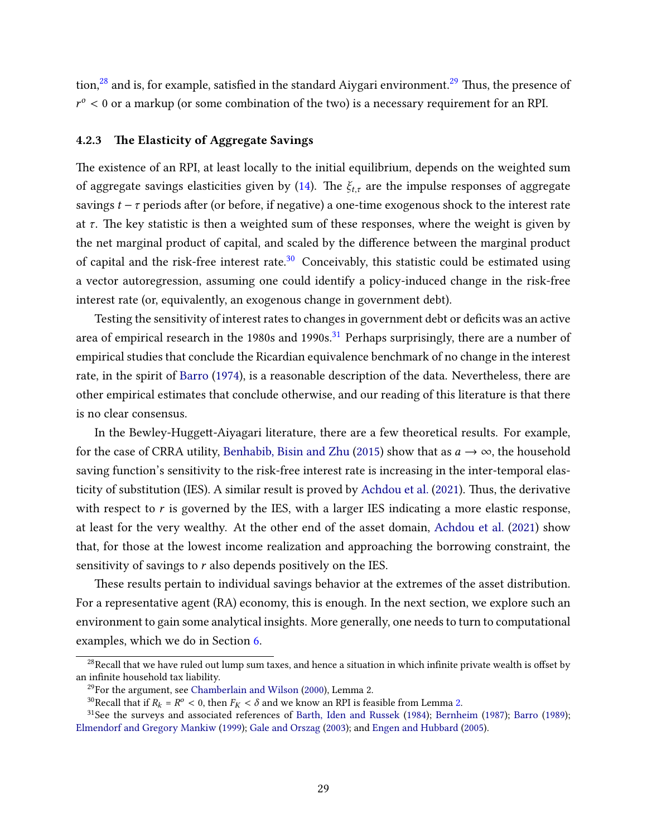tion, $28$  and is, for example, satisfied in the standard Aiygari environment.<sup>[29](#page-28-2)</sup> Thus, the presence of  $r^{\circ}$  < 0 or a markup (or some combination of the two) is a necessary requirement for an RPI.

#### <span id="page-28-0"></span>4.2.3 The Elasticity of Aggregate Savings

The existence of an RPI, at least locally to the initial equilibrium, depends on the weighted sum of aggregate savings elasticities given by [\(14\)](#page-27-0). The  $\xi_{t,\tau}$  are the impulse responses of aggregate savings  $t - \tau$  periods after (or before, if negative) a one-time exogenous shock to the interest rate at  $\tau$ . The key statistic is then a weighted sum of these responses, where the weight is given by the net marginal product of capital, and scaled by the difference between the marginal product of capital and the risk-free interest rate.<sup>[30](#page-28-3)</sup> Conceivably, this statistic could be estimated using a vector autoregression, assuming one could identify a policy-induced change in the risk-free interest rate (or, equivalently, an exogenous change in government debt).

Testing the sensitivity of interest rates to changes in government debt or deficits was an active area of empirical research in the 1980s and 1990s.<sup>[31](#page-28-4)</sup> Perhaps surprisingly, there are a number of empirical studies that conclude the Ricardian equivalence benchmark of no change in the interest rate, in the spirit of [Barro](#page-44-11) [\(1974\)](#page-44-11), is a reasonable description of the data. Nevertheless, there are other empirical estimates that conclude otherwise, and our reading of this literature is that there is no clear consensus.

In the Bewley-Huggett-Aiyagari literature, there are a few theoretical results. For example, for the case of CRRA utility, [Benhabib, Bisin and Zhu](#page-44-12) [\(2015\)](#page-44-12) show that as  $a \rightarrow \infty$ , the household saving function's sensitivity to the risk-free interest rate is increasing in the inter-temporal elas-ticity of substitution (IES). A similar result is proved by [Achdou et al.](#page-44-9) [\(2021\)](#page-44-9). Thus, the derivative with respect to  $r$  is governed by the IES, with a larger IES indicating a more elastic response, at least for the very wealthy. At the other end of the asset domain, [Achdou et al.](#page-44-9) [\(2021\)](#page-44-9) show that, for those at the lowest income realization and approaching the borrowing constraint, the sensitivity of savings to  $r$  also depends positively on the IES.

These results pertain to individual savings behavior at the extremes of the asset distribution. For a representative agent (RA) economy, this is enough. In the next section, we explore such an environment to gain some analytical insights. More generally, one needs to turn to computational examples, which we do in Section [6.](#page-32-0)

<span id="page-28-1"></span> $28$ Recall that we have ruled out lump sum taxes, and hence a situation in which infinite private wealth is offset by an infinite household tax liability.

<span id="page-28-2"></span> $29$ For the argument, see [Chamberlain and Wilson](#page-45-11) [\(2000\)](#page-45-11), Lemma 2.

<span id="page-28-4"></span><span id="page-28-3"></span><sup>&</sup>lt;sup>30</sup>Recall that if  $R_k = R^o < 0$ , then  $F_K < \delta$  and we know an RPI is feasible from Lemma [2.](#page-23-2)

<sup>&</sup>lt;sup>31</sup>See the surveys and associated references of [Barth, Iden and Russek](#page-44-13) [\(1984\)](#page-44-13); [Bernheim](#page-44-5) [\(1987\)](#page-44-5); [Barro](#page-44-14) [\(1989\)](#page-44-14); [Elmendorf and Gregory Mankiw](#page-45-12) [\(1999\)](#page-45-12); [Gale and Orszag](#page-46-14) [\(2003\)](#page-46-14); and [Engen and Hubbard](#page-45-13) [\(2005\)](#page-45-13).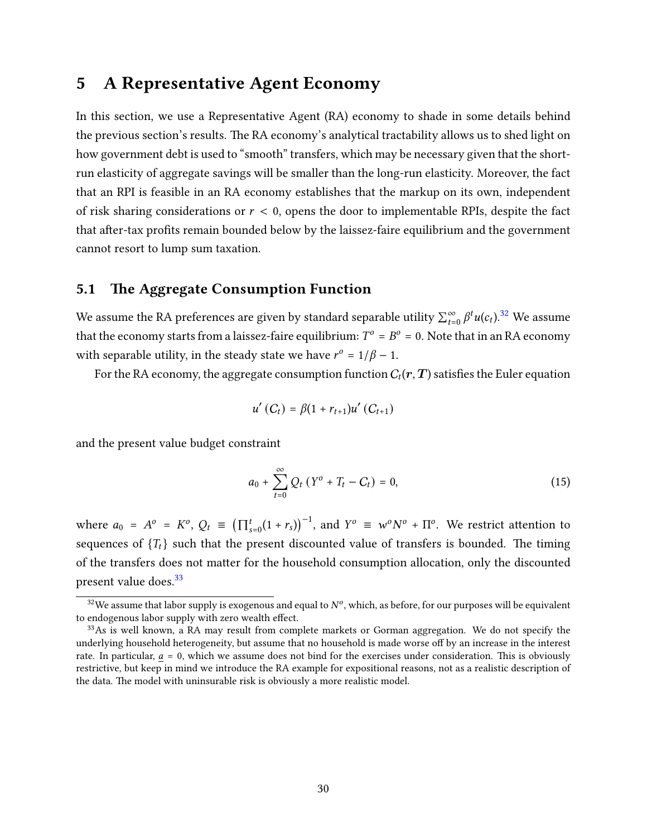## <span id="page-29-0"></span>5 A Representative Agent Economy

In this section, we use a Representative Agent (RA) economy to shade in some details behind the previous section's results. The RA economy's analytical tractability allows us to shed light on how government debt is used to "smooth" transfers, which may be necessary given that the shortrun elasticity of aggregate savings will be smaller than the long-run elasticity. Moreover, the fact that an RPI is feasible in an RA economy establishes that the markup on its own, independent of risk sharing considerations or  $r < 0$ , opens the door to implementable RPIs, despite the fact that after-tax profits remain bounded below by the laissez-faire equilibrium and the government cannot resort to lump sum taxation.

#### 5.1 The Aggregate Consumption Function

We assume the RA preferences are given by standard separable utility  $\sum_{t=0}^{\infty} \beta^t u(c_t).^{32}$  $\sum_{t=0}^{\infty} \beta^t u(c_t).^{32}$  $\sum_{t=0}^{\infty} \beta^t u(c_t).^{32}$  We assume that the economy starts from a laissez-faire equilibrium:  $T^o = B^o = 0$ . Note that in an RA economy with separable utility, in the steady state we have  $r^{\circ} = 1/\beta - 1$ .

For the RA economy, the aggregate consumption function  $C_t(\bm{r},\bm{T})$  satisfies the Euler equation

$$
u'(C_t) = \beta(1 + r_{t+1})u'(C_{t+1})
$$

and the present value budget constraint

$$
a_0 + \sum_{t=0}^{\infty} Q_t (Y^0 + T_t - C_t) = 0,
$$
\n(15)

where  $a_0 = A^o = K^o$ ,  $Q_t \equiv (\prod_{s=0}^t (1 + r_s))^{-1}$ , and  $Y^o \equiv w^o N^o + \Pi^o$ . We restrict attention to sequences of  ${T_t}$  such that the present discounted value of transfers is bounded. The timing of the transfers does not matter for the household consumption allocation, only the discounted present value does.<sup>[33](#page-29-2)</sup>

<span id="page-29-1"></span> $^{32}$ We assume that labor supply is exogenous and equal to  $N^o$ , which, as before, for our purposes will be equivalent to endogenous labor supply with zero wealth effect.

<span id="page-29-2"></span><sup>&</sup>lt;sup>33</sup>As is well known, a RA may result from complete markets or Gorman aggregation. We do not specify the underlying household heterogeneity, but assume that no household is made worse off by an increase in the interest rate. In particular,  $a = 0$ , which we assume does not bind for the exercises under consideration. This is obviously restrictive, but keep in mind we introduce the RA example for expositional reasons, not as a realistic description of the data. The model with uninsurable risk is obviously a more realistic model.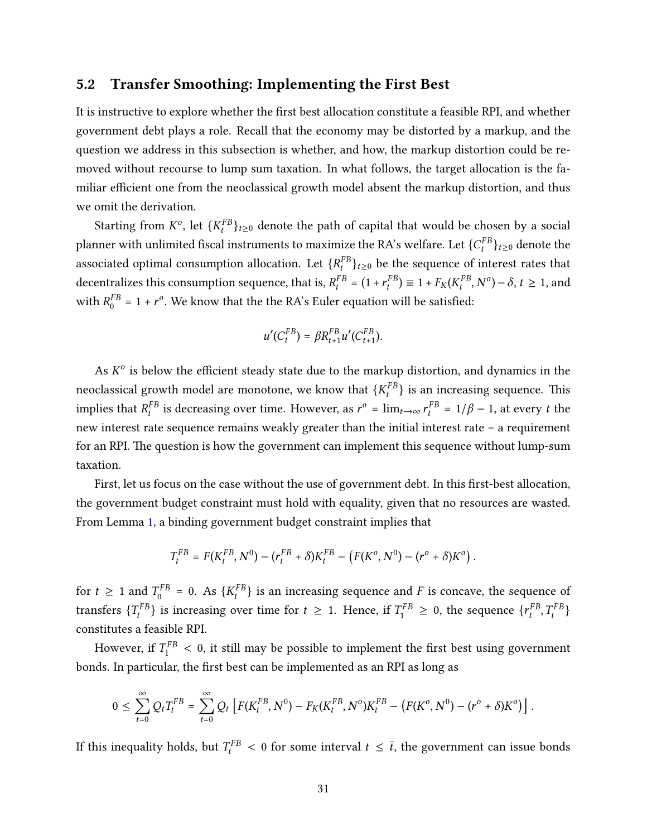### 5.2 Transfer Smoothing: Implementing the First Best

It is instructive to explore whether the first best allocation constitute a feasible RPI, and whether government debt plays a role. Recall that the economy may be distorted by a markup, and the question we address in this subsection is whether, and how, the markup distortion could be removed without recourse to lump sum taxation. In what follows, the target allocation is the familiar efficient one from the neoclassical growth model absent the markup distortion, and thus we omit the derivation.

Starting from  $K^o$ , let  $\{K_t^{FB}\}_{t\geq 0}$  denote the path of capital that would be chosen by a social planner with unlimited fiscal instruments to maximize the RA's welfare. Let  $\{C^{FB}_t\}_{t\geq0}$  denote the associated optimal consumption allocation. Let  $\{R^{FB}_t\}_{t\geq 0}$  be the sequence of interest rates that decentralizes this consumption sequence, that is,  $R_t^{FB} = (1 + r_t^{FB}) \equiv 1 + F_K(K_t^{FB}, N^o) - \delta, t \ge 1$ , and with  $R_0^{FB}$  $_{0}^{FB}$  = 1 +  $r^{o}$ . We know that the the RA's Euler equation will be satisfied:

$$
u'(C_t^{FB}) = \beta R_{t+1}^{FB} u'(C_{t+1}^{FB}).
$$

As  $K^o$  is below the efficient steady state due to the markup distortion, and dynamics in the neoclassical growth model are monotone, we know that  $\{K_t^{FB}\}$  is an increasing sequence. This implies that  $R_t^{FB}$  is decreasing over time. However, as  $r^{\circ} = \lim_{t \to \infty} r_t^{FB} = 1/\beta - 1$ , at every t the new interest rate sequence remains weakly greater than the initial interest rate – a requirement for an RPI. The question is how the government can implement this sequence without lump-sum taxation.

First, let us focus on the case without the use of government debt. In this first-best allocation, the government budget constraint must hold with equality, given that no resources are wasted. From Lemma [1,](#page-14-1) a binding government budget constraint implies that

$$
T_t^{FB} = F(K_t^{FB}, N^0) - (r_t^{FB} + \delta)K_t^{FB} - (F(K^o, N^0) - (r^o + \delta)K^o).
$$

for  $t \geq 1$  and  $T_0^{FB}$  $\Gamma_0^{FB}$  = 0. As  $\{K_t^{FB}\}$  is an increasing sequence and F is concave, the sequence of transfers  $\{T_t^{FB}\}\$  is increasing over time for  $t \geq 1$ . Hence, if  $T_1^{FB} \geq 0$ , the sequence  $\{r_t^{FB}, T_t^{FB}\}$ constitutes a feasible RPI.

However, if  $T_1^{FB} < 0$ , it still may be possible to implement the first best using government bonds. In particular, the first best can be implemented as an RPI as long as

$$
0 \leq \sum_{t=0}^{\infty} Q_t T_t^{FB} = \sum_{t=0}^{\infty} Q_t \left[ F(K_t^{FB}, N^0) - F_K(K_t^{FB}, N^0) K_t^{FB} - \left( F(K^0, N^0) - (r^0 + \delta) K^0 \right) \right].
$$

If this inequality holds, but  $T_t^{FB} < 0$  for some interval  $t \leq \bar{t}$ , the government can issue bonds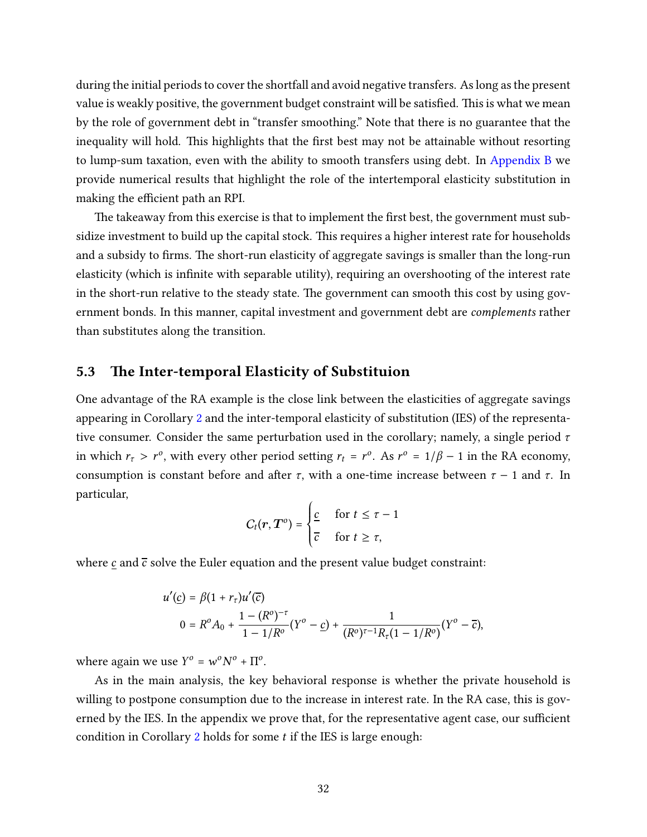during the initial periods to cover the shortfall and avoid negative transfers. As long as the present value is weakly positive, the government budget constraint will be satisfied. This is what we mean by the role of government debt in "transfer smoothing." Note that there is no guarantee that the inequality will hold. This highlights that the first best may not be attainable without resorting to lump-sum taxation, even with the ability to smooth transfers using debt. In [Appendix B](#page-49-0) we provide numerical results that highlight the role of the intertemporal elasticity substitution in making the efficient path an RPI.

The takeaway from this exercise is that to implement the first best, the government must subsidize investment to build up the capital stock. This requires a higher interest rate for households and a subsidy to firms. The short-run elasticity of aggregate savings is smaller than the long-run elasticity (which is infinite with separable utility), requiring an overshooting of the interest rate in the short-run relative to the steady state. The government can smooth this cost by using government bonds. In this manner, capital investment and government debt are complements rather than substitutes along the transition.

#### 5.3 The Inter-temporal Elasticity of Substituion

One advantage of the RA example is the close link between the elasticities of aggregate savings appearing in Corollary [2](#page-27-1) and the inter-temporal elasticity of substitution (IES) of the representative consumer. Consider the same perturbation used in the corollary; namely, a single period  $\tau$ in which  $r_{\tau} > r^{\circ}$ , with every other period setting  $r_t = r^{\circ}$ . As  $r^{\circ} = 1/\beta - 1$  in the RA economy, consumption is constant before and after  $\tau$ , with a one-time increase between  $\tau - 1$  and  $\tau$ . In particular,

$$
C_t(r, T^o) = \begin{cases} \frac{c}{c} & \text{for } t \leq \tau - 1\\ \frac{c}{c} & \text{for } t \geq \tau, \end{cases}
$$

where  $\underline{c}$  and  $\overline{c}$  solve the Euler equation and the present value budget constraint:

$$
u'(\underline{c}) = \beta (1 + r_{\tau}) u'(\overline{c})
$$
  

$$
0 = R^{o} A_{0} + \frac{1 - (R^{o})^{-\tau}}{1 - 1/R^{o}} (Y^{o} - \underline{c}) + \frac{1}{(R^{o})^{\tau-1} R_{\tau} (1 - 1/R^{o})} (Y^{o} - \overline{c}),
$$

where again we use  $Y^o = w^o N^o + \Pi^o$ .

As in the main analysis, the key behavioral response is whether the private household is willing to postpone consumption due to the increase in interest rate. In the RA case, this is governed by the IES. In the appendix we prove that, for the representative agent case, our sufficient condition in Corollary [2](#page-27-1) holds for some  $t$  if the IES is large enough: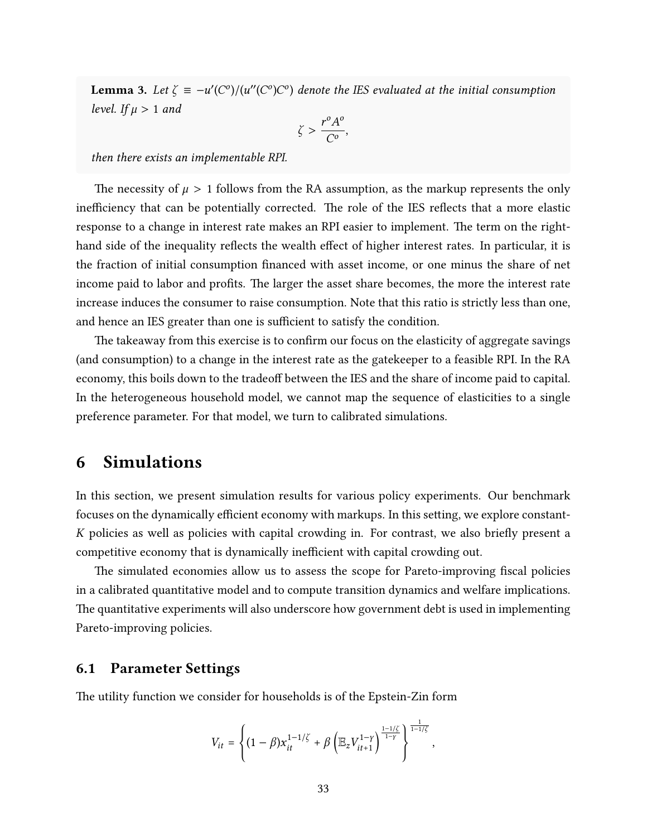<span id="page-32-1"></span>**Lemma 3.** Let  $\zeta = -u'(C^o)/(u''(C^o)C^o)$  denote the IES evaluated at the initial consumption level. If  $\mu > 1$  and

$$
\zeta > \frac{r^o A^o}{C^o},
$$

then there exists an implementable RPI.

The necessity of  $\mu > 1$  follows from the RA assumption, as the markup represents the only inefficiency that can be potentially corrected. The role of the IES reflects that a more elastic response to a change in interest rate makes an RPI easier to implement. The term on the righthand side of the inequality reflects the wealth effect of higher interest rates. In particular, it is the fraction of initial consumption nanced with asset income, or one minus the share of net income paid to labor and profits. The larger the asset share becomes, the more the interest rate increase induces the consumer to raise consumption. Note that this ratio is strictly less than one, and hence an IES greater than one is sufficient to satisfy the condition.

The takeaway from this exercise is to confirm our focus on the elasticity of aggregate savings (and consumption) to a change in the interest rate as the gatekeeper to a feasible RPI. In the RA economy, this boils down to the tradeoff between the IES and the share of income paid to capital. In the heterogeneous household model, we cannot map the sequence of elasticities to a single preference parameter. For that model, we turn to calibrated simulations.

## <span id="page-32-0"></span>6 Simulations

In this section, we present simulation results for various policy experiments. Our benchmark focuses on the dynamically efficient economy with markups. In this setting, we explore constant- $K$  policies as well as policies with capital crowding in. For contrast, we also briefly present a competitive economy that is dynamically inefficient with capital crowding out.

The simulated economies allow us to assess the scope for Pareto-improving fiscal policies in a calibrated quantitative model and to compute transition dynamics and welfare implications. The quantitative experiments will also underscore how government debt is used in implementing Pareto-improving policies.

#### 6.1 Parameter Settings

The utility function we consider for households is of the Epstein-Zin form

$$
V_{it} = \left\{ (1-\beta) x_{it}^{1-1/\zeta} + \beta \left( \mathbb{E}_z V_{it+1}^{1-\gamma} \right)^{\frac{1-1/\zeta}{1-\gamma}} \right\}^{\frac{1}{1-1/\zeta}},
$$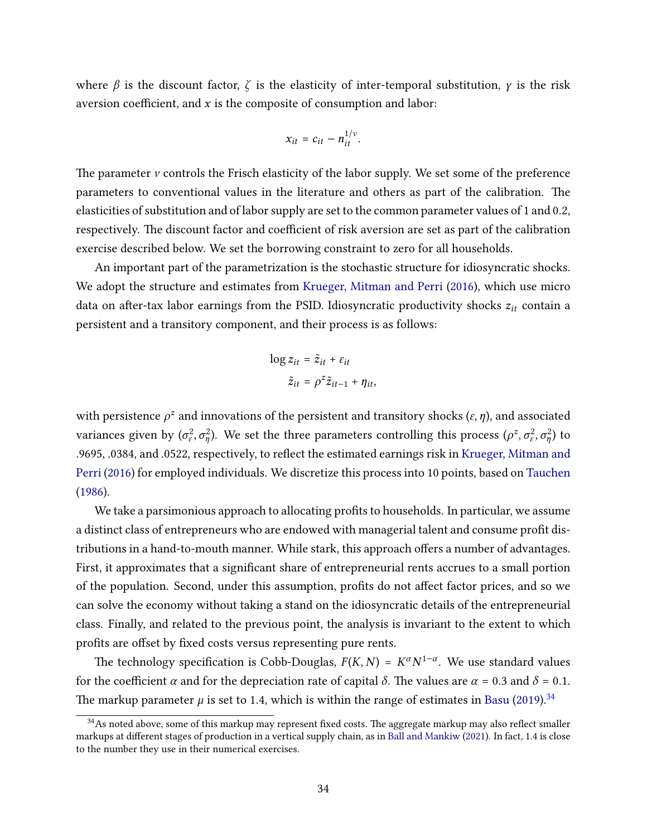where  $\beta$  is the discount factor,  $\zeta$  is the elasticity of inter-temporal substitution,  $\gamma$  is the risk aversion coefficient, and  $x$  is the composite of consumption and labor:

$$
x_{it} = c_{it} - n_{it}^{1/\nu}.
$$

The parameter  $\nu$  controls the Frisch elasticity of the labor supply. We set some of the preference parameters to conventional values in the literature and others as part of the calibration. The elasticities of substitution and of labor supply are set to the common parameter values of 1 and 0.2, respectively. The discount factor and coefficient of risk aversion are set as part of the calibration exercise described below. We set the borrowing constraint to zero for all households.

An important part of the parametrization is the stochastic structure for idiosyncratic shocks. We adopt the structure and estimates from [Krueger, Mitman and Perri](#page-46-0) [\(2016\)](#page-46-0), which use micro data on after-tax labor earnings from the PSID. Idiosyncratic productivity shocks  $z_{it}$  contain a persistent and a transitory component, and their process is as follows:

$$
\log z_{it} = \tilde{z}_{it} + \varepsilon_{it}
$$

$$
\tilde{z}_{it} = \rho^z \tilde{z}_{it-1} + \eta_{it},
$$

with persistence  $\rho^z$  and innovations of the persistent and transitory shocks  $(\varepsilon, \eta)$ , and associated variances given by  $(\sigma_\varepsilon^2, \sigma_n^2)$ . We set the three parameters controlling this process  $(\rho^z, \sigma_\varepsilon^2, \sigma_n^2)$  to .9695, .0384, and .0522, respectively, to reflect the estimated earnings risk in [Krueger, Mitman and](#page-46-0) [Perri](#page-46-0) [\(2016\)](#page-46-0) for employed individuals. We discretize this process into 10 points, based on [Tauchen](#page-47-11) [\(1986\)](#page-47-11).

We take a parsimonious approach to allocating profits to households. In particular, we assume a distinct class of entrepreneurs who are endowed with managerial talent and consume profit distributions in a hand-to-mouth manner. While stark, this approach offers a number of advantages. First, it approximates that a significant share of entrepreneurial rents accrues to a small portion of the population. Second, under this assumption, profits do not affect factor prices, and so we can solve the economy without taking a stand on the idiosyncratic details of the entrepreneurial class. Finally, and related to the previous point, the analysis is invariant to the extent to which profits are offset by fixed costs versus representing pure rents.

The technology specification is Cobb-Douglas,  $F(K, N) = K^{\alpha} N^{1-\alpha}$ . We use standard values for the coefficient  $\alpha$  and for the depreciation rate of capital  $\delta$ . The values are  $\alpha = 0.3$  and  $\delta = 0.1$ . The markup parameter  $\mu$  is set to 1.4, which is within the range of estimates in [Basu](#page-44-15) [\(2019\)](#page-44-15).<sup>[34](#page-33-0)</sup>

<span id="page-33-0"></span> $34$ As noted above, some of this markup may represent fixed costs. The aggregate markup may also reflect smaller markups at different stages of production in a vertical supply chain, as in [Ball and Mankiw](#page-44-3) [\(2021\)](#page-44-3). In fact, 1.4 is close to the number they use in their numerical exercises.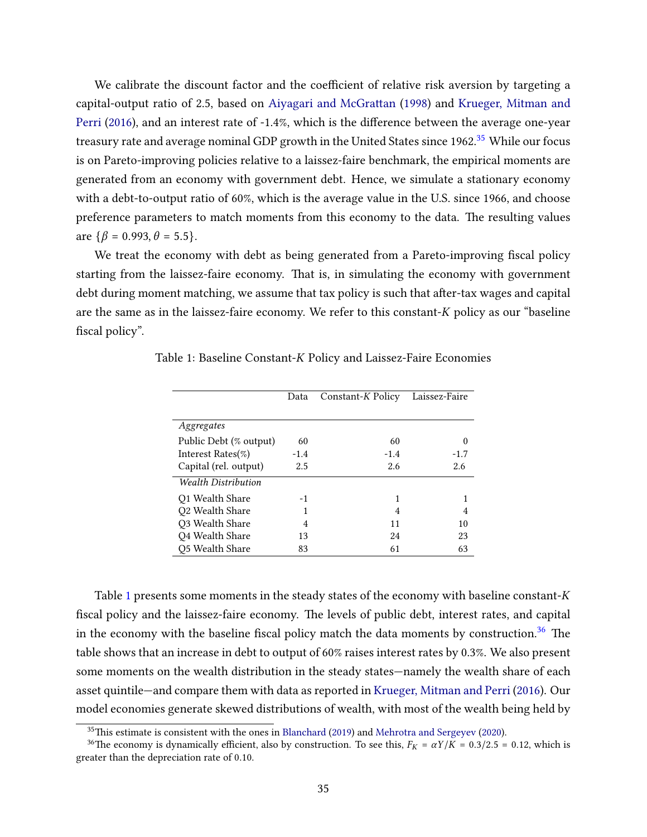We calibrate the discount factor and the coefficient of relative risk aversion by targeting a capital-output ratio of 2.5, based on Aiyagari and McGrattan [\(1998\)](#page-44-0) and [Krueger, Mitman and](#page-46-0) [Perri](#page-46-0) [\(2016\)](#page-46-0), and an interest rate of -1.4%, which is the difference between the average one-year treasury rate and average nominal GDP growth in the United States since 1962.<sup>[35](#page-34-0)</sup> While our focus is on Pareto-improving policies relative to a laissez-faire benchmark, the empirical moments are generated from an economy with government debt. Hence, we simulate a stationary economy with a debt-to-output ratio of 60%, which is the average value in the U.S. since 1966, and choose preference parameters to match moments from this economy to the data. The resulting values are  $\{\beta = 0.993, \theta = 5.5\}.$ 

We treat the economy with debt as being generated from a Pareto-improving fiscal policy starting from the laissez-faire economy. That is, in simulating the economy with government debt during moment matching, we assume that tax policy is such that after-tax wages and capital are the same as in the laissez-faire economy. We refer to this constant- $K$  policy as our "baseline fiscal policy".

|                            | Data   | Constant-K Policy | Laissez-Faire |
|----------------------------|--------|-------------------|---------------|
|                            |        |                   |               |
| Aggregates                 |        |                   |               |
| Public Debt (% output)     | 60     | 60                | 0             |
| Interest Rates $(\%)$      | $-1.4$ | $-1.4$            | $-1.7$        |
| Capital (rel. output)      | 2.5    | 2.6               | 2.6           |
| <b>Wealth Distribution</b> |        |                   |               |
| Q1 Wealth Share            | -1     |                   |               |
| Q2 Wealth Share            |        | 4                 | 4             |
| Q3 Wealth Share            | 4      | 11                | 10            |
| Q4 Wealth Share            | 13     | 24                | 23            |
| <b>Q5 Wealth Share</b>     | 83     | 61                | 63            |

<span id="page-34-1"></span>Table 1: Baseline Constant-*K* Policy and Laissez-Faire Economies

Table [1](#page-34-1) presents some moments in the steady states of the economy with baseline constant- $K$ fiscal policy and the laissez-faire economy. The levels of public debt, interest rates, and capital in the economy with the baseline fiscal policy match the data moments by construction. $36$  The table shows that an increase in debt to output of 60% raises interest rates by 0.3%. We also present some moments on the wealth distribution in the steady states—namely the wealth share of each asset quintile—and compare them with data as reported in [Krueger, Mitman and Perri](#page-46-0) [\(2016\)](#page-46-0). Our model economies generate skewed distributions of wealth, with most of the wealth being held by

<span id="page-34-2"></span><span id="page-34-0"></span> $35$ This estimate is consistent with the ones in [Blanchard](#page-45-3) [\(2019\)](#page-45-3) and [Mehrotra and Sergeyev](#page-47-2) [\(2020\)](#page-47-2).

<sup>&</sup>lt;sup>36</sup>The economy is dynamically efficient, also by construction. To see this,  $F_K = \alpha Y/K = 0.3/2.5 = 0.12$ , which is greater than the depreciation rate of 0.10.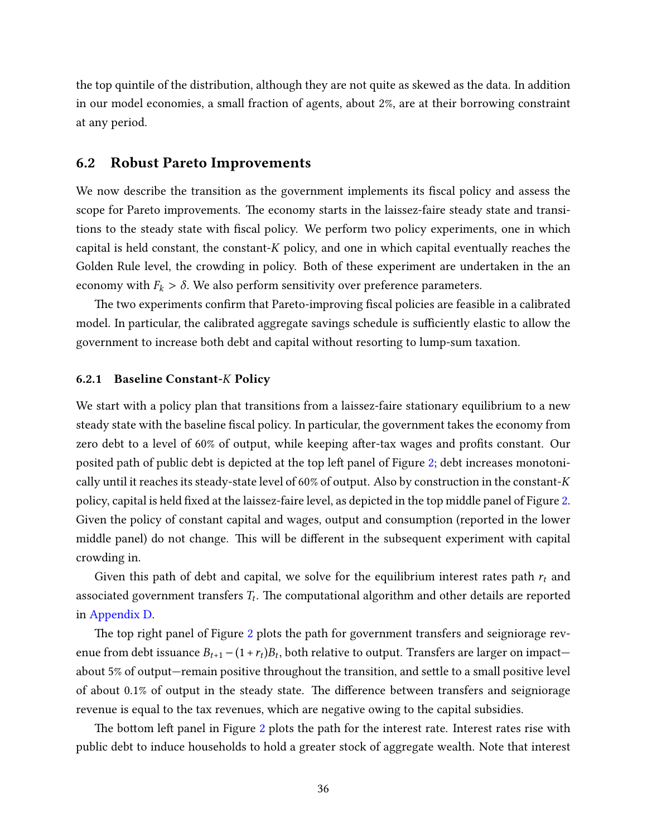the top quintile of the distribution, although they are not quite as skewed as the data. In addition in our model economies, a small fraction of agents, about 2%, are at their borrowing constraint at any period.

#### 6.2 Robust Pareto Improvements

We now describe the transition as the government implements its fiscal policy and assess the scope for Pareto improvements. The economy starts in the laissez-faire steady state and transitions to the steady state with fiscal policy. We perform two policy experiments, one in which capital is held constant, the constant- $K$  policy, and one in which capital eventually reaches the Golden Rule level, the crowding in policy. Both of these experiment are undertaken in the an economy with  $F_k > \delta$ . We also perform sensitivity over preference parameters.

The two experiments confirm that Pareto-improving fiscal policies are feasible in a calibrated model. In particular, the calibrated aggregate savings schedule is sufficiently elastic to allow the government to increase both debt and capital without resorting to lump-sum taxation.

#### 6.2.1 Baseline Constant-K Policy

We start with a policy plan that transitions from a laissez-faire stationary equilibrium to a new steady state with the baseline fiscal policy. In particular, the government takes the economy from zero debt to a level of 60% of output, while keeping after-tax wages and profits constant. Our posited path of public debt is depicted at the top left panel of Figure [2;](#page-36-0) debt increases monotonically until it reaches its steady-state level of 60% of output. Also by construction in the constant- $K$ policy, capital is held fixed at the laissez-faire level, as depicted in the top middle panel of Figure [2.](#page-36-0) Given the policy of constant capital and wages, output and consumption (reported in the lower middle panel) do not change. This will be different in the subsequent experiment with capital crowding in.

Given this path of debt and capital, we solve for the equilibrium interest rates path  $r_t$  and associated government transfers  $T_t$ . The computational algorithm and other details are reported in [Appendix D.](#page-53-0)

The top right panel of Figure [2](#page-36-0) plots the path for government transfers and seigniorage revenue from debt issuance  $B_{t+1} - (1 + r_t)B_t$ , both relative to output. Transfers are larger on impact about 5% of output—remain positive throughout the transition, and settle to a small positive level of about 0.1% of output in the steady state. The difference between transfers and seigniorage revenue is equal to the tax revenues, which are negative owing to the capital subsidies.

The bottom left panel in Figure [2](#page-36-0) plots the path for the interest rate. Interest rates rise with public debt to induce households to hold a greater stock of aggregate wealth. Note that interest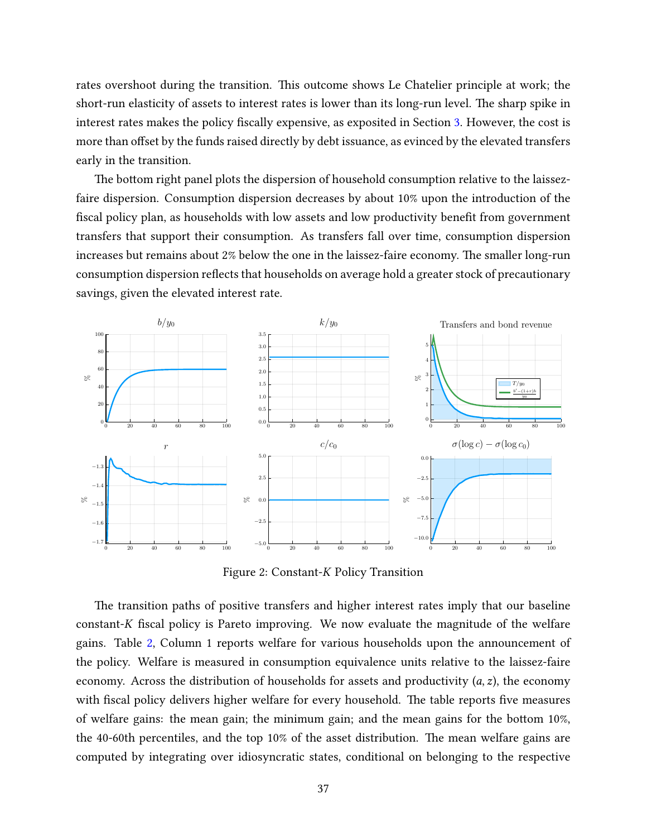rates overshoot during the transition. This outcome shows Le Chatelier principle at work; the short-run elasticity of assets to interest rates is lower than its long-run level. The sharp spike in interest rates makes the policy fiscally expensive, as exposited in Section [3.](#page-11-0) However, the cost is more than offset by the funds raised directly by debt issuance, as evinced by the elevated transfers early in the transition.

The bottom right panel plots the dispersion of household consumption relative to the laissezfaire dispersion. Consumption dispersion decreases by about 10% upon the introduction of the fiscal policy plan, as households with low assets and low productivity benefit from government transfers that support their consumption. As transfers fall over time, consumption dispersion increases but remains about 2% below the one in the laissez-faire economy. The smaller long-run consumption dispersion reflects that households on average hold a greater stock of precautionary savings, given the elevated interest rate.

<span id="page-36-0"></span>

Figure 2: Constant-*K* Policy Transition

The transition paths of positive transfers and higher interest rates imply that our baseline constant-*K* fiscal policy is Pareto improving. We now evaluate the magnitude of the welfare gains. Table [2,](#page-37-0) Column 1 reports welfare for various households upon the announcement of the policy. Welfare is measured in consumption equivalence units relative to the laissez-faire economy. Across the distribution of households for assets and productivity  $(a, z)$ , the economy with fiscal policy delivers higher welfare for every household. The table reports five measures of welfare gains: the mean gain; the minimum gain; and the mean gains for the bottom  $10\%$ , the 40-60th percentiles, and the top  $10\%$  of the asset distribution. The mean welfare gains are computed by integrating over idiosyncratic states, conditional on belonging to the respective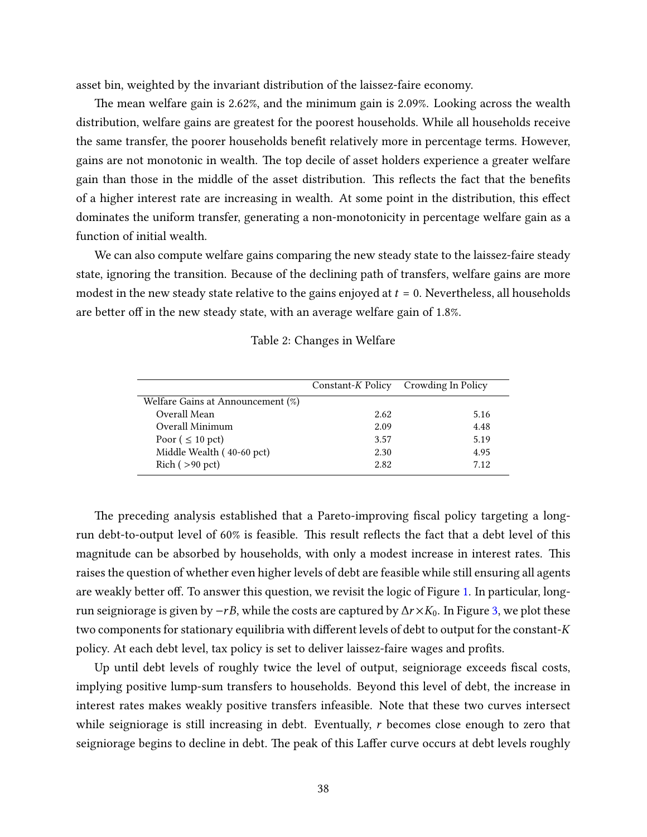asset bin, weighted by the invariant distribution of the laissez-faire economy.

The mean welfare gain is 2.62%, and the minimum gain is 2.09%. Looking across the wealth distribution, welfare gains are greatest for the poorest households. While all households receive the same transfer, the poorer households benefit relatively more in percentage terms. However, gains are not monotonic in wealth. The top decile of asset holders experience a greater welfare gain than those in the middle of the asset distribution. This reflects the fact that the benefits of a higher interest rate are increasing in wealth. At some point in the distribution, this effect dominates the uniform transfer, generating a non-monotonicity in percentage welfare gain as a function of initial wealth.

<span id="page-37-0"></span>We can also compute welfare gains comparing the new steady state to the laissez-faire steady state, ignoring the transition. Because of the declining path of transfers, welfare gains are more modest in the new steady state relative to the gains enjoyed at  $t = 0$ . Nevertheless, all households are better off in the new steady state, with an average welfare gain of 1.8%.

| Table 2: Changes in Welfare |  |  |
|-----------------------------|--|--|
|-----------------------------|--|--|

|                                   |      | Constant-K Policy Crowding In Policy |
|-----------------------------------|------|--------------------------------------|
| Welfare Gains at Announcement (%) |      |                                      |
| Overall Mean                      | 2.62 | 5.16                                 |
| Overall Minimum                   | 2.09 | 4.48                                 |
| Poor ( $\leq 10$ pct)             | 3.57 | 5.19                                 |
| Middle Wealth (40-60 pct)         | 2.30 | 4.95                                 |
| Rich (>90~pt)                     | 2.82 | 7.12                                 |

The preceding analysis established that a Pareto-improving fiscal policy targeting a longrun debt-to-output level of 60% is feasible. This result reflects the fact that a debt level of this magnitude can be absorbed by households, with only a modest increase in interest rates. This raises the question of whether even higher levels of debt are feasible while still ensuring all agents are weakly better off. To answer this question, we revisit the logic of Figure [1.](#page-19-0) In particular, longrun seigniorage is given by  $-rB$ , while the costs are captured by  $\Delta r \times K_0$ . In Figure [3,](#page-38-0) we plot these two components for stationary equilibria with different levels of debt to output for the constant- $K$ policy. At each debt level, tax policy is set to deliver laissez-faire wages and profits.

Up until debt levels of roughly twice the level of output, seigniorage exceeds fiscal costs, implying positive lump-sum transfers to households. Beyond this level of debt, the increase in interest rates makes weakly positive transfers infeasible. Note that these two curves intersect while seigniorage is still increasing in debt. Eventually,  $r$  becomes close enough to zero that seigniorage begins to decline in debt. The peak of this Laffer curve occurs at debt levels roughly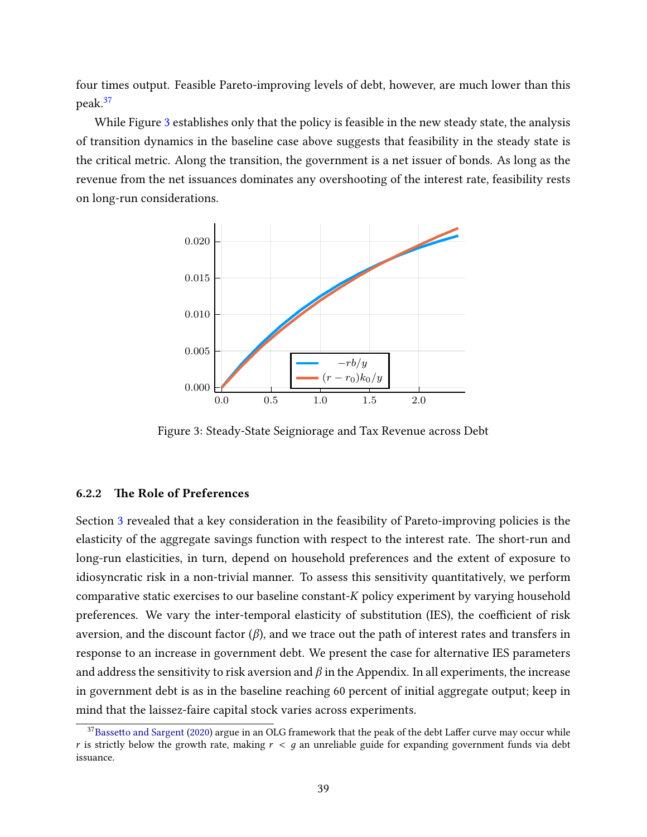four times output. Feasible Pareto-improving levels of debt, however, are much lower than this peak.[37](#page-38-1)

While Figure [3](#page-38-0) establishes only that the policy is feasible in the new steady state, the analysis of transition dynamics in the baseline case above suggests that feasibility in the steady state is the critical metric. Along the transition, the government is a net issuer of bonds. As long as the revenue from the net issuances dominates any overshooting of the interest rate, feasibility rests on long-run considerations.

<span id="page-38-0"></span>

Figure 3: Steady-State Seigniorage and Tax Revenue across Debt

#### 6.2.2 The Role of Preferences

Section [3](#page-11-0) revealed that a key consideration in the feasibility of Pareto-improving policies is the elasticity of the aggregate savings function with respect to the interest rate. The short-run and long-run elasticities, in turn, depend on household preferences and the extent of exposure to idiosyncratic risk in a non-trivial manner. To assess this sensitivity quantitatively, we perform comparative static exercises to our baseline constant- $K$  policy experiment by varying household preferences. We vary the inter-temporal elasticity of substitution (IES), the coefficient of risk aversion, and the discount factor  $(\beta)$ , and we trace out the path of interest rates and transfers in response to an increase in government debt. We present the case for alternative IES parameters and address the sensitivity to risk aversion and  $\beta$  in the Appendix. In all experiments, the increase in government debt is as in the baseline reaching 60 percent of initial aggregate output; keep in mind that the laissez-faire capital stock varies across experiments.

<span id="page-38-1"></span><sup>&</sup>lt;sup>37</sup>Bassetto and Sargent [\(2020\)](#page-44-10) argue in an OLG framework that the peak of the debt Laffer curve may occur while r is strictly below the growth rate, making  $r < q$  an unreliable guide for expanding government funds via debt issuance.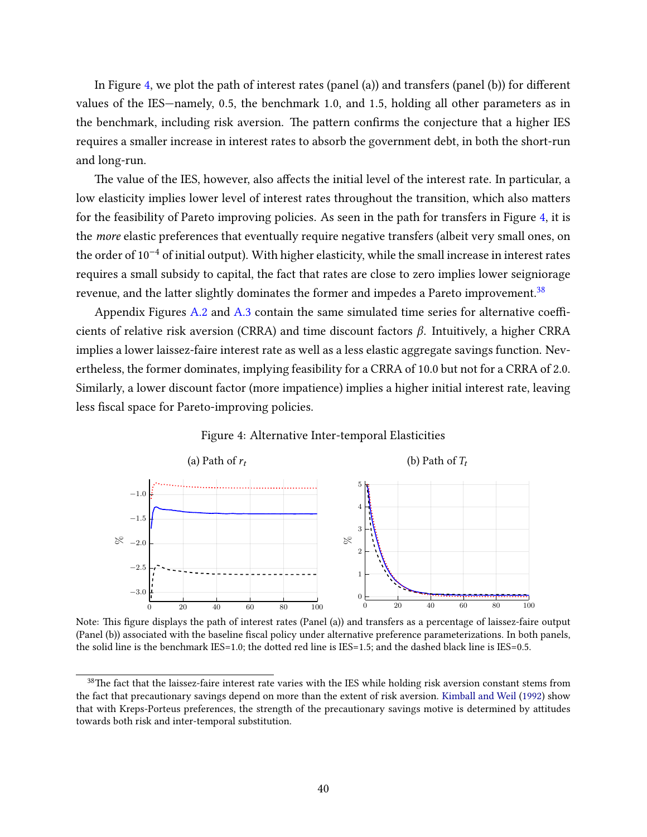In Figure [4,](#page-39-0) we plot the path of interest rates (panel (a)) and transfers (panel (b)) for different values of the IES—namely, 0.5, the benchmark 1.0, and 1.5, holding all other parameters as in the benchmark, including risk aversion. The pattern confirms the conjecture that a higher IES requires a smaller increase in interest rates to absorb the government debt, in both the short-run and long-run.

The value of the IES, however, also affects the initial level of the interest rate. In particular, a low elasticity implies lower level of interest rates throughout the transition, which also matters for the feasibility of Pareto improving policies. As seen in the path for transfers in Figure [4,](#page-39-0) it is the more elastic preferences that eventually require negative transfers (albeit very small ones, on the order of 10−<sup>4</sup> of initial output). With higher elasticity, while the small increase in interest rates requires a small subsidy to capital, the fact that rates are close to zero implies lower seigniorage revenue, and the latter slightly dominates the former and impedes a Pareto improvement.<sup>[38](#page-39-1)</sup>

Appendix Figures  $A.2$  and  $A.3$  contain the same simulated time series for alternative coefficients of relative risk aversion (CRRA) and time discount factors  $\beta$ . Intuitively, a higher CRRA implies a lower laissez-faire interest rate as well as a less elastic aggregate savings function. Nevertheless, the former dominates, implying feasibility for a CRRA of 10.0 but not for a CRRA of 2.0. Similarly, a lower discount factor (more impatience) implies a higher initial interest rate, leaving less fiscal space for Pareto-improving policies.

#### Figure 4: Alternative Inter-temporal Elasticities

<span id="page-39-0"></span>

Note: This figure displays the path of interest rates (Panel (a)) and transfers as a percentage of laissez-faire output (Panel (b)) associated with the baseline fiscal policy under alternative preference parameterizations. In both panels, the solid line is the benchmark  $IES=1.0$ ; the dotted red line is  $IES=1.5$ ; and the dashed black line is  $IES=0.5$ .

<span id="page-39-1"></span> $38$ The fact that the laissez-faire interest rate varies with the IES while holding risk aversion constant stems from the fact that precautionary savings depend on more than the extent of risk aversion. [Kimball and Weil](#page-46-15) [\(1992\)](#page-46-15) show that with Kreps-Porteus preferences, the strength of the precautionary savings motive is determined by attitudes towards both risk and inter-temporal substitution.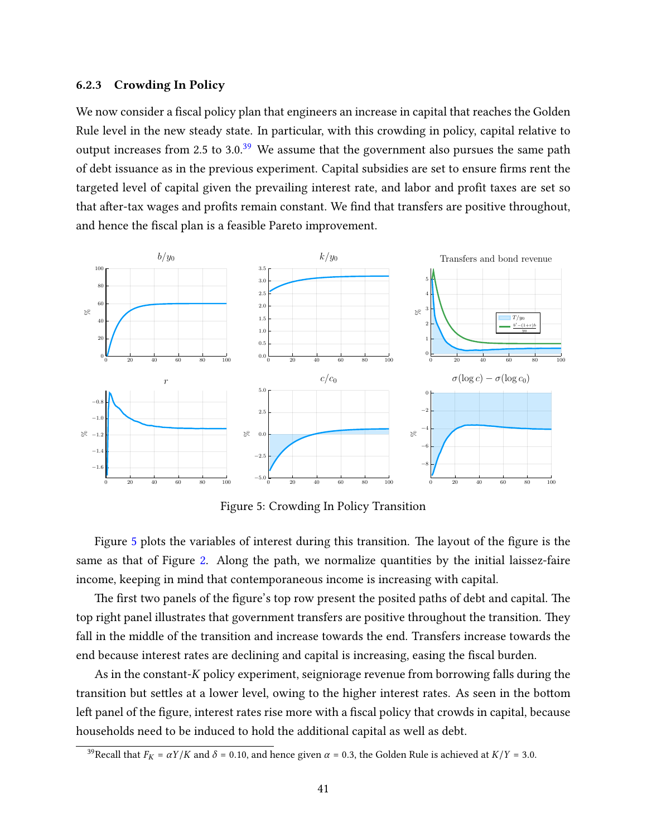#### 6.2.3 Crowding In Policy

We now consider a fiscal policy plan that engineers an increase in capital that reaches the Golden Rule level in the new steady state. In particular, with this crowding in policy, capital relative to output increases from 2.5 to 3.0. $39$  We assume that the government also pursues the same path of debt issuance as in the previous experiment. Capital subsidies are set to ensure firms rent the targeted level of capital given the prevailing interest rate, and labor and profit taxes are set so that after-tax wages and profits remain constant. We find that transfers are positive throughout, and hence the fiscal plan is a feasible Pareto improvement.

<span id="page-40-1"></span>

Figure 5: Crowding In Policy Transition

Figure  $5$  plots the variables of interest during this transition. The layout of the figure is the same as that of Figure [2.](#page-36-0) Along the path, we normalize quantities by the initial laissez-faire income, keeping in mind that contemporaneous income is increasing with capital.

The first two panels of the figure's top row present the posited paths of debt and capital. The top right panel illustrates that government transfers are positive throughout the transition. They fall in the middle of the transition and increase towards the end. Transfers increase towards the end because interest rates are declining and capital is increasing, easing the fiscal burden.

As in the constant- $K$  policy experiment, seigniorage revenue from borrowing falls during the transition but settles at a lower level, owing to the higher interest rates. As seen in the bottom left panel of the figure, interest rates rise more with a fiscal policy that crowds in capital, because households need to be induced to hold the additional capital as well as debt.

<span id="page-40-0"></span><sup>&</sup>lt;sup>39</sup>Recall that  $F_K = \alpha Y/K$  and  $\delta = 0.10$ , and hence given  $\alpha = 0.3$ , the Golden Rule is achieved at  $K/Y = 3.0$ .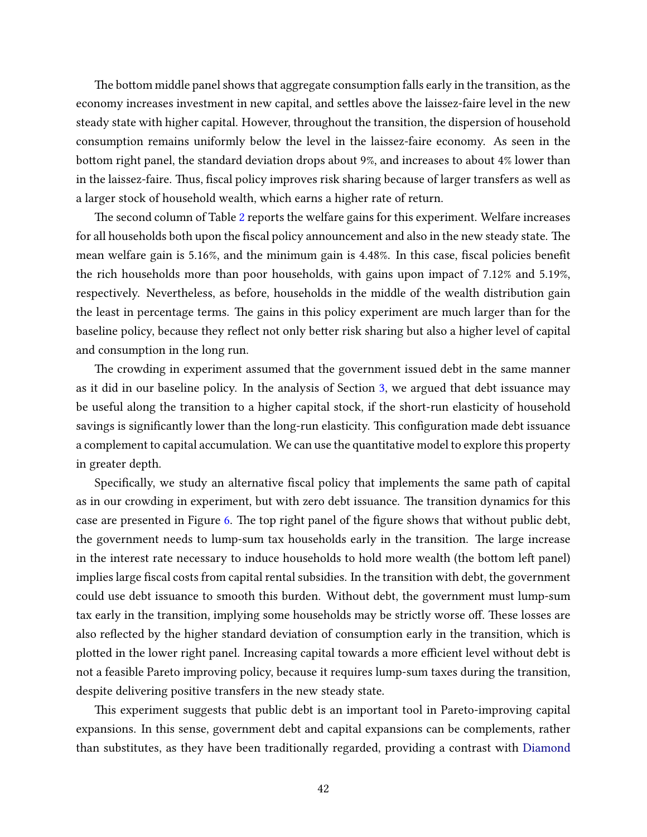The bottom middle panel shows that aggregate consumption falls early in the transition, as the economy increases investment in new capital, and settles above the laissez-faire level in the new steady state with higher capital. However, throughout the transition, the dispersion of household consumption remains uniformly below the level in the laissez-faire economy. As seen in the bottom right panel, the standard deviation drops about 9%, and increases to about 4% lower than in the laissez-faire. Thus, fiscal policy improves risk sharing because of larger transfers as well as a larger stock of household wealth, which earns a higher rate of return.

The second column of Table [2](#page-37-0) reports the welfare gains for this experiment. Welfare increases for all households both upon the fiscal policy announcement and also in the new steady state. The mean welfare gain is 5.16%, and the minimum gain is 4.48%. In this case, fiscal policies benefit the rich households more than poor households, with gains upon impact of 7.12% and 5.19%, respectively. Nevertheless, as before, households in the middle of the wealth distribution gain the least in percentage terms. The gains in this policy experiment are much larger than for the baseline policy, because they reflect not only better risk sharing but also a higher level of capital and consumption in the long run.

The crowding in experiment assumed that the government issued debt in the same manner as it did in our baseline policy. In the analysis of Section [3,](#page-11-0) we argued that debt issuance may be useful along the transition to a higher capital stock, if the short-run elasticity of household savings is significantly lower than the long-run elasticity. This configuration made debt issuance a complement to capital accumulation. We can use the quantitative model to explore this property in greater depth.

Specifically, we study an alternative fiscal policy that implements the same path of capital as in our crowding in experiment, but with zero debt issuance. The transition dynamics for this case are presented in Figure [6.](#page-42-1) The top right panel of the figure shows that without public debt, the government needs to lump-sum tax households early in the transition. The large increase in the interest rate necessary to induce households to hold more wealth (the bottom left panel) implies large fiscal costs from capital rental subsidies. In the transition with debt, the government could use debt issuance to smooth this burden. Without debt, the government must lump-sum tax early in the transition, implying some households may be strictly worse off. These losses are also reflected by the higher standard deviation of consumption early in the transition, which is plotted in the lower right panel. Increasing capital towards a more efficient level without debt is not a feasible Pareto improving policy, because it requires lump-sum taxes during the transition, despite delivering positive transfers in the new steady state.

This experiment suggests that public debt is an important tool in Pareto-improving capital expansions. In this sense, government debt and capital expansions can be complements, rather than substitutes, as they have been traditionally regarded, providing a contrast with [Diamond](#page-45-1)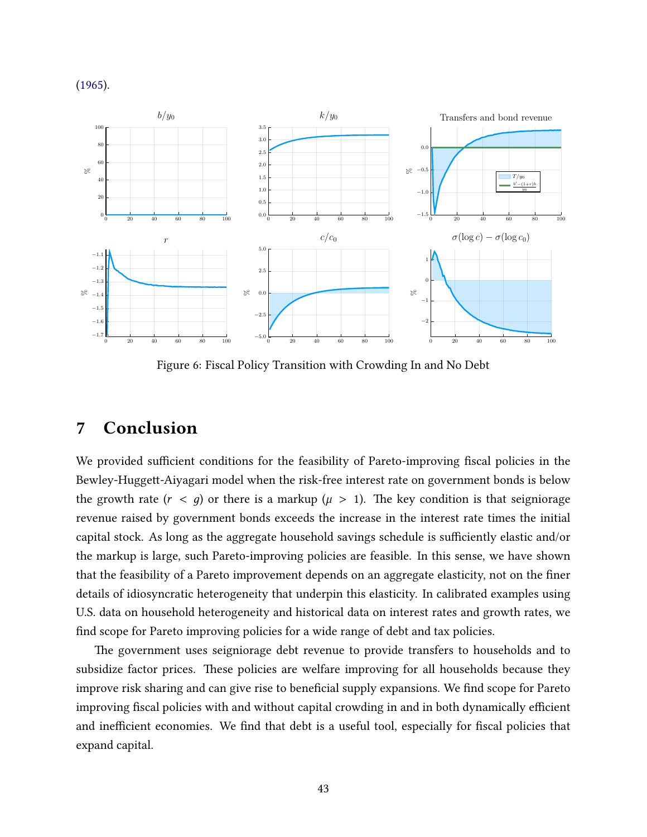[\(1965\)](#page-45-1).

<span id="page-42-1"></span>

Figure 6: Fiscal Policy Transition with Crowding In and No Debt

## <span id="page-42-0"></span>7 Conclusion

We provided sufficient conditions for the feasibility of Pareto-improving fiscal policies in the Bewley-Huggett-Aiyagari model when the risk-free interest rate on government bonds is below the growth rate  $(r < q)$  or there is a markup  $(\mu > 1)$ . The key condition is that seigniorage revenue raised by government bonds exceeds the increase in the interest rate times the initial capital stock. As long as the aggregate household savings schedule is sufficiently elastic and/or the markup is large, such Pareto-improving policies are feasible. In this sense, we have shown that the feasibility of a Pareto improvement depends on an aggregate elasticity, not on the finer details of idiosyncratic heterogeneity that underpin this elasticity. In calibrated examples using U.S. data on household heterogeneity and historical data on interest rates and growth rates, we find scope for Pareto improving policies for a wide range of debt and tax policies.

The government uses seigniorage debt revenue to provide transfers to households and to subsidize factor prices. These policies are welfare improving for all households because they improve risk sharing and can give rise to beneficial supply expansions. We find scope for Pareto improving fiscal policies with and without capital crowding in and in both dynamically efficient and inefficient economies. We find that debt is a useful tool, especially for fiscal policies that expand capital.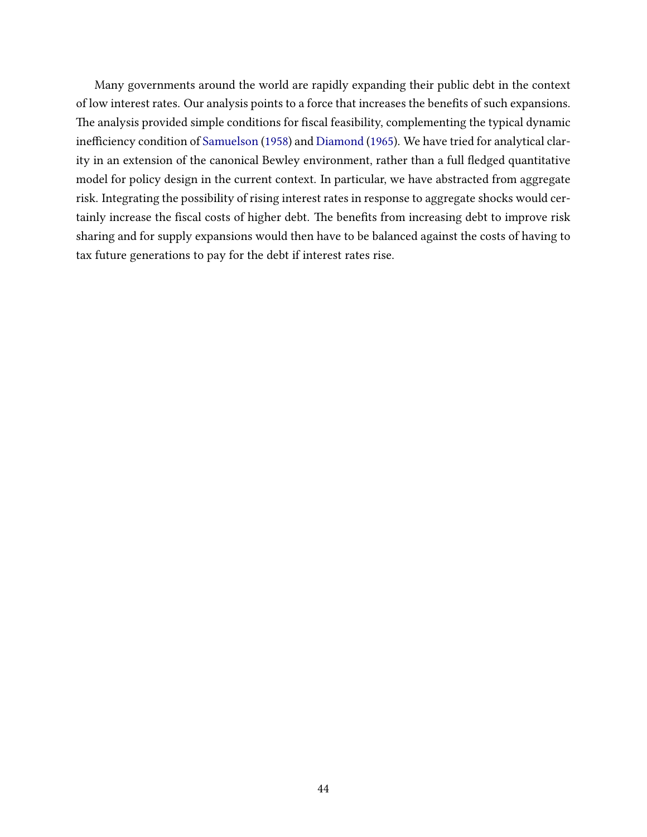Many governments around the world are rapidly expanding their public debt in the context of low interest rates. Our analysis points to a force that increases the benefits of such expansions. The analysis provided simple conditions for fiscal feasibility, complementing the typical dynamic inefficiency condition of [Samuelson](#page-47-1) [\(1958\)](#page-47-1) and [Diamond](#page-45-1) [\(1965\)](#page-45-1). We have tried for analytical clarity in an extension of the canonical Bewley environment, rather than a full fledged quantitative model for policy design in the current context. In particular, we have abstracted from aggregate risk. Integrating the possibility of rising interest rates in response to aggregate shocks would certainly increase the fiscal costs of higher debt. The benefits from increasing debt to improve risk sharing and for supply expansions would then have to be balanced against the costs of having to tax future generations to pay for the debt if interest rates rise.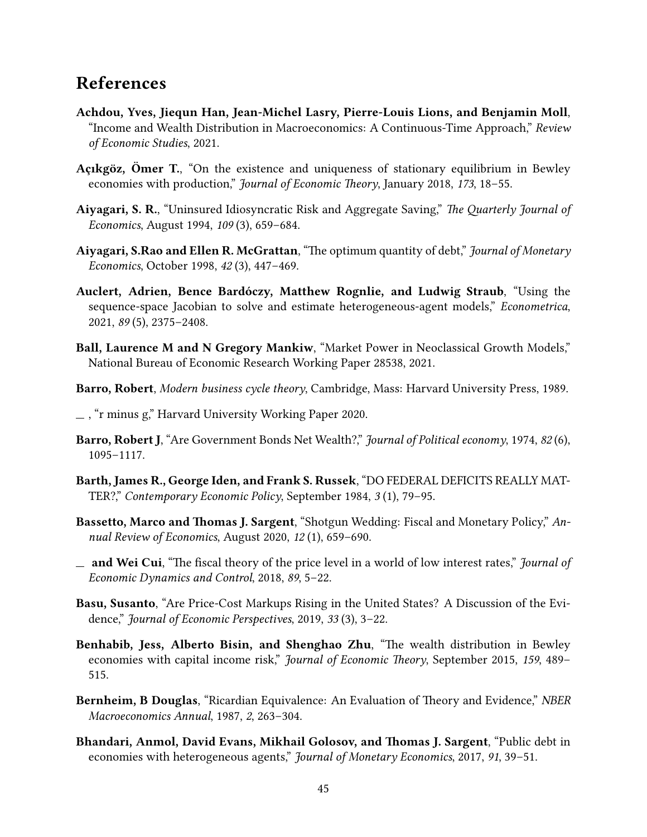# References

- <span id="page-44-9"></span>Achdou, Yves, Jiequn Han, Jean-Michel Lasry, Pierre-Louis Lions, and Benjamin Moll, "Income and Wealth Distribution in Macroeconomics: A Continuous-Time Approach," Review of Economic Studies, 2021.
- <span id="page-44-8"></span>Açıkgöz, Ömer T., "On the existence and uniqueness of stationary equilibrium in Bewley economies with production," Journal of Economic Theory, January 2018, 173, 18-55.
- <span id="page-44-6"></span>Aiyagari, S. R., "Uninsured Idiosyncratic Risk and Aggregate Saving," The Quarterly Journal of Economics, August 1994, 109 (3), 659–684.
- <span id="page-44-0"></span>Aiyagari, S.Rao and Ellen R. McGrattan, "The optimum quantity of debt," Journal of Monetary Economics, October 1998, 42 (3), 447–469.
- <span id="page-44-1"></span>Auclert, Adrien, Bence Bardóczy, Matthew Rognlie, and Ludwig Straub, "Using the sequence-space Jacobian to solve and estimate heterogeneous-agent models," Econometrica, 2021, 89 (5), 2375–2408.
- <span id="page-44-3"></span>Ball, Laurence M and N Gregory Mankiw, "Market Power in Neoclassical Growth Models," National Bureau of Economic Research Working Paper 28538, 2021.
- <span id="page-44-14"></span>Barro, Robert, Modern business cycle theory, Cambridge, Mass: Harvard University Press, 1989.
- <span id="page-44-4"></span>, "r minus g," Harvard University Working Paper 2020.
- <span id="page-44-11"></span>Barro, Robert J, "Are Government Bonds Net Wealth?," Journal of Political economy, 1974, 82(6), 1095–1117.
- <span id="page-44-13"></span>Barth, James R., George Iden, and Frank S. Russek, "DO FEDERAL DEFICITS REALLY MAT-TER?," Contemporary Economic Policy, September 1984, 3 (1), 79–95.
- <span id="page-44-10"></span>Bassetto, Marco and Thomas J. Sargent, "Shotgun Wedding: Fiscal and Monetary Policy," Annual Review of Economics, August 2020, 12 (1), 659–690.
- <span id="page-44-2"></span> $\equiv$  and Wei Cui, "The fiscal theory of the price level in a world of low interest rates," *Journal of* Economic Dynamics and Control, 2018, 89, 5–22.
- <span id="page-44-15"></span>Basu, Susanto, "Are Price-Cost Markups Rising in the United States? A Discussion of the Evidence," Journal of Economic Perspectives, 2019, 33 (3), 3–22.
- <span id="page-44-12"></span>Benhabib, Jess, Alberto Bisin, and Shenghao Zhu, "The wealth distribution in Bewley economies with capital income risk," *Journal of Economic Theory*, September 2015, 159, 489– 515.
- <span id="page-44-5"></span>Bernheim, B Douglas, "Ricardian Equivalence: An Evaluation of Theory and Evidence," NBER Macroeconomics Annual, 1987, 2, 263–304.
- <span id="page-44-7"></span>Bhandari, Anmol, David Evans, Mikhail Golosov, and Thomas J. Sargent, "Public debt in economies with heterogeneous agents," Journal of Monetary Economics, 2017, 91, 39-51.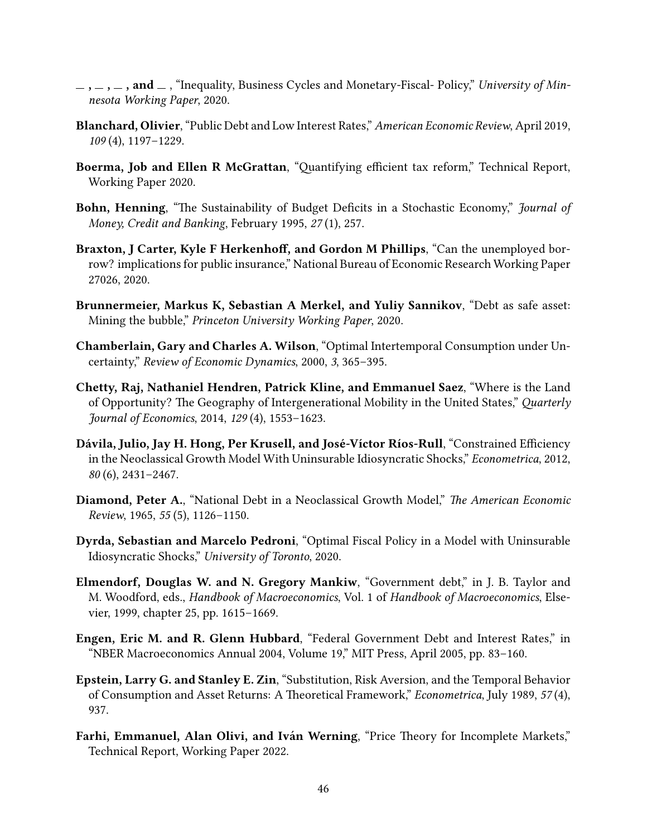- <span id="page-45-7"></span> $,\, \_ ,\_ ,\_ ,$  and  $\_$ , "Inequality, Business Cycles and Monetary-Fiscal- Policy," University of Minnesota Working Paper, 2020.
- <span id="page-45-3"></span>Blanchard, Olivier, "Public Debt and Low Interest Rates," American Economic Review, April 2019, 109 (4), 1197–1229.
- <span id="page-45-10"></span>Boerma, Job and Ellen R McGrattan, "Quantifying efficient tax reform," Technical Report, Working Paper 2020.
- <span id="page-45-5"></span>Bohn, Henning, "The Sustainability of Budget Deficits in a Stochastic Economy," *Journal of* Money, Credit and Banking, February 1995, 27 (1), 257.
- <span id="page-45-9"></span>Braxton, J Carter, Kyle F Herkenhoff, and Gordon M Phillips, "Can the unemployed borrow? implications for public insurance," National Bureau of Economic Research Working Paper 27026, 2020.
- <span id="page-45-4"></span>Brunnermeier, Markus K, Sebastian A Merkel, and Yuliy Sannikov, "Debt as safe asset: Mining the bubble," Princeton University Working Paper, 2020.
- <span id="page-45-11"></span>Chamberlain, Gary and Charles A. Wilson, "Optimal Intertemporal Consumption under Uncertainty," Review of Economic Dynamics, 2000, 3, 365–395.
- <span id="page-45-8"></span>Chetty, Raj, Nathaniel Hendren, Patrick Kline, and Emmanuel Saez, "Where is the Land of Opportunity? The Geography of Intergenerational Mobility in the United States," Quarterly Journal of Economics, 2014, 129 (4), 1553–1623.
- <span id="page-45-0"></span>Dávila, Julio, Jay H. Hong, Per Krusell, and José-Víctor Ríos-Rull, "Constrained Efficiency in the Neoclassical Growth Model With Uninsurable Idiosyncratic Shocks," Econometrica, 2012, 80 (6), 2431–2467.
- <span id="page-45-1"></span>Diamond, Peter A., "National Debt in a Neoclassical Growth Model," The American Economic Review, 1965, 55 (5), 1126–1150.
- <span id="page-45-6"></span>Dyrda, Sebastian and Marcelo Pedroni, "Optimal Fiscal Policy in a Model with Uninsurable Idiosyncratic Shocks," University of Toronto, 2020.
- <span id="page-45-12"></span>Elmendorf, Douglas W. and N. Gregory Mankiw, "Government debt," in J. B. Taylor and M. Woodford, eds., Handbook of Macroeconomics, Vol. 1 of Handbook of Macroeconomics, Elsevier, 1999, chapter 25, pp. 1615–1669.
- <span id="page-45-13"></span>Engen, Eric M. and R. Glenn Hubbard, "Federal Government Debt and Interest Rates," in "NBER Macroeconomics Annual 2004, Volume 19," MIT Press, April 2005, pp. 83–160.
- <span id="page-45-2"></span>Epstein, Larry G. and Stanley E. Zin, "Substitution, Risk Aversion, and the Temporal Behavior of Consumption and Asset Returns: A Theoretical Framework," *Econometrica*, July 1989, 57(4), 937.
- <span id="page-45-14"></span>Farhi, Emmanuel, Alan Olivi, and Iván Werning, "Price Theory for Incomplete Markets," Technical Report, Working Paper 2022.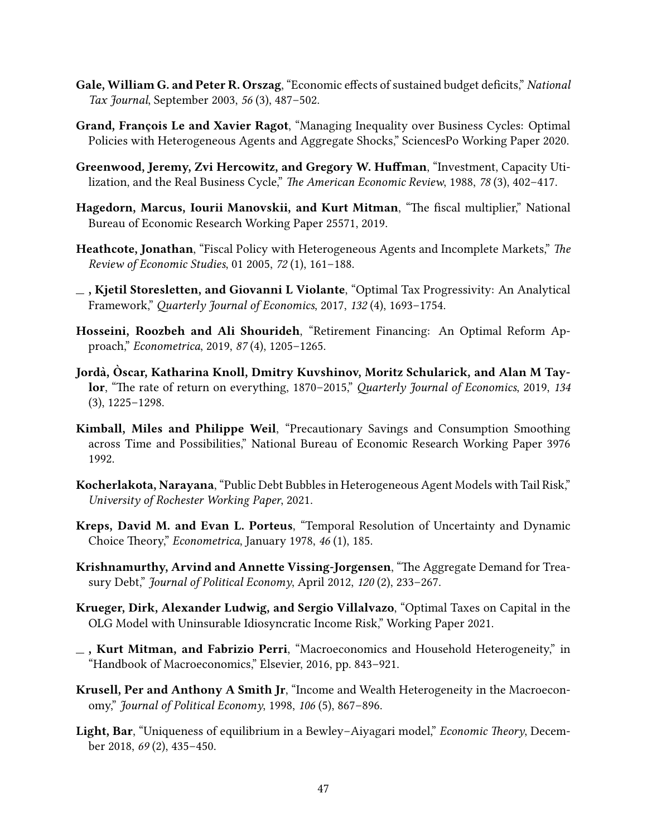- <span id="page-46-14"></span>Gale, William G. and Peter R. Orszag, "Economic effects of sustained budget deficits," National Tax Journal, September 2003, 56 (3), 487–502.
- <span id="page-46-7"></span>Grand, François Le and Xavier Ragot, "Managing Inequality over Business Cycles: Optimal Policies with Heterogeneous Agents and Aggregate Shocks," SciencesPo Working Paper 2020.
- <span id="page-46-10"></span>Greenwood, Jeremy, Zvi Hercowitz, and Gregory W. Huffman, "Investment, Capacity Utilization, and the Real Business Cycle," The American Economic Review, 1988, 78 (3), 402-417.
- <span id="page-46-8"></span>Hagedorn, Marcus, Iourii Manovskii, and Kurt Mitman, "The fiscal multiplier," National Bureau of Economic Research Working Paper 25571, 2019.
- <span id="page-46-1"></span>Heathcote, Jonathan, "Fiscal Policy with Heterogeneous Agents and Incomplete Markets," The Review of Economic Studies, 01 2005, 72 (1), 161–188.
- <span id="page-46-3"></span> $\overline{\phantom{a}}$ , Kjetil Storesletten, and Giovanni L Violante, "Optimal Tax Progressivity: An Analytical Framework," Quarterly Journal of Economics, 2017, 132 (4), 1693-1754.
- <span id="page-46-9"></span>Hosseini, Roozbeh and Ali Shourideh, "Retirement Financing: An Optimal Reform Approach," Econometrica, 2019, 87 (4), 1205–1265.
- <span id="page-46-2"></span>Jordà, Oscar, Katharina Knoll, Dmitry Kuvshinov, Moritz Schularick, and Alan M Taylor, "The rate of return on everything, 1870–2015," Quarterly Journal of Economics, 2019, 134 (3), 1225–1298.
- <span id="page-46-15"></span>Kimball, Miles and Philippe Weil, "Precautionary Savings and Consumption Smoothing across Time and Possibilities," National Bureau of Economic Research Working Paper 3976 1992.
- <span id="page-46-5"></span>Kocherlakota, Narayana, "Public Debt Bubbles in Heterogeneous Agent Models with Tail Risk," University of Rochester Working Paper, 2021.
- <span id="page-46-11"></span>Kreps, David M. and Evan L. Porteus, "Temporal Resolution of Uncertainty and Dynamic Choice Theory," Econometrica, January 1978, 46 (1), 185.
- <span id="page-46-12"></span>Krishnamurthy, Arvind and Annette Vissing-Jorgensen, "The Aggregate Demand for Treasury Debt," Journal of Political Economy, April 2012, 120 (2), 233-267.
- <span id="page-46-4"></span>Krueger, Dirk, Alexander Ludwig, and Sergio Villalvazo, "Optimal Taxes on Capital in the OLG Model with Uninsurable Idiosyncratic Income Risk," Working Paper 2021.
- <span id="page-46-0"></span> $\overline{\phantom{a}}$ , Kurt Mitman, and Fabrizio Perri, "Macroeconomics and Household Heterogeneity," in "Handbook of Macroeconomics," Elsevier, 2016, pp. 843–921.
- <span id="page-46-6"></span>Krusell, Per and Anthony A Smith Jr, "Income and Wealth Heterogeneity in the Macroeconomy," Journal of Political Economy, 1998, 106 (5), 867–896.
- <span id="page-46-13"></span>Light, Bar, "Uniqueness of equilibrium in a Bewley-Aiyagari model," Economic Theory, December 2018, 69 (2), 435–450.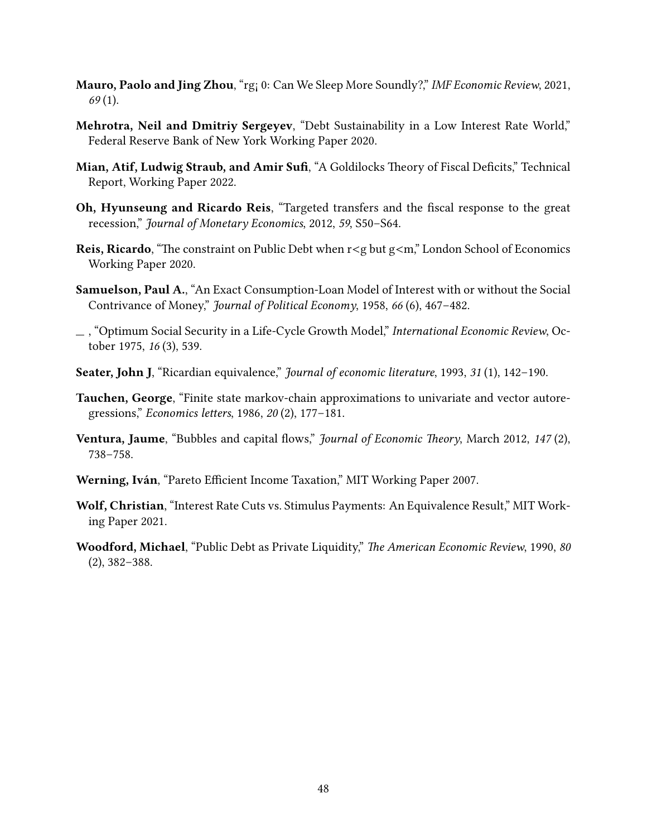- <span id="page-47-4"></span>Mauro, Paolo and Jing Zhou, "rg¡ 0: Can We Sleep More Soundly?," IMF Economic Review, 2021, 69 (1).
- <span id="page-47-2"></span>Mehrotra, Neil and Dmitriy Sergeyev, "Debt Sustainability in a Low Interest Rate World," Federal Reserve Bank of New York Working Paper 2020.
- <span id="page-47-10"></span>Mian, Atif, Ludwig Straub, and Amir Sufi, "A Goldilocks Theory of Fiscal Deficits," Technical Report, Working Paper 2022.
- <span id="page-47-6"></span>Oh, Hyunseung and Ricardo Reis, "Targeted transfers and the fiscal response to the great recession," Journal of Monetary Economics, 2012, 59, S50–S64.
- <span id="page-47-3"></span>Reis, Ricardo, "The constraint on Public Debt when  $r < g$  but  $g < m$ ," London School of Economics Working Paper 2020.
- <span id="page-47-1"></span>Samuelson, Paul A., "An Exact Consumption-Loan Model of Interest with or without the Social Contrivance of Money," Journal of Political Economy, 1958, 66 (6), 467–482.
- <span id="page-47-9"></span> $\Box$ , "Optimum Social Security in a Life-Cycle Growth Model," International Economic Review, October 1975, 16 (3), 539.
- <span id="page-47-5"></span>Seater, John J, "Ricardian equivalence," Journal of economic literature, 1993, 31 (1), 142-190.
- <span id="page-47-11"></span>Tauchen, George, "Finite state markov-chain approximations to univariate and vector autoregressions," Economics letters, 1986, 20 (2), 177-181.
- <span id="page-47-8"></span>Ventura, Jaume, "Bubbles and capital flows," Journal of Economic Theory, March 2012, 147 (2), 738–758.
- <span id="page-47-7"></span>Werning, Iván, "Pareto Efficient Income Taxation," MIT Working Paper 2007.
- <span id="page-47-12"></span>Wolf, Christian, "Interest Rate Cuts vs. Stimulus Payments: An Equivalence Result," MIT Working Paper 2021.
- <span id="page-47-0"></span>Woodford, Michael, "Public Debt as Private Liquidity," The American Economic Review, 1990, 80 (2), 382–388.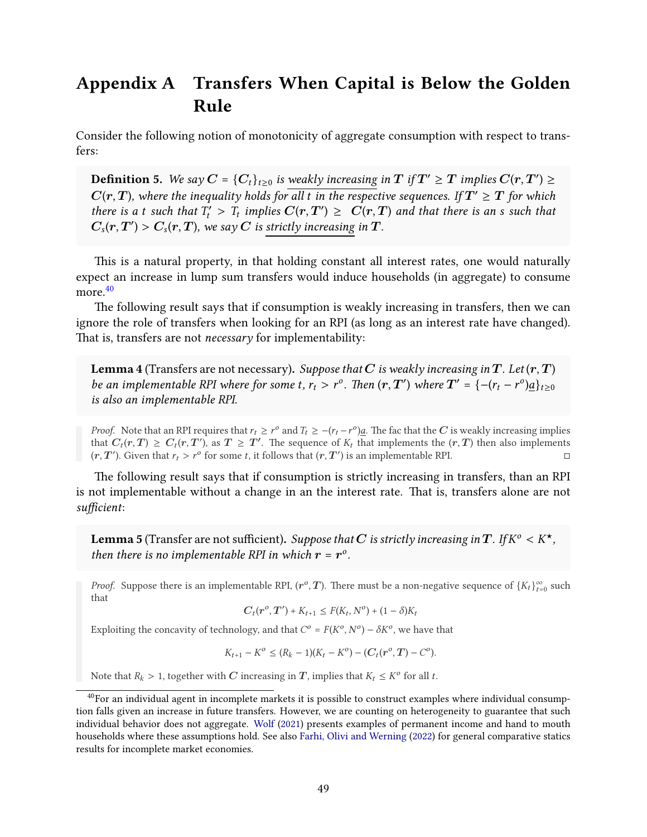# <span id="page-48-0"></span>Appendix A Transfers When Capital is Below the Golden Rule

Consider the following notion of monotonicity of aggregate consumption with respect to transfers:

**Definition 5.** We say  $C = \{C_t\}_{t \geq 0}$  is weakly increasing in  $T$  if  $T' \geq T$  implies  $C(r, T') \geq 0$  $\hat{C}(r,T)$ , where the inequality holds for all t in the respective sequences. If  $T'\geq T$  for which there is a t such that  $T'_t > T_t$  implies  $C(r,T') \geq C(r,T)$  and that there is an s such that  $C_s(r,T') > C_s(r,T)$ , we say  $C$  is strictly increasing in  $T$ .

This is a natural property, in that holding constant all interest rates, one would naturally expect an increase in lump sum transfers would induce households (in aggregate) to consume more.<sup>[40](#page-48-3)</sup>

The following result says that if consumption is weakly increasing in transfers, then we can ignore the role of transfers when looking for an RPI (as long as an interest rate have changed). That is, transfers are not *necessary* for implementability:

<span id="page-48-1"></span>**Lemma 4** (Transfers are not necessary). Suppose that C is weakly increasing in T. Let  $(r, T)$ be an implementable RPI where for some t,  $r_t > r^o$ . Then  $(r, T')$  where  $T' = \{-(r_t - r^o)\underline{a}\}_{t \geq 0}$ is also an implementable RPI.

*Proof.* Note that an RPI requires that  $r_t \geq r^o$  and  $T_t \geq -(r_t - r^o)a$ . The fac that the C is weakly increasing implies that  $C_t(r,T) \geq C_t(r,T)$ , as  $T \geq T'$ . The sequence of  $K_t$  that implements the  $(r,T)$  then also implements  $(r, T')$ . Given that  $r_t > r^{\circ}$  for some t, it follows that  $(r, T')$  is an implementable RPI.

e following result says that if consumption is strictly increasing in transfers, than an RPI is not implementable without a change in an the interest rate. That is, transfers alone are not sufficient:

<span id="page-48-2"></span>**Lemma 5** (Transfer are not sufficient). *Suppose that*  $\bm{C}$  *is strictly increasing in*  $\bm{T}$  *. If*  $K^o < K^\star$  *,* then there is no implementable RPI in which  $\mathbf{r} = \mathbf{r}^{\circ}$ .

*Proof.* Suppose there is an implementable RPI,  $(r^o, T)$ . There must be a non-negative sequence of  $\{K_t\}_{t=0}^{\infty}$  such that

$$
C_t(r^o, T') + K_{t+1} \leq F(K_t, N^o) + (1 - \delta)K_t
$$

Exploiting the concavity of technology, and that  $C^o = F(K^o, N^o) - \delta K^o$ , we have that

 $K_{t+1} - K^o \leq (R_k - 1)(K_t - K^o) - (C_t(r^o, T) - C^o).$ 

Note that  $R_k > 1$ , together with  $C$  increasing in  $T$ , implies that  $K_t \leq K^{\circ}$  for all  $t$ .

<span id="page-48-3"></span><sup>&</sup>lt;sup>40</sup>For an individual agent in incomplete markets it is possible to construct examples where individual consumption falls given an increase in future transfers. However, we are counting on heterogeneity to guarantee that such individual behavior does not aggregate. [Wolf](#page-47-12) [\(2021\)](#page-47-12) presents examples of permanent income and hand to mouth households where these assumptions hold. See also [Farhi, Olivi and Werning](#page-45-14) [\(2022\)](#page-45-14) for general comparative statics results for incomplete market economies.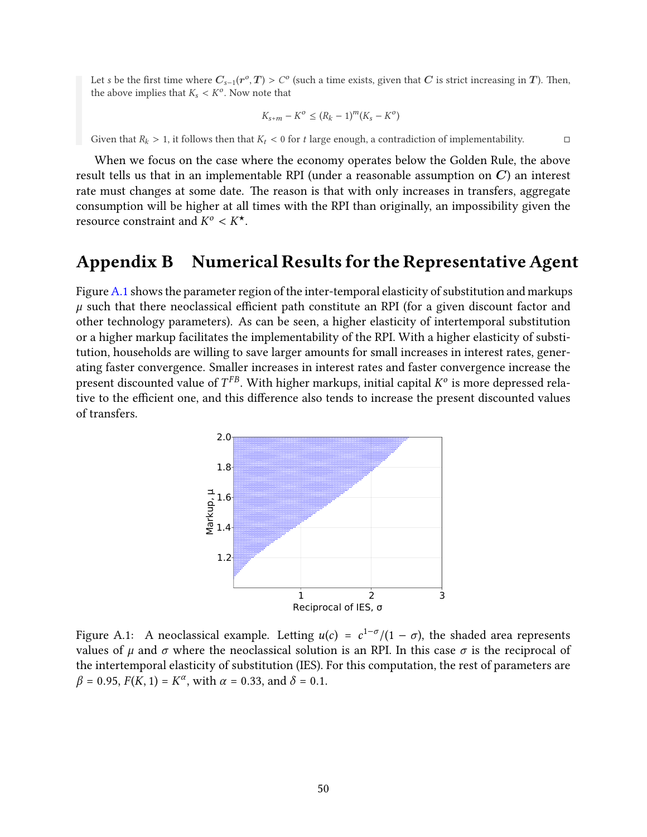Let s be the first time where  $C_{s-1}(r^o,T) > C^o$  (such a time exists, given that  $C$  is strict increasing in  $T$ ). Then, the above implies that  $K_s < K^{\circ}$ . Now note that

$$
K_{s+m} - K^o \le (R_k - 1)^m (K_s - K^o)
$$

Given that  $R_k > 1$ , it follows then that  $K_t < 0$  for t large enough, a contradiction of implementability.

When we focus on the case where the economy operates below the Golden Rule, the above result tells us that in an implementable RPI (under a reasonable assumption on  $C$ ) an interest rate must changes at some date. The reason is that with only increases in transfers, aggregate consumption will be higher at all times with the RPI than originally, an impossibility given the resource constraint and  $K^o < K^{\star}$ .

## <span id="page-49-0"></span>Appendix B Numerical Results for the Representative Agent

Figure [A.1](#page-49-1) shows the parameter region of the inter-temporal elasticity of substitution and markups  $\mu$  such that there neoclassical efficient path constitute an RPI (for a given discount factor and other technology parameters). As can be seen, a higher elasticity of intertemporal substitution or a higher markup facilitates the implementability of the RPI. With a higher elasticity of substitution, households are willing to save larger amounts for small increases in interest rates, generating faster convergence. Smaller increases in interest rates and faster convergence increase the present discounted value of  $T^{FB}$ . With higher markups, initial capital  $K^o$  is more depressed relative to the efficient one, and this difference also tends to increase the present discounted values of transfers.

<span id="page-49-1"></span>

Figure A.1: A neoclassical example. Letting  $u(c) = c^{1-\sigma}/(1-\sigma)$ , the shaded area represents values of  $\mu$  and  $\sigma$  where the neoclassical solution is an RPI. In this case  $\sigma$  is the reciprocal of the intertemporal elasticity of substitution (IES). For this computation, the rest of parameters are  $\beta = 0.95, F(K, 1) = K^{\alpha}$ , with  $\alpha = 0.33$ , and  $\delta = 0.1$ .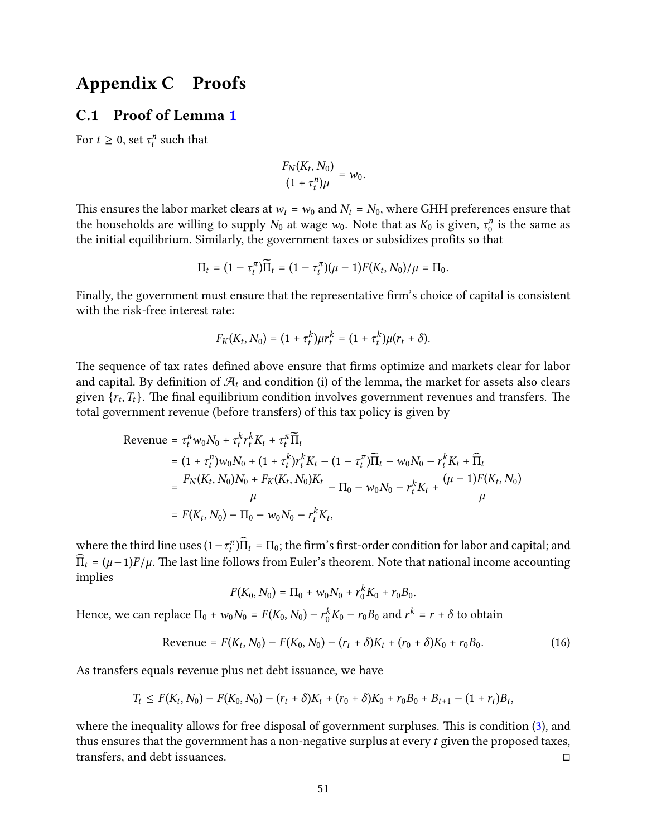### <span id="page-50-0"></span>Appendix C Proofs

#### C.1 Proof of Lemma [1](#page-14-1)

For  $t \geq 0$ , set  $\tau_t^n$  such that

$$
\frac{F_N(K_t,N_0)}{(1+\tau_t^n)\mu} = w_0.
$$

This ensures the labor market clears at  $w_t = w_0$  and  $N_t = N_0$ , where GHH preferences ensure that the households are willing to supply  $N_0$  at wage  $w_0$ . Note that as  $K_0$  is given,  $\tau_0^n$  $\frac{n}{0}$  is the same as the initial equilibrium. Similarly, the government taxes or subsidizes profits so that

$$
\Pi_t = (1 - \tau_t^{\pi})\widetilde{\Pi}_t = (1 - \tau_t^{\pi})(\mu - 1)F(K_t, N_0)/\mu = \Pi_0.
$$

Finally, the government must ensure that the representative firm's choice of capital is consistent with the risk-free interest rate:

$$
F_K(K_t, N_0) = (1 + \tau_t^k) \mu r_t^k = (1 + \tau_t^k) \mu(r_t + \delta).
$$

The sequence of tax rates defined above ensure that firms optimize and markets clear for labor and capital. By definition of  $\mathcal{A}_t$  and condition (i) of the lemma, the market for assets also clears given  $\{r_t, T_t\}$ . The final equilibrium condition involves government revenues and transfers. The total government revenue (before transfers) of this tax policy is given by

$$
\begin{split} \text{Revenue} &= \tau_t^n w_0 N_0 + \tau_t^k r_t^k K_t + \tau_t^\pi \widetilde{\Pi}_t \\ &= (1 + \tau_t^n) w_0 N_0 + (1 + \tau_t^k) r_t^k K_t - (1 - \tau_t^\pi) \widetilde{\Pi}_t - w_0 N_0 - r_t^k K_t + \widehat{\Pi}_t \\ &= \frac{F_N(K_t, N_0) N_0 + F_K(K_t, N_0) K_t}{\mu} - \Pi_0 - w_0 N_0 - r_t^k K_t + \frac{(\mu - 1) F(K_t, N_0)}{\mu} \\ &= F(K_t, N_0) - \Pi_0 - w_0 N_0 - r_t^k K_t, \end{split}
$$

where the third line uses  $(1 - \tau_t^{\pi})\widehat{\Pi}_t = \Pi_0$ ; the firm's first-order condition for labor and capital; and  $\widehat{\Pi}_t = (\mu - 1)F/\mu$ . The last line follows from Euler's theorem. Note that national income accounting implies

$$
F(K_0, N_0) = \Pi_0 + w_0 N_0 + r_0^k K_0 + r_0 B_0.
$$

Hence, we can replace  $\Pi_0 + w_0 N_0 = F(K_0, N_0) - r_0^k K_0 - r_0 B_0$  and  $r^k = r + \delta$  to obtain

$$
Revenue = F(K_t, N_0) - F(K_0, N_0) - (r_t + \delta)K_t + (r_0 + \delta)K_0 + r_0B_0.
$$
\n(16)

As transfers equals revenue plus net debt issuance, we have

$$
T_t \leq F(K_t, N_0) - F(K_0, N_0) - (r_t + \delta)K_t + (r_0 + \delta)K_0 + r_0B_0 + B_{t+1} - (1 + r_t)B_t,
$$

where the inequality allows for free disposal of government surpluses. This is condition [\(3\)](#page-15-0), and thus ensures that the government has a non-negative surplus at every  $t$  given the proposed taxes, transfers, and debt issuances.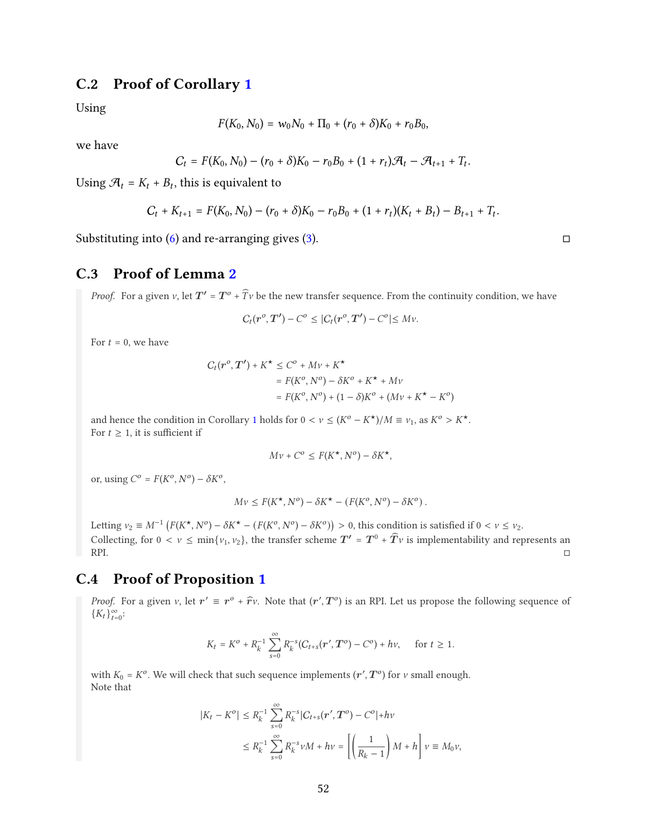### C.2 Proof of Corollary [1](#page-16-1)

Using

$$
F(K_0, N_0) = w_0 N_0 + \Pi_0 + (r_0 + \delta) K_0 + r_0 B_0,
$$

we have

$$
C_t = F(K_0, N_0) - (r_0 + \delta)K_0 - r_0B_0 + (1 + r_t)\mathcal{A}_t - \mathcal{A}_{t+1} + T_t.
$$

Using  $\mathcal{A}_t = K_t + B_t$ , this is equivalent to

$$
C_t + K_{t+1} = F(K_0, N_0) - (r_0 + \delta)K_0 - r_0B_0 + (1 + r_t)(K_t + B_t) - B_{t+1} + T_t.
$$

Substituting into  $(6)$  and re-arranging gives  $(3)$ .

### C.3 Proof of Lemma [2](#page-23-2)

*Proof.* For a given  $\nu$ , let  $T' = T^o + \widehat{T}\nu$  be the new transfer sequence. From the continuity condition, we have

$$
C_t(\mathbf{r}^o,\mathbf{T}')-C^o\leq |C_t(\mathbf{r}^o,\mathbf{T}')-C^o|\leq Mv.
$$

For  $t = 0$ , we have

$$
C_t(\mathbf{r}^o, \mathbf{T'}) + K^{\star} \le C^o + Mv + K^{\star}
$$
  
=  $F(K^o, N^o) - \delta K^o + K^{\star} + Mv$   
=  $F(K^o, N^o) + (1 - \delta)K^o + (Mv + K^{\star} - K^o)$ 

and hence the condition in Corollary [1](#page-16-1) holds for  $0 < v \le (K^{\circ} - K^*)/M \equiv v_1$ , as  $K^{\circ} > K^*$ . For  $t \geq 1$ , it is sufficient if

$$
Mv + C^o \le F(K^{\star}, N^o) - \delta K^{\star},
$$

or, using  $C^o = F(K^o, N^o) - \delta K^o$ ,

$$
Mv \leq F(K^{\star}, N^{\circ}) - \delta K^{\star} - (F(K^{\circ}, N^{\circ}) - \delta K^{\circ}).
$$

Letting  $v_2 \equiv M^{-1} \left( F(K^*, N^o) - \delta K^* - \left( F(K^o, N^o) - \delta K^o \right) \right) > 0$ , this condition is satisfied if  $0 < v \le v_2$ . Collecting, for  $0 < v \le \min\{v_1, v_2\}$ , the transfer scheme  $T' = T^0 + \widehat{T}v$  is implementability and represents an RPI. □

### C.4 Proof of Proposition [1](#page-25-0)

*Proof.* For a given v, let  $r' \equiv r^o + \hat{r}$  W. Note that  $(r', T^o)$  is an RPI. Let us propose the following sequence of  $(r \geq r)$  $\{K_t\}_{t=0}^{\infty}$ :

$$
K_t = K^o + R_k^{-1} \sum_{s=0}^{\infty} R_k^{-s} (C_{t+s}(r', T^o) - C^o) + hv, \quad \text{ for } t \ge 1.
$$

with  $K_0 = K^o$ . We will check that such sequence implements  $(r', T^o)$  for  $\nu$  small enough. Note that

$$
|K_t - K^o| \le R_k^{-1} \sum_{s=0}^{\infty} R_k^{-s} |C_{t+s}(r', T^o) - C^o| + hv
$$
  

$$
\le R_k^{-1} \sum_{s=0}^{\infty} R_k^{-s} v M + hv = \left[ \left( \frac{1}{R_k - 1} \right) M + h \right] v \equiv M_0 v,
$$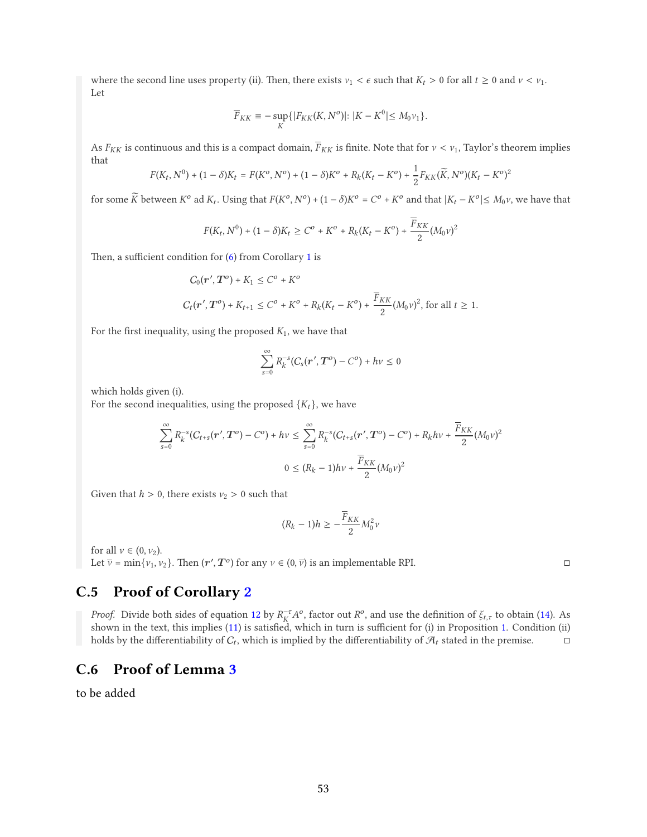where the second line uses property (ii). Then, there exists  $v_1 < \epsilon$  such that  $K_t > 0$  for all  $t \ge 0$  and  $v < v_1$ . Let

$$
\overline{F}_{KK} \equiv -\sup_K \{ |F_{KK}(K,N^o)| \colon |K - K^0| \le M_0 \nu_1 \}.
$$

As  $F_{KK}$  is continuous and this is a compact domain,  $\overline{F}_{KK}$  is finite. Note that for  $v < v_1$ , Taylor's theorem implies that

$$
F(K_t, N^0) + (1 - \delta)K_t = F(K^0, N^0) + (1 - \delta)K^0 + R_k(K_t - K^0) + \frac{1}{2}F_{KK}(\widetilde{K}, N^0)(K_t - K^0)^2
$$

for some  $\widetilde{K}$  between  $K^o$  ad  $K_t$ . Using that  $F(K^o, N^o) + (1 - \delta)K^o = C^o + K^o$  and that  $|K_t - K^o| \le M_0 v$ , we have that

$$
F(K_t, N^0) + (1 - \delta)K_t \ge C^o + K^o + R_k(K_t - K^o) + \frac{\overline{F}_{KK}}{2} (M_0 \nu)^2
$$

Then, a sufficient condition for  $(6)$  from Corollary [1](#page-16-1) is

$$
C_0(\mathbf{r}', \mathbf{T}^o) + K_1 \le C^o + K^o
$$
  

$$
C_t(\mathbf{r}', \mathbf{T}^o) + K_{t+1} \le C^o + K^o + R_k(K_t - K^o) + \frac{\overline{F}_{KK}}{2}(M_0 \nu)^2, \text{ for all } t \ge 1.
$$

For the first inequality, using the proposed  $K_1$ , we have that

$$
\sum_{s=0}^{\infty} R_k^{-s}(C_s(\boldsymbol{r}', \boldsymbol{T}^o) - C^o) + h\nu \leq 0
$$

which holds given (i).

For the second inequalities, using the proposed  $\{K_t\}$ , we have

$$
\sum_{s=0}^{\infty} R_k^{-s} (C_{t+s}(r', T^o) - C^o) + hv \le \sum_{s=0}^{\infty} R_k^{-s} (C_{t+s}(r', T^o) - C^o) + R_k hv + \frac{\overline{F}_{KK}}{2} (M_0 v)^2
$$
  

$$
0 \le (R_k - 1) hv + \frac{\overline{F}_{KK}}{2} (M_0 v)^2
$$

Given that  $h > 0$ , there exists  $v_2 > 0$  such that

$$
(R_k - 1)h \ge -\frac{\overline{F}_{KK}}{2} M_0^2 v
$$

for all  $v \in (0, v_2)$ .

Let  $\overline{v} = \min\{v_1, v_2\}$ . Then  $(r', T^o)$  for any  $v \in (0, \overline{v})$  is an implementable RPI.

### C.5 Proof of Corollary [2](#page-27-1)

*Proof.* Divide both sides of equation [12](#page-26-3) by  $R_K^{-\tau}A^o$ , factor out  $R^o$ , and use the definition of  $\xi_{t,\tau}$  to obtain [\(14\)](#page-27-0). As shown in the text, this implies [\(11\)](#page-26-1) is satisfied, which in turn is sufficient for (i) in Proposition [1.](#page-25-0) Condition (ii) holds by the differentiability of  $C_t$ , which is implied by the differentiability of  $\mathcal{A}_t$  stated in the premise.

### C.6 Proof of Lemma [3](#page-32-1)

to be added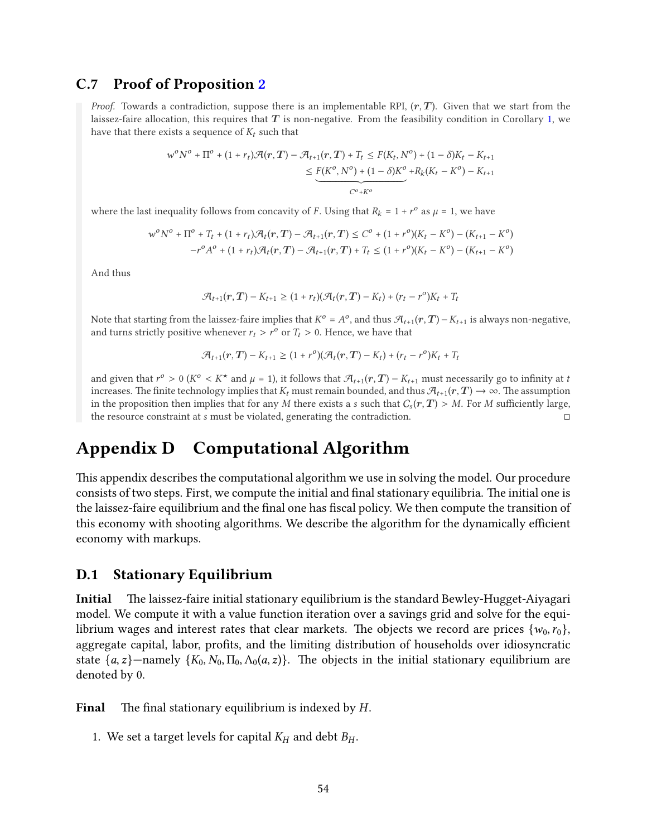### C.7 Proof of Proposition [2](#page-27-2)

*Proof.* Towards a contradiction, suppose there is an implementable RPI,  $(r, T)$ . Given that we start from the laissez-faire allocation, this requires that  $T$  is non-negative. From the feasibility condition in Corollary [1,](#page-16-1) we have that there exists a sequence of  $K_t$  such that

$$
w^{o}N^{o} + \Pi^{o} + (1 + r_{t})\mathcal{A}(r, T) - \mathcal{A}_{t+1}(r, T) + T_{t} \leq F(K_{t}, N^{o}) + (1 - \delta)K_{t} - K_{t+1}
$$
  

$$
\leq \underbrace{F(K^{o}, N^{o}) + (1 - \delta)K^{o}}_{C^{o} + K^{o}} + R_{k}(K_{t} - K^{o}) - K_{t+1}
$$

where the last inequality follows from concavity of *F*. Using that  $R_k = 1 + r^{\circ}$  as  $\mu = 1$ , we have

$$
w^o N^o + \Pi^o + T_t + (1 + r_t) \mathcal{A}_t(r, T) - \mathcal{A}_{t+1}(r, T) \leq C^o + (1 + r^o)(K_t - K^o) - (K_{t+1} - K^o)
$$
  

$$
-r^o A^o + (1 + r_t) \mathcal{A}_t(r, T) - \mathcal{A}_{t+1}(r, T) + T_t \leq (1 + r^o)(K_t - K^o) - (K_{t+1} - K^o)
$$

And thus

$$
\mathcal{A}_{t+1}(r,T) - K_{t+1} \ge (1 + r_t)(\mathcal{A}_t(r,T) - K_t) + (r_t - r^o)K_t + T_t
$$

Note that starting from the laissez-faire implies that  $K^o = A^o$ , and thus  $\mathcal{A}_{t+1}(r,T) - K_{t+1}$  is always non-negative, and turns strictly positive whenever  $r_t > r^{\circ}$  or  $T_t > 0$ . Hence, we have that

$$
\mathcal{A}_{t+1}(r,T) - K_{t+1} \ge (1+r^o)(\mathcal{A}_t(r,T) - K_t) + (r_t - r^o)K_t + T_t
$$

and given that  $r^o > 0$  ( $K^o < K^*$  and  $\mu = 1$ ), it follows that  $\mathcal{A}_{t+1}(r,T) - K_{t+1}$  must necessarily go to infinity at t increases. The finite technology implies that  $K_t$  must remain bounded, and thus  $\mathcal{A}_{t+1}(r,T) \to \infty$ . The assumption in the proposition then implies that for any M there exists a s such that  $C_s(r,T) > M$ . For M sufficiently large, the resource constraint at  $s$  must be violated, generating the contradiction.  $\Box$ 

# <span id="page-53-0"></span>Appendix D Computational Algorithm

This appendix describes the computational algorithm we use in solving the model. Our procedure consists of two steps. First, we compute the initial and final stationary equilibria. The initial one is the laissez-faire equilibrium and the final one has fiscal policy. We then compute the transition of this economy with shooting algorithms. We describe the algorithm for the dynamically efficient economy with markups.

#### D.1 Stationary Equilibrium

Initial The laissez-faire initial stationary equilibrium is the standard Bewley-Hugget-Aiyagari model. We compute it with a value function iteration over a savings grid and solve for the equilibrium wages and interest rates that clear markets. The objects we record are prices  $\{w_0, r_0\}$ , aggregate capital, labor, profits, and the limiting distribution of households over idiosyncratic state  $\{a, z\}$ —namely  $\{K_0, N_0, \Pi_0, \Lambda_0(a, z)\}$ . The objects in the initial stationary equilibrium are denoted by 0.

**Final** The final stationary equilibrium is indexed by  $H$ .

1. We set a target levels for capital  $K_H$  and debt  $B_H$ .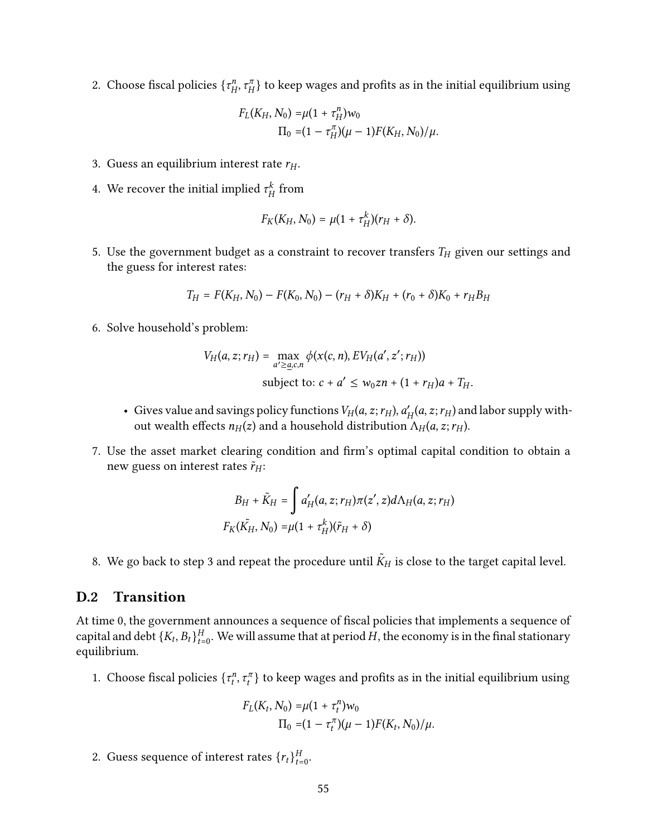2. Choose fiscal policies  $\{\tau^n_{\mu}$  $\{A^\eta_{H},\tau^\pi_{H}\}$  to keep wages and profits as in the initial equilibrium using

$$
F_L(K_H, N_0) = \mu (1 + \tau_H^n) w_0
$$
  
\n
$$
\Pi_0 = (1 - \tau_H^n) (\mu - 1) F(K_H, N_0) / \mu.
$$

- 3. Guess an equilibrium interest rate  $r_H$ .
- 4. We recover the initial implied  $\tau_{\mu}^k$  $^{\kappa}_H$  from

$$
F_K(K_H,N_0)=\mu(1+\tau_H^k)(r_H+\delta).
$$

5. Use the government budget as a constraint to recover transfers  $T_H$  given our settings and the guess for interest rates:

$$
T_H = F(K_H, N_0) - F(K_0, N_0) - (r_H + \delta)K_H + (r_0 + \delta)K_0 + r_H B_H
$$

6. Solve household's problem:

$$
V_H(a, z; r_H) = \max_{a' \geq \underline{a}, c, n} \phi(x(c, n), EV_H(a', z'; r_H))
$$
  
subject to:  $c + a' \leq w_0 z n + (1 + r_H)a + T_H$ .

- Gives value and savings policy functions  $V_H(a, z; r_H)$ ,  $a'_H(a, z; r_H)$  and labor supply without wealth effects  $n_H(z)$  and a household distribution  $\Lambda_H(a, z; r_H)$ .
- 7. Use the asset market clearing condition and firm's optimal capital condition to obtain a new guess on interest rates  $\tilde{r}_{H}$ :

$$
B_H + \tilde{K}_H = \int a'_H(a, z; r_H) \pi(z', z) d\Lambda_H(a, z; r_H)
$$
  

$$
F_K(\tilde{K}_H, N_0) = \mu(1 + \tau_H^k)(\tilde{r}_H + \delta)
$$

8. We go back to step 3 and repeat the procedure until  $\tilde{K}_H$  is close to the target capital level.

#### D.2 Transition

At time 0, the government announces a sequence of fiscal policies that implements a sequence of capital and debt  $\{K_t, B_t\}_{t=0}^H$ . We will assume that at period  $H$ , the economy is in the final stationary equilibrium.

1. Choose fiscal policies  $\{\tau_t^n, \tau_t^n\}$  to keep wages and profits as in the initial equilibrium using

$$
F_L(K_t, N_0) = \mu (1 + \tau_t^n) w_0
$$
  
\n
$$
\Pi_0 = (1 - \tau_t^n) (\mu - 1) F(K_t, N_0) / \mu.
$$

2. Guess sequence of interest rates  $\{r_t\}_{t=0}^H$ .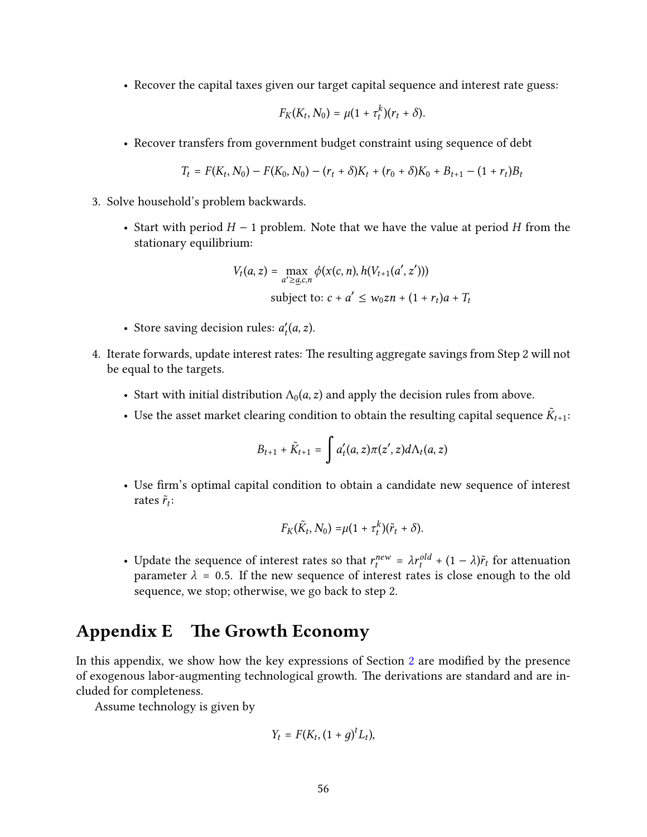• Recover the capital taxes given our target capital sequence and interest rate guess:

$$
F_K(K_t,N_0)=\mu(1+\tau_t^k)(r_t+\delta).
$$

• Recover transfers from government budget constraint using sequence of debt

$$
T_t = F(K_t, N_0) - F(K_0, N_0) - (r_t + \delta)K_t + (r_0 + \delta)K_0 + B_{t+1} - (1 + r_t)B_t
$$

- 3. Solve household's problem backwards.
	- Start with period  $H 1$  problem. Note that we have the value at period H from the stationary equilibrium:

$$
V_t(a, z) = \max_{a' \geq \underline{a}, c, n} \phi(x(c, n), h(V_{t+1}(a', z')))
$$
  
subject to:  $c + a' \leq w_0 z n + (1 + r_t)a + T_t$ 

- Store saving decision rules:  $a'_t(a, z)$ .
- 4. Iterate forwards, update interest rates: The resulting aggregate savings from Step 2 will not be equal to the targets.
	- Start with initial distribution  $\Lambda_0(a, z)$  and apply the decision rules from above.
	- Use the asset market clearing condition to obtain the resulting capital sequence  $\tilde{K}_{t+1}$ :

$$
B_{t+1} + \tilde{K}_{t+1} = \int a'_t(a,z)\pi(z',z)d\Lambda_t(a,z)
$$

• Use firm's optimal capital condition to obtain a candidate new sequence of interest rates  $\tilde{r}_t$ :

$$
F_K(\tilde{K}_t, N_0) = \mu(1 + \tau_t^k)(\tilde{r}_t + \delta).
$$

• Update the sequence of interest rates so that  $r_t^{new} = \lambda r_t^{old} + (1 - \lambda)\tilde{r}_t$  for attenuation parameter  $\lambda = 0.5$ . If the new sequence of interest rates is close enough to the old sequence, we stop; otherwise, we go back to step 2.

# <span id="page-55-0"></span>Appendix E The Growth Economy

In this appendix, we show how the key expressions of Section [2](#page-6-0) are modified by the presence of exogenous labor-augmenting technological growth. The derivations are standard and are included for completeness.

Assume technology is given by

$$
Y_t = F(K_t, (1+g)^t L_t),
$$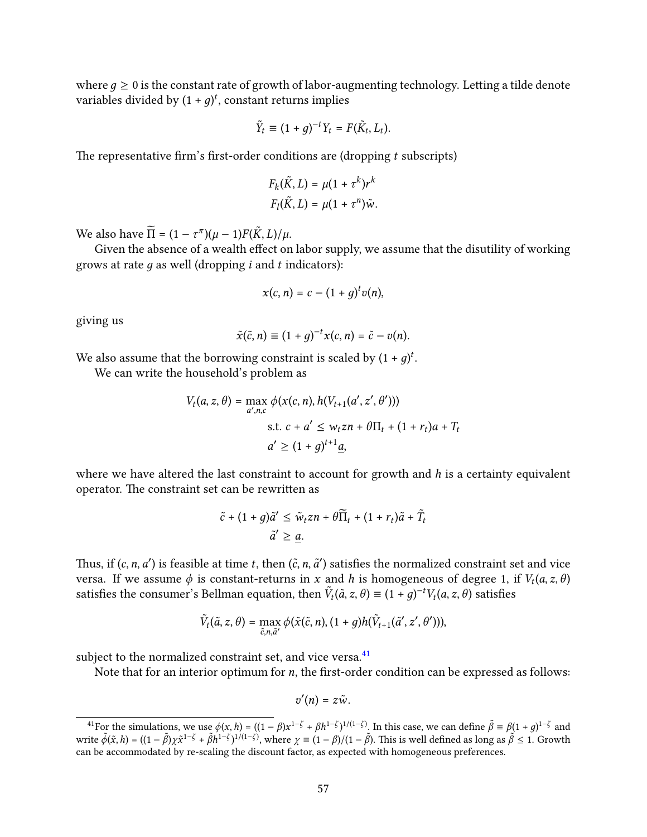where  $q \geq 0$  is the constant rate of growth of labor-augmenting technology. Letting a tilde denote variables divided by  $(1 + g)^t$ , constant returns implies

$$
\tilde{Y}_t \equiv (1+g)^{-t} Y_t = F(\tilde{K}_t, L_t).
$$

The representative firm's first-order conditions are (dropping  $t$  subscripts)

$$
F_k(\tilde{K}, L) = \mu(1 + \tau^k)r^k
$$
  

$$
F_l(\tilde{K}, L) = \mu(1 + \tau^n)\tilde{w}.
$$

We also have  $\widetilde{\Pi} = (1 - \tau^{\pi})(\mu - 1)F(\tilde{K}, L)/\mu$ .

Given the absence of a wealth effect on labor supply, we assume that the disutility of working grows at rate  $g$  as well (dropping  $i$  and  $t$  indicators):

$$
x(c, n) = c - (1 + g)^t v(n),
$$

giving us

$$
\tilde{x}(\tilde{c}, n) \equiv (1+g)^{-t}x(c, n) = \tilde{c} - v(n).
$$

We also assume that the borrowing constraint is scaled by  $(1 + g)^t$ .

We can write the household's problem as

$$
V_t(a, z, \theta) = \max_{a', n, c} \phi(x(c, n), h(V_{t+1}(a', z', \theta')))
$$
  
s.t.  $c + a' \le w_t z n + \theta \Pi_t + (1 + r_t)a + T_t$   
 $a' \ge (1 + g)^{t+1} \underline{a},$ 

where we have altered the last constraint to account for growth and  $h$  is a certainty equivalent operator. The constraint set can be rewritten as

$$
\tilde{c} + (1+g)\tilde{a}' \le \tilde{w}_t z n + \theta \overline{\Pi}_t + (1+r_t)\tilde{a} + \tilde{T}_t
$$

$$
\tilde{a}' \ge \underline{a}.
$$

Thus, if  $(c, n, a')$  is feasible at time t, then  $(\tilde{c}, n, \tilde{a}')$  satisfies the normalized constraint set and vice versa. If we assume  $\phi$  is constant-returns in x and h is homogeneous of degree 1, if  $V_t(a, z, \theta)$ satisfies the consumer's Bellman equation, then  $\tilde{V}_t(\tilde{a}, z, \theta) \equiv (1 + g)^{-t} V_t(a, z, \theta)$  satisfies

$$
\tilde{V}_t(\tilde{a}, z, \theta) = \max_{\tilde{c}, n, \tilde{a}'} \phi(\tilde{x}(\tilde{c}, n), (1+g)h(\tilde{V}_{t+1}(\tilde{a}', z', \theta'))),
$$

subject to the normalized constraint set, and vice versa.<sup>[41](#page-56-0)</sup>

Note that for an interior optimum for  $n$ , the first-order condition can be expressed as follows:

$$
v'(n)=z\tilde{w}.
$$

<span id="page-56-0"></span><sup>&</sup>lt;sup>41</sup>For the simulations, we use  $\phi(x, h) = ((1 - \beta)x^{1-\zeta} + \beta h^{1-\zeta})^{1/(1-\zeta)}$ . In this case, we can define  $\tilde{\beta} \equiv \beta(1 + g)^{1-\zeta}$  and write  $\tilde{\phi}(\tilde{x}, h) = ((1 - \tilde{\beta})\chi\tilde{x}^{1-\zeta} + \tilde{\beta}h^{1-\zeta})^{1/(1-\zeta)}$ , where  $\chi \equiv (1 - \beta)/(1 - \tilde{\beta})$ . This is well defined as long as  $\tilde{\beta} \le 1$ . Growth can be accommodated by re-scaling the discount factor, as expected with homogeneous preferences.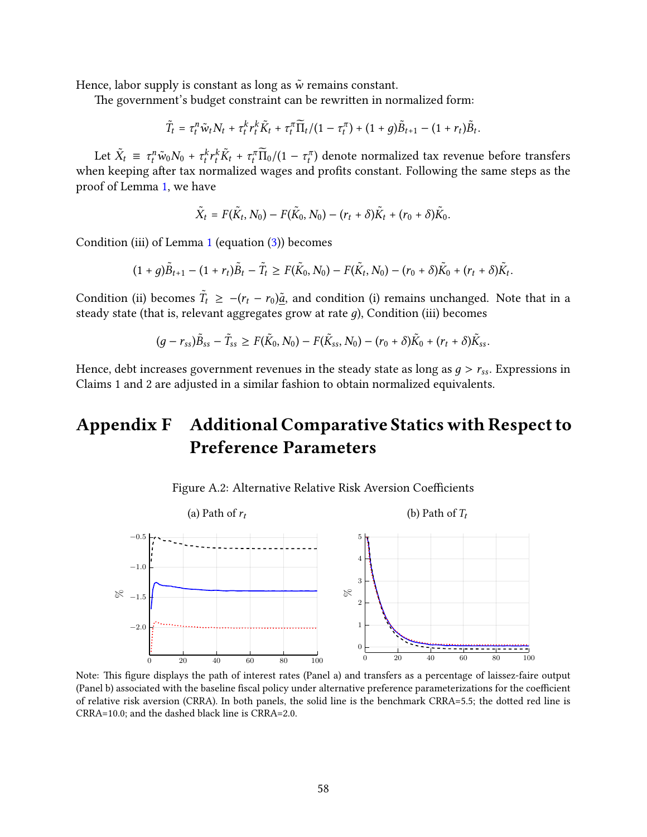Hence, labor supply is constant as long as  $\tilde{w}$  remains constant.

The government's budget constraint can be rewritten in normalized form:

 $\tilde{T}_t = \tau_t^n \tilde{w}_t N_t + \tau_t^k r_t^k \tilde{K}_t + \tau_t^\pi \overline{\Pi}_t / (1 - \tau_t^\pi) + (1 + g) \tilde{B}_{t+1} - (1 + r_t) \tilde{B}_t.$ 

Let  $\tilde{X}_t \equiv \tau_t^n \tilde{w}_0 N_0 + \tau_t^k r_t^k \tilde{K}_t + \tau_t^{\pi} \tilde{\Pi}_0 / (1 - \tau_t^{\pi})$  denote normalized tax revenue before transfers when keeping after tax normalized wages and profits constant. Following the same steps as the proof of Lemma [1,](#page-14-1) we have

$$
\tilde{X}_t = F(\tilde{K}_t, N_0) - F(\tilde{K}_0, N_0) - (r_t + \delta)\tilde{K}_t + (r_0 + \delta)\tilde{K}_0.
$$

Condition (iii) of Lemma [1](#page-14-1) (equation [\(3\)](#page-15-0)) becomes

 $(1 + g)\tilde{B}_{t+1} - (1 + r_t)\tilde{B}_t - \tilde{T}_t \geq F(\tilde{K}_0, N_0) - F(\tilde{K}_t, N_0) - (r_0 + \delta)\tilde{K}_0 + (r_t + \delta)\tilde{K}_t.$ 

Condition (ii) becomes  $\tilde{T}_t \ge -(r_t - r_0)\tilde{a}$ , and condition (i) remains unchanged. Note that in a steady state (that is, relevant aggregates grow at rate  $g$ ), Condition (iii) becomes

$$
(g-r_{ss})\tilde{B}_{ss}-\tilde{T}_{ss}\geq F(\tilde{K}_0,N_0)-F(\tilde{K}_{ss},N_0)-(r_0+\delta)\tilde{K}_0+(r_t+\delta)\tilde{K}_{ss}.
$$

Hence, debt increases government revenues in the steady state as long as  $g > r_{ss}$ . Expressions in Claims 1 and 2 are adjusted in a similar fashion to obtain normalized equivalents.

# Appendix F Additional Comparative Statics with Respect to Preference Parameters



<span id="page-57-0"></span>

Note: This figure displays the path of interest rates (Panel a) and transfers as a percentage of laissez-faire output (Panel b) associated with the baseline fiscal policy under alternative preference parameterizations for the coefficient of relative risk aversion (CRRA). In both panels, the solid line is the benchmark CRRA=5.5; the dotted red line is CRRA=10.0; and the dashed black line is CRRA=2.0.